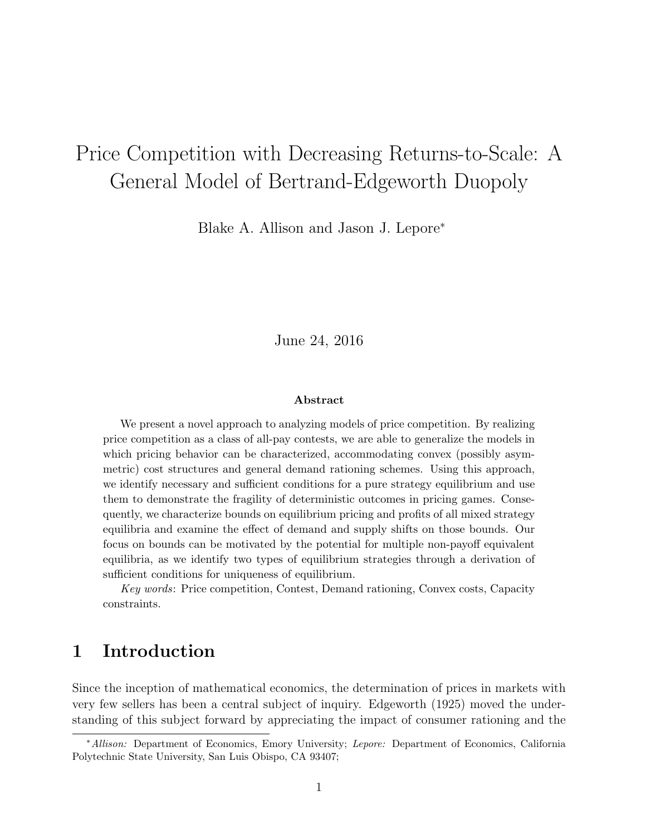# Price Competition with Decreasing Returns-to-Scale: A General Model of Bertrand-Edgeworth Duopoly

Blake A. Allison and Jason J. Lepore<sup>∗</sup>

June 24, 2016

#### Abstract

We present a novel approach to analyzing models of price competition. By realizing price competition as a class of all-pay contests, we are able to generalize the models in which pricing behavior can be characterized, accommodating convex (possibly asymmetric) cost structures and general demand rationing schemes. Using this approach, we identify necessary and sufficient conditions for a pure strategy equilibrium and use them to demonstrate the fragility of deterministic outcomes in pricing games. Consequently, we characterize bounds on equilibrium pricing and profits of all mixed strategy equilibria and examine the effect of demand and supply shifts on those bounds. Our focus on bounds can be motivated by the potential for multiple non-payoff equivalent equilibria, as we identify two types of equilibrium strategies through a derivation of sufficient conditions for uniqueness of equilibrium.

Key words: Price competition, Contest, Demand rationing, Convex costs, Capacity constraints.

### 1 Introduction

Since the inception of mathematical economics, the determination of prices in markets with very few sellers has been a central subject of inquiry. Edgeworth (1925) moved the understanding of this subject forward by appreciating the impact of consumer rationing and the

<sup>∗</sup>Allison: Department of Economics, Emory University; Lepore: Department of Economics, California Polytechnic State University, San Luis Obispo, CA 93407;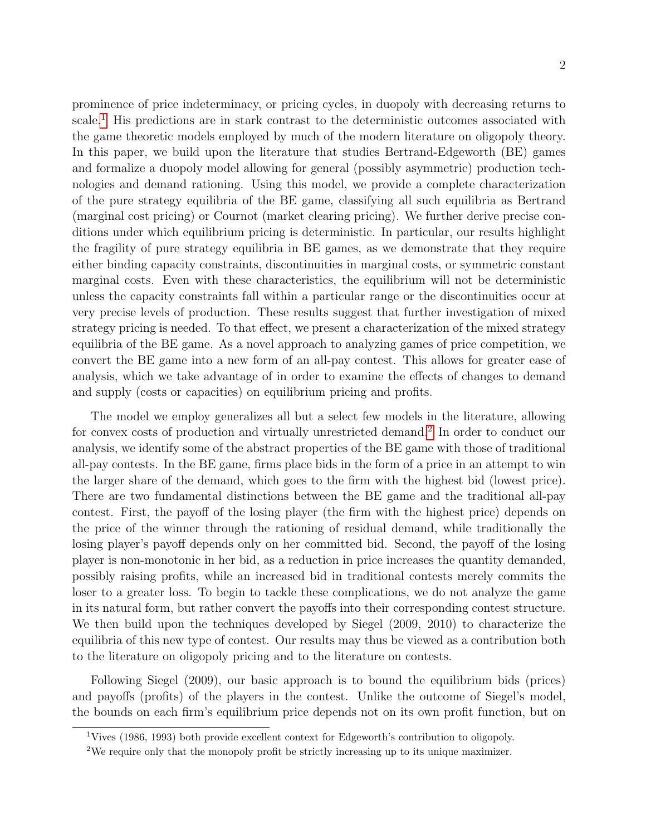prominence of price indeterminacy, or pricing cycles, in duopoly with decreasing returns to scale.<sup>[1](#page-1-0)</sup> His predictions are in stark contrast to the deterministic outcomes associated with the game theoretic models employed by much of the modern literature on oligopoly theory. In this paper, we build upon the literature that studies Bertrand-Edgeworth (BE) games and formalize a duopoly model allowing for general (possibly asymmetric) production technologies and demand rationing. Using this model, we provide a complete characterization of the pure strategy equilibria of the BE game, classifying all such equilibria as Bertrand (marginal cost pricing) or Cournot (market clearing pricing). We further derive precise conditions under which equilibrium pricing is deterministic. In particular, our results highlight the fragility of pure strategy equilibria in BE games, as we demonstrate that they require either binding capacity constraints, discontinuities in marginal costs, or symmetric constant marginal costs. Even with these characteristics, the equilibrium will not be deterministic unless the capacity constraints fall within a particular range or the discontinuities occur at very precise levels of production. These results suggest that further investigation of mixed strategy pricing is needed. To that effect, we present a characterization of the mixed strategy equilibria of the BE game. As a novel approach to analyzing games of price competition, we convert the BE game into a new form of an all-pay contest. This allows for greater ease of analysis, which we take advantage of in order to examine the effects of changes to demand and supply (costs or capacities) on equilibrium pricing and profits.

The model we employ generalizes all but a select few models in the literature, allowing for convex costs of production and virtually unrestricted demand.<sup>[2](#page-1-1)</sup> In order to conduct our analysis, we identify some of the abstract properties of the BE game with those of traditional all-pay contests. In the BE game, firms place bids in the form of a price in an attempt to win the larger share of the demand, which goes to the firm with the highest bid (lowest price). There are two fundamental distinctions between the BE game and the traditional all-pay contest. First, the payoff of the losing player (the firm with the highest price) depends on the price of the winner through the rationing of residual demand, while traditionally the losing player's payoff depends only on her committed bid. Second, the payoff of the losing player is non-monotonic in her bid, as a reduction in price increases the quantity demanded, possibly raising profits, while an increased bid in traditional contests merely commits the loser to a greater loss. To begin to tackle these complications, we do not analyze the game in its natural form, but rather convert the payoffs into their corresponding contest structure. We then build upon the techniques developed by Siegel (2009, 2010) to characterize the equilibria of this new type of contest. Our results may thus be viewed as a contribution both to the literature on oligopoly pricing and to the literature on contests.

Following Siegel (2009), our basic approach is to bound the equilibrium bids (prices) and payoffs (profits) of the players in the contest. Unlike the outcome of Siegel's model, the bounds on each firm's equilibrium price depends not on its own profit function, but on

<span id="page-1-0"></span><sup>1</sup>Vives (1986, 1993) both provide excellent context for Edgeworth's contribution to oligopoly.

<span id="page-1-1"></span><sup>2</sup>We require only that the monopoly profit be strictly increasing up to its unique maximizer.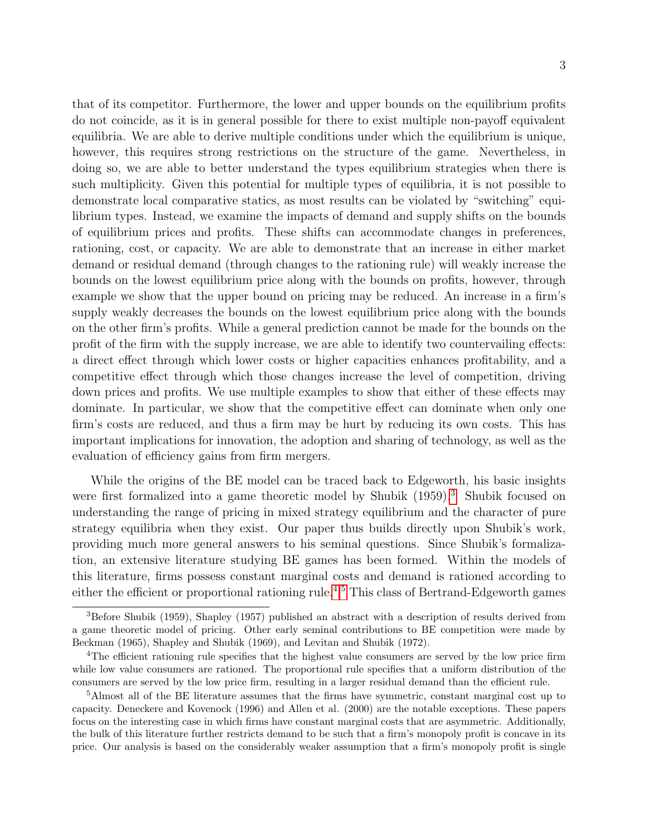that of its competitor. Furthermore, the lower and upper bounds on the equilibrium profits do not coincide, as it is in general possible for there to exist multiple non-payoff equivalent equilibria. We are able to derive multiple conditions under which the equilibrium is unique, however, this requires strong restrictions on the structure of the game. Nevertheless, in doing so, we are able to better understand the types equilibrium strategies when there is such multiplicity. Given this potential for multiple types of equilibria, it is not possible to demonstrate local comparative statics, as most results can be violated by "switching" equilibrium types. Instead, we examine the impacts of demand and supply shifts on the bounds of equilibrium prices and profits. These shifts can accommodate changes in preferences, rationing, cost, or capacity. We are able to demonstrate that an increase in either market demand or residual demand (through changes to the rationing rule) will weakly increase the bounds on the lowest equilibrium price along with the bounds on profits, however, through example we show that the upper bound on pricing may be reduced. An increase in a firm's supply weakly decreases the bounds on the lowest equilibrium price along with the bounds on the other firm's profits. While a general prediction cannot be made for the bounds on the profit of the firm with the supply increase, we are able to identify two countervailing effects: a direct effect through which lower costs or higher capacities enhances profitability, and a competitive effect through which those changes increase the level of competition, driving down prices and profits. We use multiple examples to show that either of these effects may dominate. In particular, we show that the competitive effect can dominate when only one firm's costs are reduced, and thus a firm may be hurt by reducing its own costs. This has important implications for innovation, the adoption and sharing of technology, as well as the evaluation of efficiency gains from firm mergers.

While the origins of the BE model can be traced back to Edgeworth, his basic insights were first formalized into a game theoretic model by Shubik (1959).<sup>[3](#page-2-0)</sup> Shubik focused on understanding the range of pricing in mixed strategy equilibrium and the character of pure strategy equilibria when they exist. Our paper thus builds directly upon Shubik's work, providing much more general answers to his seminal questions. Since Shubik's formalization, an extensive literature studying BE games has been formed. Within the models of this literature, firms possess constant marginal costs and demand is rationed according to either the efficient or proportional rationing rule.<sup>[4](#page-2-1),[5](#page-2-2)</sup> This class of Bertrand-Edgeworth games

<span id="page-2-0"></span> ${}^{3}$ Before Shubik (1959), Shapley (1957) published an abstract with a description of results derived from a game theoretic model of pricing. Other early seminal contributions to BE competition were made by Beckman (1965), Shapley and Shubik (1969), and Levitan and Shubik (1972).

<span id="page-2-1"></span><sup>&</sup>lt;sup>4</sup>The efficient rationing rule specifies that the highest value consumers are served by the low price firm while low value consumers are rationed. The proportional rule specifies that a uniform distribution of the consumers are served by the low price firm, resulting in a larger residual demand than the efficient rule.

<span id="page-2-2"></span><sup>&</sup>lt;sup>5</sup>Almost all of the BE literature assumes that the firms have symmetric, constant marginal cost up to capacity. Deneckere and Kovenock (1996) and Allen et al. (2000) are the notable exceptions. These papers focus on the interesting case in which firms have constant marginal costs that are asymmetric. Additionally, the bulk of this literature further restricts demand to be such that a firm's monopoly profit is concave in its price. Our analysis is based on the considerably weaker assumption that a firm's monopoly profit is single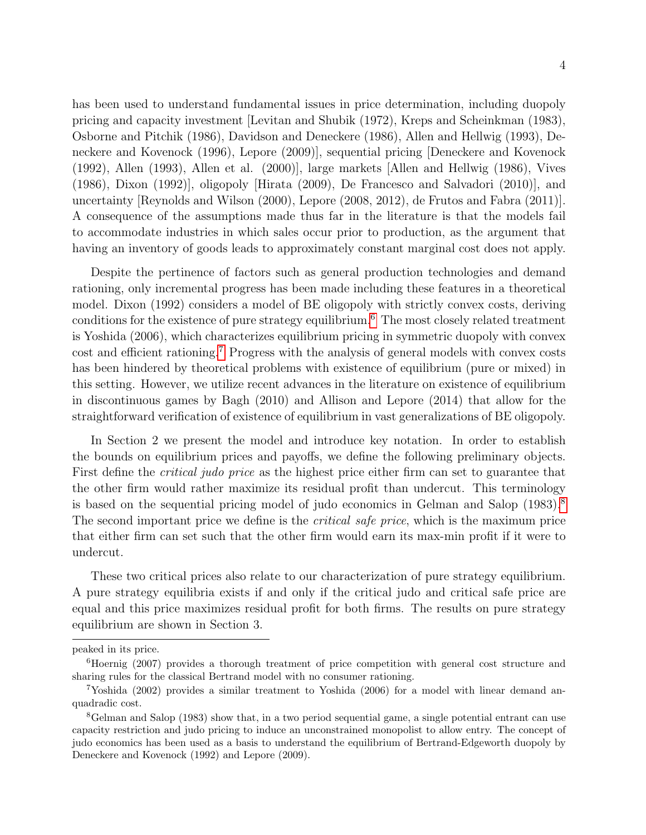4

has been used to understand fundamental issues in price determination, including duopoly pricing and capacity investment [Levitan and Shubik (1972), Kreps and Scheinkman (1983), Osborne and Pitchik (1986), Davidson and Deneckere (1986), Allen and Hellwig (1993), Deneckere and Kovenock (1996), Lepore (2009)], sequential pricing [Deneckere and Kovenock (1992), Allen (1993), Allen et al. (2000)], large markets [Allen and Hellwig (1986), Vives (1986), Dixon (1992)], oligopoly [Hirata (2009), De Francesco and Salvadori (2010)], and uncertainty [Reynolds and Wilson (2000), Lepore (2008, 2012), de Frutos and Fabra (2011)]. A consequence of the assumptions made thus far in the literature is that the models fail to accommodate industries in which sales occur prior to production, as the argument that having an inventory of goods leads to approximately constant marginal cost does not apply.

Despite the pertinence of factors such as general production technologies and demand rationing, only incremental progress has been made including these features in a theoretical model. Dixon (1992) considers a model of BE oligopoly with strictly convex costs, deriving conditions for the existence of pure strategy equilibrium.<sup>[6](#page-3-0)</sup> The most closely related treatment is Yoshida (2006), which characterizes equilibrium pricing in symmetric duopoly with convex cost and efficient rationing.[7](#page-3-1) Progress with the analysis of general models with convex costs has been hindered by theoretical problems with existence of equilibrium (pure or mixed) in this setting. However, we utilize recent advances in the literature on existence of equilibrium in discontinuous games by Bagh (2010) and Allison and Lepore (2014) that allow for the straightforward verification of existence of equilibrium in vast generalizations of BE oligopoly.

In Section 2 we present the model and introduce key notation. In order to establish the bounds on equilibrium prices and payoffs, we define the following preliminary objects. First define the *critical judo price* as the highest price either firm can set to guarantee that the other firm would rather maximize its residual profit than undercut. This terminology is based on the sequential pricing model of judo economics in Gelman and Salop (1983).[8](#page-3-2) The second important price we define is the *critical safe price*, which is the maximum price that either firm can set such that the other firm would earn its max-min profit if it were to undercut.

These two critical prices also relate to our characterization of pure strategy equilibrium. A pure strategy equilibria exists if and only if the critical judo and critical safe price are equal and this price maximizes residual profit for both firms. The results on pure strategy equilibrium are shown in Section 3.

peaked in its price.

<span id="page-3-0"></span><sup>&</sup>lt;sup>6</sup>Hoernig (2007) provides a thorough treatment of price competition with general cost structure and sharing rules for the classical Bertrand model with no consumer rationing.

<span id="page-3-1"></span><sup>7</sup>Yoshida (2002) provides a similar treatment to Yoshida (2006) for a model with linear demand anquadradic cost.

<span id="page-3-2"></span><sup>8</sup>Gelman and Salop (1983) show that, in a two period sequential game, a single potential entrant can use capacity restriction and judo pricing to induce an unconstrained monopolist to allow entry. The concept of judo economics has been used as a basis to understand the equilibrium of Bertrand-Edgeworth duopoly by Deneckere and Kovenock (1992) and Lepore (2009).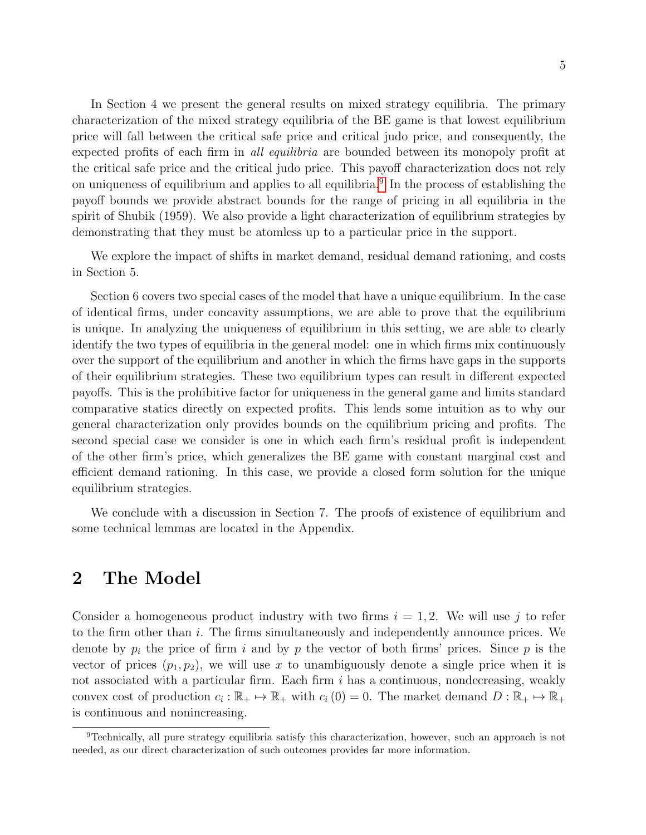In Section 4 we present the general results on mixed strategy equilibria. The primary characterization of the mixed strategy equilibria of the BE game is that lowest equilibrium price will fall between the critical safe price and critical judo price, and consequently, the expected profits of each firm in all equilibria are bounded between its monopoly profit at the critical safe price and the critical judo price. This payoff characterization does not rely on uniqueness of equilibrium and applies to all equilibria.<sup>[9](#page-4-0)</sup> In the process of establishing the payoff bounds we provide abstract bounds for the range of pricing in all equilibria in the spirit of Shubik (1959). We also provide a light characterization of equilibrium strategies by demonstrating that they must be atomless up to a particular price in the support.

We explore the impact of shifts in market demand, residual demand rationing, and costs in Section 5.

Section 6 covers two special cases of the model that have a unique equilibrium. In the case of identical firms, under concavity assumptions, we are able to prove that the equilibrium is unique. In analyzing the uniqueness of equilibrium in this setting, we are able to clearly identify the two types of equilibria in the general model: one in which firms mix continuously over the support of the equilibrium and another in which the firms have gaps in the supports of their equilibrium strategies. These two equilibrium types can result in different expected payoffs. This is the prohibitive factor for uniqueness in the general game and limits standard comparative statics directly on expected profits. This lends some intuition as to why our general characterization only provides bounds on the equilibrium pricing and profits. The second special case we consider is one in which each firm's residual profit is independent of the other firm's price, which generalizes the BE game with constant marginal cost and efficient demand rationing. In this case, we provide a closed form solution for the unique equilibrium strategies.

We conclude with a discussion in Section 7. The proofs of existence of equilibrium and some technical lemmas are located in the Appendix.

### 2 The Model

Consider a homogeneous product industry with two firms  $i = 1, 2$ . We will use j to refer to the firm other than i. The firms simultaneously and independently announce prices. We denote by  $p_i$  the price of firm i and by p the vector of both firms' prices. Since p is the vector of prices  $(p_1, p_2)$ , we will use x to unambiguously denote a single price when it is not associated with a particular firm. Each firm  $i$  has a continuous, nondecreasing, weakly convex cost of production  $c_i : \mathbb{R}_+ \to \mathbb{R}_+$  with  $c_i(0) = 0$ . The market demand  $D : \mathbb{R}_+ \to \mathbb{R}_+$ is continuous and nonincreasing.

<span id="page-4-0"></span><sup>9</sup>Technically, all pure strategy equilibria satisfy this characterization, however, such an approach is not needed, as our direct characterization of such outcomes provides far more information.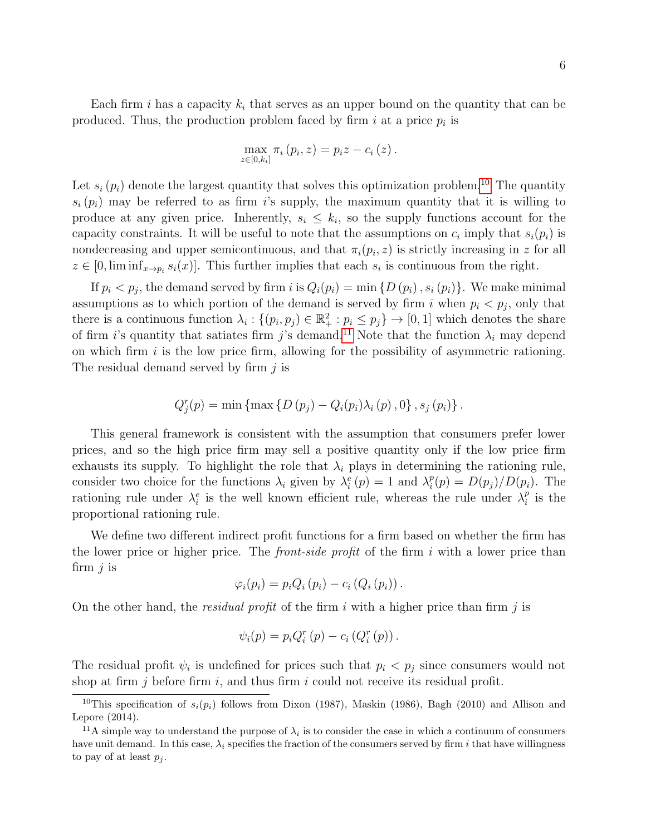Each firm i has a capacity  $k_i$  that serves as an upper bound on the quantity that can be produced. Thus, the production problem faced by firm  $i$  at a price  $p_i$  is

$$
\max_{z \in [0,k_i]} \pi_i (p_i, z) = p_i z - c_i (z).
$$

Let  $s_i(p_i)$  denote the largest quantity that solves this optimization problem.<sup>[10](#page-5-0)</sup> The quantity  $s_i(p_i)$  may be referred to as firm is supply, the maximum quantity that it is willing to produce at any given price. Inherently,  $s_i \leq k_i$ , so the supply functions account for the capacity constraints. It will be useful to note that the assumptions on  $c_i$  imply that  $s_i(p_i)$  is nondecreasing and upper semicontinuous, and that  $\pi_i(p_i, z)$  is strictly increasing in z for all  $z \in [0, \liminf_{x \to p_i} s_i(x)]$ . This further implies that each  $s_i$  is continuous from the right.

If  $p_i < p_j$ , the demand served by firm i is  $Q_i(p_i) = \min \{D(p_i), s_i(p_i)\}\.$  We make minimal assumptions as to which portion of the demand is served by firm i when  $p_i < p_j$ , only that there is a continuous function  $\lambda_i: \{(p_i, p_j) \in \mathbb{R}_+^2 : p_i \leq p_j\} \to [0, 1]$  which denotes the share of firm i's quantity that satiates firm j's demand.<sup>[11](#page-5-1)</sup> Note that the function  $\lambda_i$  may depend on which firm  $i$  is the low price firm, allowing for the possibility of asymmetric rationing. The residual demand served by firm  $j$  is

$$
Q_j^r(p) = \min \{ \max \{ D(p_j) - Q_i(p_i) \lambda_i(p), 0 \}, s_j(p_i) \}.
$$

This general framework is consistent with the assumption that consumers prefer lower prices, and so the high price firm may sell a positive quantity only if the low price firm exhausts its supply. To highlight the role that  $\lambda_i$  plays in determining the rationing rule, consider two choice for the functions  $\lambda_i$  given by  $\lambda_i^e(p) = 1$  and  $\lambda_i^p$  $i^p(p) = D(p_j)/D(p_i)$ . The rationing rule under  $\lambda_i^e$  is the well known efficient rule, whereas the rule under  $\lambda_i^p$  $_i^p$  is the proportional rationing rule.

We define two different indirect profit functions for a firm based on whether the firm has the lower price or higher price. The *front-side profit* of the firm i with a lower price than firm  $j$  is

$$
\varphi_i(p_i) = p_i Q_i (p_i) - c_i (Q_i (p_i)).
$$

On the other hand, the *residual profit* of the firm i with a higher price than firm j is

$$
\psi_i(p) = p_i Q_i^r(p) - c_i (Q_i^r(p)).
$$

The residual profit  $\psi_i$  is undefined for prices such that  $p_i < p_j$  since consumers would not shop at firm  $j$  before firm  $i$ , and thus firm  $i$  could not receive its residual profit.

<span id="page-5-0"></span><sup>&</sup>lt;sup>10</sup>This specification of  $s_i(p_i)$  follows from Dixon (1987), Maskin (1986), Bagh (2010) and Allison and Lepore (2014).

<span id="page-5-1"></span><sup>&</sup>lt;sup>11</sup>A simple way to understand the purpose of  $\lambda_i$  is to consider the case in which a continuum of consumers have unit demand. In this case,  $\lambda_i$  specifies the fraction of the consumers served by firm i that have willingness to pay of at least  $p_i$ .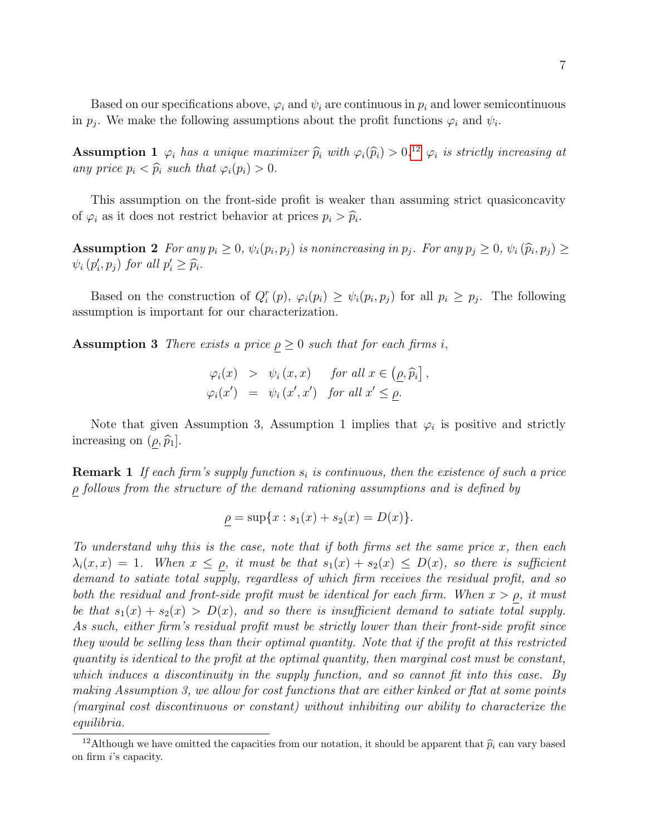Based on our specifications above,  $\varphi_i$  and  $\psi_i$  are continuous in  $p_i$  and lower semicontinuous in  $p_j$ . We make the following assumptions about the profit functions  $\varphi_i$  and  $\psi_i$ .

**Assumption 1**  $\varphi_i$  has a unique maximizer  $\widehat{p}_i$  with  $\varphi_i(\widehat{p}_i) > 0.12$  $\varphi_i(\widehat{p}_i) > 0.12$   $\varphi_i$  is strictly increasing at any price  $p_i \leq \widehat{p}_i$  and that  $\varphi_i(p_i) > 0$ . any price  $p_i < \widehat{p}_i$  such that  $\varphi_i(p_i) > 0$ .

This assumption on the front-side profit is weaker than assuming strict quasiconcavity of  $\varphi_i$  as it does not restrict behavior at prices  $p_i > \widehat{p}_i$ .

Assumption 2 For any  $p_i \geq 0$ ,  $\psi_i(p_i, p_j)$  is nonincreasing in  $p_j$ . For any  $p_j \geq 0$ ,  $\psi_i(\widehat{p}_i, p_j) \geq \psi_i(\widehat{p}_i, p_j)$  $\psi_i(p'_i, p_j)$  for all  $p'_i \geq \widehat{p}_i$ .

Based on the construction of  $Q_i^r(p)$ ,  $\varphi_i(p_i) \geq \psi_i(p_i, p_j)$  for all  $p_i \geq p_j$ . The following assumption is important for our characterization.

**Assumption 3** There exists a price  $\rho \geq 0$  such that for each firms i,

$$
\varphi_i(x) > \psi_i(x, x) \quad \text{for all } x \in (\underline{\rho}, \widehat{p}_i],
$$
  

$$
\varphi_i(x') = \psi_i(x', x') \quad \text{for all } x' \le \rho.
$$

Note that given Assumption 3, Assumption 1 implies that  $\varphi_i$  is positive and strictly increasing on  $(\rho, \widehat{p}_1]$ .

**Remark 1** If each firm's supply function  $s_i$  is continuous, then the existence of such a price  $\rho$  follows from the structure of the demand rationing assumptions and is defined by

$$
\rho = \sup\{x : s_1(x) + s_2(x) = D(x)\}.
$$

To understand why this is the case, note that if both firms set the same price  $x$ , then each  $\lambda_i(x,x) = 1$ . When  $x \leq \rho$ , it must be that  $s_1(x) + s_2(x) \leq D(x)$ , so there is sufficient demand to satiate total supply, regardless of which firm receives the residual profit, and so both the residual and front-side profit must be identical for each firm. When  $x > \rho$ , it must be that  $s_1(x) + s_2(x) > D(x)$ , and so there is insufficient demand to satiate total supply. As such, either firm's residual profit must be strictly lower than their front-side profit since they would be selling less than their optimal quantity. Note that if the profit at this restricted quantity is identical to the profit at the optimal quantity, then marginal cost must be constant, which induces a discontinuity in the supply function, and so cannot fit into this case. By making Assumption 3, we allow for cost functions that are either kinked or flat at some points (marginal cost discontinuous or constant) without inhibiting our ability to characterize the equilibria.

<span id="page-6-0"></span><sup>&</sup>lt;sup>12</sup>Although we have omitted the capacities from our notation, it should be apparent that  $\hat{p}_i$  can vary based on firm i's capacity.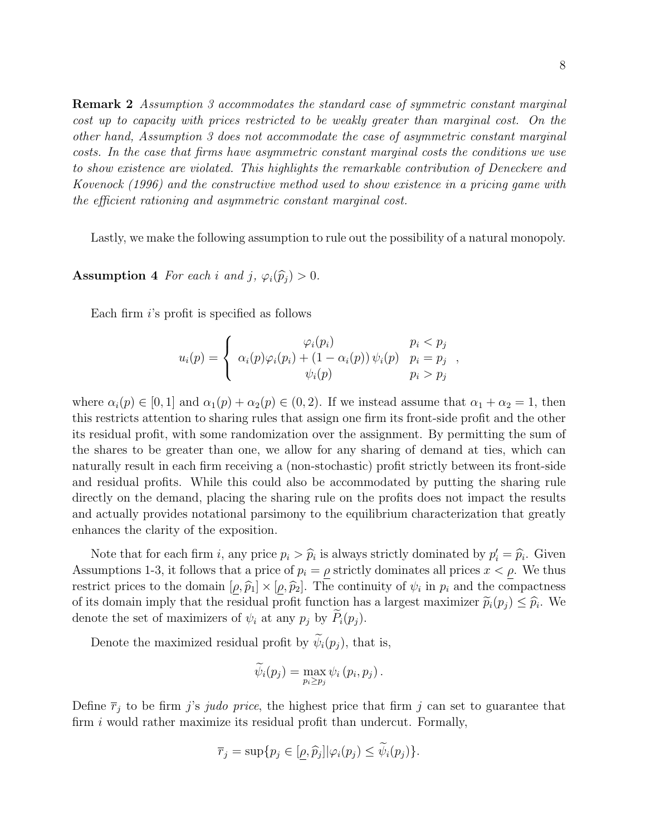Remark 2 Assumption 3 accommodates the standard case of symmetric constant marginal cost up to capacity with prices restricted to be weakly greater than marginal cost. On the other hand, Assumption 3 does not accommodate the case of asymmetric constant marginal costs. In the case that firms have asymmetric constant marginal costs the conditions we use to show existence are violated. This highlights the remarkable contribution of Deneckere and Kovenock (1996) and the constructive method used to show existence in a pricing game with the efficient rationing and asymmetric constant marginal cost.

Lastly, we make the following assumption to rule out the possibility of a natural monopoly.

Assumption 4 For each i and j,  $\varphi_i(\widehat{p}_j) > 0$ .

Each firm  $i$ 's profit is specified as follows

$$
u_i(p) = \begin{cases} \varphi_i(p_i) & p_i < p_j \\ \alpha_i(p)\varphi_i(p_i) + (1 - \alpha_i(p))\psi_i(p) & p_i = p_j \\ \psi_i(p) & p_i > p_j \end{cases}
$$

where  $\alpha_i(p) \in [0,1]$  and  $\alpha_1(p) + \alpha_2(p) \in (0,2)$ . If we instead assume that  $\alpha_1 + \alpha_2 = 1$ , then this restricts attention to sharing rules that assign one firm its front-side profit and the other its residual profit, with some randomization over the assignment. By permitting the sum of the shares to be greater than one, we allow for any sharing of demand at ties, which can naturally result in each firm receiving a (non-stochastic) profit strictly between its front-side and residual profits. While this could also be accommodated by putting the sharing rule directly on the demand, placing the sharing rule on the profits does not impact the results and actually provides notational parsimony to the equilibrium characterization that greatly enhances the clarity of the exposition.

Note that for each firm i, any price  $p_i > \hat{p}_i$  is always strictly dominated by  $p'_i = \hat{p}_i$ . Given<br>unritional 2, it follows that a price of  $p_i = a$  strictly dominates all prices  $x_i \leq a$ . We thus Assumptions 1-3, it follows that a price of  $p_i = \rho$  strictly dominates all prices  $x < \rho$ . We thus restrict prices to the domain  $[\rho, \hat{p}_1] \times [\rho, \hat{p}_2]$ . The continuity of  $\psi_i$  in  $p_i$  and the compactness of its domain input that the residual profit function has a largest maximizer  $\tilde{\mathfrak{m}}(n) \leq \hat{\mathfrak{m}}$ . We of its domain imply that the residual profit function has a largest maximizer  $\tilde{p}_i(p_j) \leq \hat{p}_i$ . We donote the set of maximizers of  $\psi$ , at any  $p_i$  by  $\tilde{P}(p_i)$ . denote the set of maximizers of  $\psi_i$  at any  $p_j$  by  $\tilde{P}_i(p_j)$ .

Denote the maximized residual profit by  $\widetilde{\psi}_i(p_j)$ , that is,

$$
\widetilde{\psi}_i(p_j) = \max_{p_i \geq p_j} \psi_i(p_i, p_j).
$$

Define  $\bar{r}_j$  to be firm j's judo price, the highest price that firm j can set to guarantee that firm  $i$  would rather maximize its residual profit than undercut. Formally,

$$
\overline{r}_j = \sup\{p_j \in [\underline{\rho}, \widehat{p}_j] | \varphi_i(p_j) \leq \psi_i(p_j)\}.
$$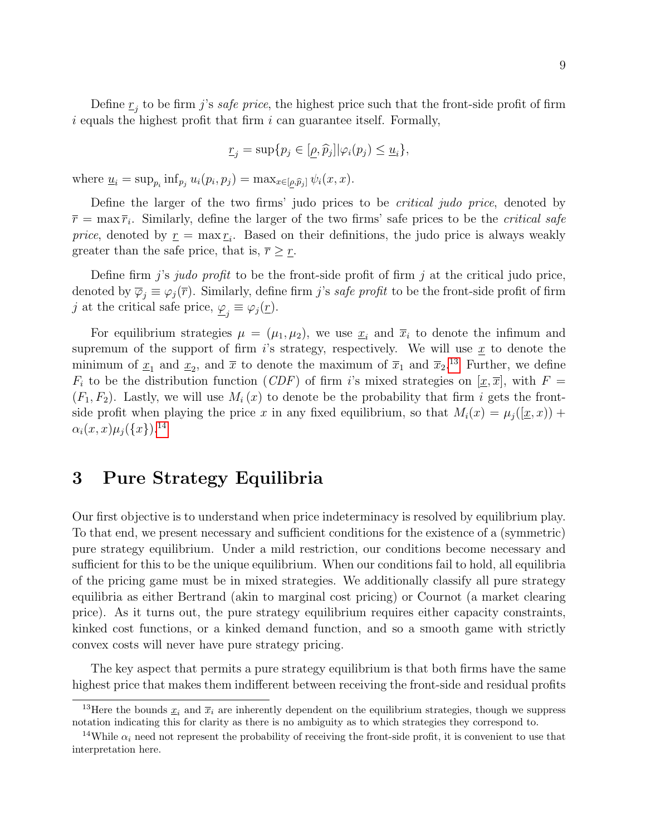Define  $\underline{r}_j$  to be firm j's *safe price*, the highest price such that the front-side profit of firm  $i$  equals the highest profit that firm  $i$  can guarantee itself. Formally,

$$
\underline{r}_j = \sup\{p_j \in [\underline{\rho}, \widehat{p}_j] | \varphi_i(p_j) \le \underline{u}_i\},\
$$

where  $\underline{u}_i = \sup_{p_i} \inf_{p_j} u_i(p_i, p_j) = \max_{x \in [\underline{\rho}, \widehat{p}_j]} \psi_i(x, x)$ .

Define the larger of the two firms' judo prices to be critical judo price, denoted by  $\bar{r} = \max \bar{r_i}$ . Similarly, define the larger of the two firms' safe prices to be the *critical safe* price, denoted by  $\underline{r} = \max \underline{r_i}$ . Based on their definitions, the judo price is always weakly greater than the safe price, that is,  $\bar{r} \geq \bar{r}$ .

Define firm j's judo profit to be the front-side profit of firm j at the critical judo price, denoted by  $\overline{\varphi}_j \equiv \varphi_j(\overline{r})$ . Similarly, define firm j's safe profit to be the front-side profit of firm j at the critical safe price,  $\underline{\varphi}_j \equiv \varphi_j(\underline{r}).$ 

For equilibrium strategies  $\mu = (\mu_1, \mu_2)$ , we use  $\underline{x}_i$  and  $\overline{x}_i$  to denote the infimum and supremum of the support of firm is strategy, respectively. We will use  $\underline{x}$  to denote the minimum of  $\underline{x}_1$  and  $\underline{x}_2$ , and  $\overline{x}$  to denote the maximum of  $\overline{x}_1$  and  $\overline{x}_2$ .<sup>[13](#page-8-0)</sup> Further, we define  $F_i$  to be the distribution function (CDF) of firm i's mixed strategies on  $[\underline{x}, \overline{x}]$ , with  $F =$  $(F_1, F_2)$ . Lastly, we will use  $M_i(x)$  to denote be the probability that firm i gets the frontside profit when playing the price x in any fixed equilibrium, so that  $M_i(x) = \mu_i(\underline{x},x) +$  $\alpha_i(x, x) \mu_i({x})$ .<sup>[14](#page-8-1)</sup>

### 3 Pure Strategy Equilibria

Our first objective is to understand when price indeterminacy is resolved by equilibrium play. To that end, we present necessary and sufficient conditions for the existence of a (symmetric) pure strategy equilibrium. Under a mild restriction, our conditions become necessary and sufficient for this to be the unique equilibrium. When our conditions fail to hold, all equilibria of the pricing game must be in mixed strategies. We additionally classify all pure strategy equilibria as either Bertrand (akin to marginal cost pricing) or Cournot (a market clearing price). As it turns out, the pure strategy equilibrium requires either capacity constraints, kinked cost functions, or a kinked demand function, and so a smooth game with strictly convex costs will never have pure strategy pricing.

The key aspect that permits a pure strategy equilibrium is that both firms have the same highest price that makes them indifferent between receiving the front-side and residual profits

<span id="page-8-0"></span><sup>&</sup>lt;sup>13</sup>Here the bounds  $x_i$  and  $\bar{x}_i$  are inherently dependent on the equilibrium strategies, though we suppress notation indicating this for clarity as there is no ambiguity as to which strategies they correspond to.

<span id="page-8-1"></span><sup>&</sup>lt;sup>14</sup>While  $\alpha_i$  need not represent the probability of receiving the front-side profit, it is convenient to use that interpretation here.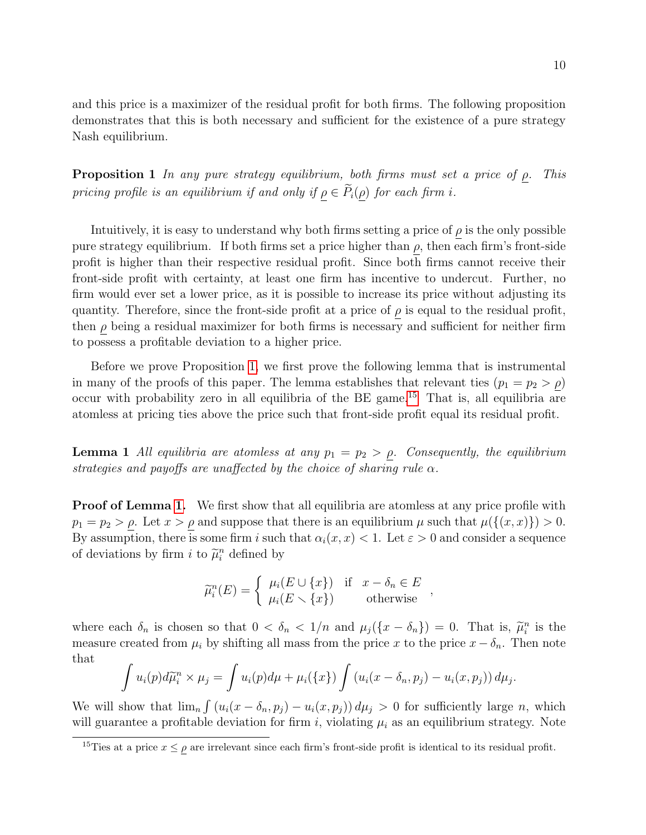and this price is a maximizer of the residual profit for both firms. The following proposition demonstrates that this is both necessary and sufficient for the existence of a pure strategy Nash equilibrium.

<span id="page-9-0"></span>**Proposition 1** In any pure strategy equilibrium, both firms must set a price of  $\rho$ . This pricing profile is an equilibrium if and only if  $\rho \in \widetilde{P}_i(\rho)$  for each firm i.

Intuitively, it is easy to understand why both firms setting a price of  $\rho$  is the only possible pure strategy equilibrium. If both firms set a price higher than  $\rho$ , then each firm's front-side profit is higher than their respective residual profit. Since both firms cannot receive their front-side profit with certainty, at least one firm has incentive to undercut. Further, no firm would ever set a lower price, as it is possible to increase its price without adjusting its quantity. Therefore, since the front-side profit at a price of  $\rho$  is equal to the residual profit, then  $\rho$  being a residual maximizer for both firms is necessary and sufficient for neither firm to possess a profitable deviation to a higher price.

Before we prove Proposition [1,](#page-9-0) we first prove the following lemma that is instrumental in many of the proofs of this paper. The lemma establishes that relevant ties  $(p_1 = p_2 > \rho)$ occur with probability zero in all equilibria of the BE game.<sup>[15](#page-9-1)</sup> That is, all equilibria are atomless at pricing ties above the price such that front-side profit equal its residual profit.

<span id="page-9-2"></span>**Lemma 1** All equilibria are atomless at any  $p_1 = p_2 > \rho$ . Consequently, the equilibrium strategies and payoffs are unaffected by the choice of sharing rule  $\alpha$ .

**Proof of Lemma [1.](#page-9-2)** We first show that all equilibria are atomless at any price profile with  $p_1 = p_2 > \rho$ . Let  $x > \rho$  and suppose that there is an equilibrium  $\mu$  such that  $\mu({(x, x)} > 0$ . By assumption, there is some firm i such that  $\alpha_i(x, x) < 1$ . Let  $\varepsilon > 0$  and consider a sequence of deviations by firm  $i$  to  $\tilde{\mu}_i^n$  defined by

$$
\widetilde{\mu}_i^n(E) = \begin{cases}\n\mu_i(E \cup \{x\}) & \text{if } x - \delta_n \in E \\
\mu_i(E \setminus \{x\}) & \text{otherwise}\n\end{cases}
$$

where each  $\delta_n$  is chosen so that  $0 < \delta_n < 1/n$  and  $\mu_j(\{x - \delta_n\}) = 0$ . That is,  $\tilde{\mu}_i^n$  is the measure created from  $\mu_i$  by shifting all mass from the price x to the price  $x - \delta_n$ . Then note that

$$
\int u_i(p)d\widetilde{\mu}_i^n \times \mu_j = \int u_i(p)d\mu + \mu_i(\lbrace x \rbrace) \int (u_i(x - \delta_n, p_j) - u_i(x, p_j)) d\mu_j.
$$

We will show that  $\lim_{n} \int (u_i(x - \delta_n, p_j) - u_i(x, p_j)) d\mu_j > 0$  for sufficiently large n, which will guarantee a profitable deviation for firm i, violating  $\mu_i$  as an equilibrium strategy. Note

<span id="page-9-1"></span><sup>&</sup>lt;sup>15</sup>Ties at a price  $x \le \rho$  are irrelevant since each firm's front-side profit is identical to its residual profit.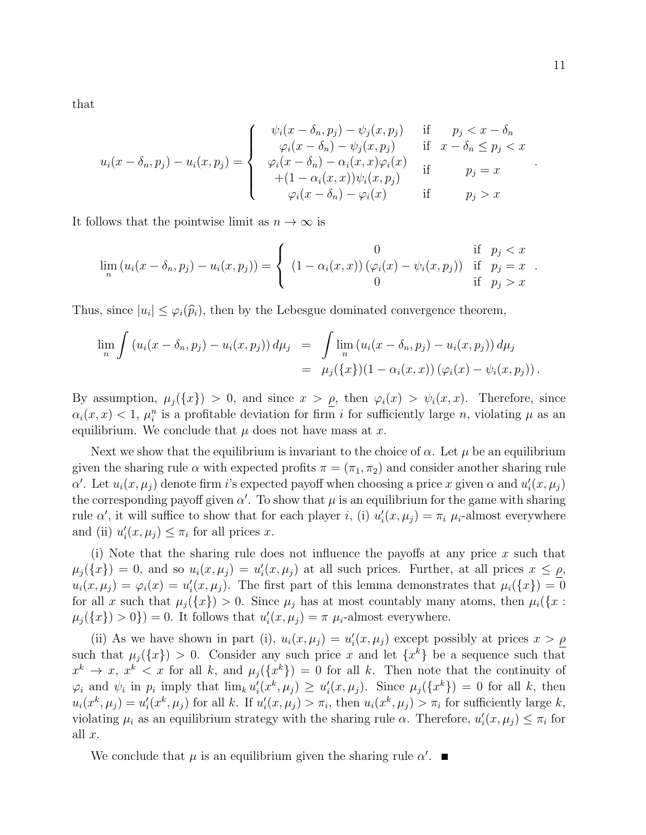that

$$
u_i(x - \delta_n, p_j) - u_i(x, p_j) = \begin{cases} \psi_i(x - \delta_n, p_j) - \psi_j(x, p_j) & \text{if } p_j < x - \delta_n \\ \varphi_i(x - \delta_n) - \psi_j(x, p_j) & \text{if } x - \delta_n \le p_j < x \\ \varphi_i(x - \delta_n) - \alpha_i(x, x)\varphi_i(x) & \text{if } p_j = x \\ +(1 - \alpha_i(x, x))\psi_i(x, p_j) & \text{if } p_j > x \end{cases}
$$

It follows that the pointwise limit as  $n \to \infty$  is

$$
\lim_{n} (u_i(x - \delta_n, p_j) - u_i(x, p_j)) = \begin{cases} 0 & \text{if } p_j < x \\ (1 - \alpha_i(x, x)) (\varphi_i(x) - \psi_i(x, p_j)) & \text{if } p_j = x \\ 0 & \text{if } p_j > x \end{cases}.
$$

Thus, since  $|u_i| \leq \varphi_i(\widehat{p}_i)$ , then by the Lebesgue dominated convergence theorem,

$$
\lim_{n} \int (u_i(x - \delta_n, p_j) - u_i(x, p_j)) d\mu_j = \int \lim_{n} (u_i(x - \delta_n, p_j) - u_i(x, p_j)) d\mu_j
$$
  
=  $\mu_j(\{x\})(1 - \alpha_i(x, x)) (\varphi_i(x) - \psi_i(x, p_j)).$ 

By assumption,  $\mu_j({x}) > 0$ , and since  $x > \rho$ , then  $\varphi_i(x) > \psi_i(x, x)$ . Therefore, since  $\alpha_i(x, x) < 1$ ,  $\mu_i^n$  is a profitable deviation for firm i for sufficiently large n, violating  $\mu$  as an equilibrium. We conclude that  $\mu$  does not have mass at x.

Next we show that the equilibrium is invariant to the choice of  $\alpha$ . Let  $\mu$  be an equilibrium given the sharing rule  $\alpha$  with expected profits  $\pi = (\pi_1, \pi_2)$  and consider another sharing rule  $\alpha'$ . Let  $u_i(x, \mu_j)$  denote firm i's expected payoff when choosing a price x given  $\alpha$  and  $u'_i(x, \mu_j)$ the corresponding payoff given  $\alpha'$ . To show that  $\mu$  is an equilibrium for the game with sharing rule  $\alpha'$ , it will suffice to show that for each player i, (i)  $u'_i(x, \mu_j) = \pi_i \mu_i$ -almost everywhere and (ii)  $u'_i(x, \mu_j) \leq \pi_i$  for all prices x.

(i) Note that the sharing rule does not influence the payoffs at any price  $x$  such that  $\mu_j(\{x\}) = 0$ , and so  $u_i(x, \mu_j) = u'_i(x, \mu_j)$  at all such prices. Further, at all prices  $x \leq \rho$ ,  $u_i(x,\mu_j) = \varphi_i(x) = u'_i(x,\mu_j)$ . The first part of this lemma demonstrates that  $\mu_i({x}) = 0$ for all x such that  $\mu_i({x}) > 0$ . Since  $\mu_i$  has at most countably many atoms, then  $\mu_i({x :}$  $\mu_j({x}) > 0$ ) = 0. It follows that  $u'_i(x, \mu_j) = \pi \mu_i$ -almost everywhere.

(ii) As we have shown in part (i),  $u_i(x, \mu_j) = u'_i(x, \mu_j)$  except possibly at prices  $x > \rho$ such that  $\mu_j({x}) > 0$ . Consider any such price x and let  ${x^k}$  be a sequence such that  $x^k \to x, x^k < x$  for all k, and  $\mu_j(\lbrace x^k \rbrace) = 0$  for all k. Then note that the continuity of  $\varphi_i$  and  $\psi_i$  in  $p_i$  imply that  $\lim_k u'_i(x^k, \mu_j) \ge u'_i(x, \mu_j)$ . Since  $\mu_j({x^k}) = 0$  for all k, then  $u_i(x^k, \mu_j) = u'_i(x^k, \mu_j)$  for all k. If  $u'_i(x, \mu_j) > \pi_i$ , then  $u_i(x^k, \mu_j) > \pi_i$  for sufficiently large k, violating  $\mu_i$  as an equilibrium strategy with the sharing rule  $\alpha$ . Therefore,  $u'_i(x, \mu_j) \leq \pi_i$  for all  $x$ .

We conclude that  $\mu$  is an equilibrium given the sharing rule  $\alpha'$ .

.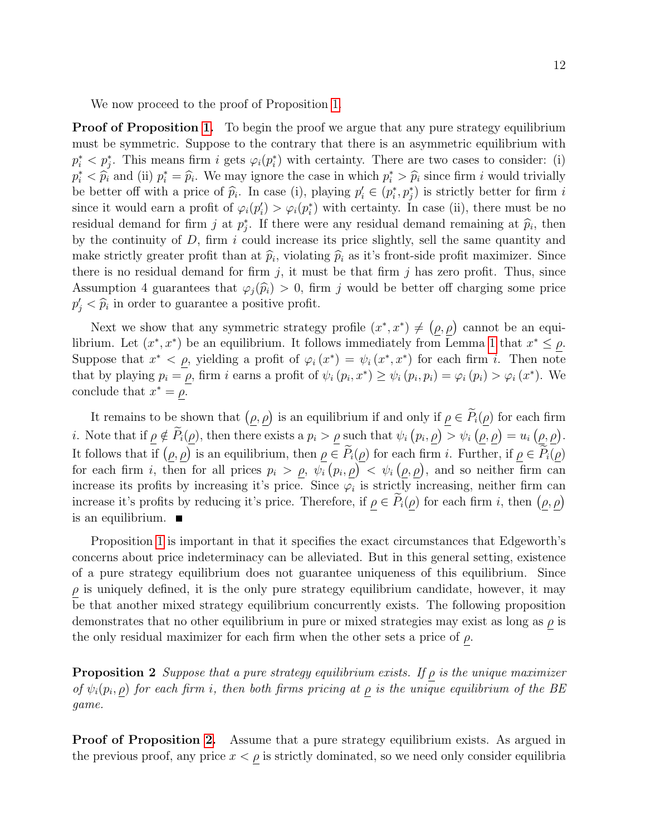We now proceed to the proof of Proposition [1.](#page-9-0)

**Proof of Proposition [1.](#page-9-0)** To begin the proof we argue that any pure strategy equilibrium must be symmetric. Suppose to the contrary that there is an asymmetric equilibrium with  $p_i^* \lt p_j^*$ . This means firm i gets  $\varphi_i(p_i^*)$  with certainty. There are two cases to consider: (i)  $p_i^* < \hat{p}_i$  and (ii)  $p_i^* = \hat{p}_i$ . We may ignore the case in which  $p_i^* > \hat{p}_i$  since firm i would trivially be hetter of with a price of  $\hat{p}_i$ . In each (i) playing  $p_i' \in (p_i^*, p_i^*)$  is strictly better for firm i be better off with a price of  $\hat{p}_i$ . In case (i), playing  $p'_i \in (p_i^*, p_j^*)$  is strictly better for firm is since it would earn a profit of  $\varphi_i(p_i') > \varphi_i(p_i^*)$  with certainty. In case (ii), there must be no residual demand for firm j at  $p_j^*$ . If there were any residual demand remaining at  $\hat{p}_i$ , then<br>by the continuity of D, firm i could increase its price elightly, cell the came quantity and by the continuity of  $D$ , firm i could increase its price slightly, sell the same quantity and make strictly greater profit than at  $\hat{p}_i$ , violating  $\hat{p}_i$  as it's front-side profit maximizer. Since there is no regidual demand for firm is it must be that firm is because profit. Thus, since there is no residual demand for firm  $j$ , it must be that firm  $j$  has zero profit. Thus, since Assumption 4 guarantees that  $\varphi_i(\hat{p}_i) > 0$ , firm j would be better off charging some price  $p'_j < \hat{p}_i$  in order to guarantee a positive profit.

Next we show that any symmetric strategy profile  $(x^*, x^*) \neq (\rho, \rho)$  cannot be an equilibrium. Let  $(x^*, x^*)$  be an equilibrium. It follows immediately from Lemma [1](#page-9-2) that  $x^* \leq \rho$ . Suppose that  $x^* < \rho$ , yielding a profit of  $\varphi_i(x^*) = \psi_i(x^*, x^*)$  for each firm i. Then note that by playing  $p_i = \rho$ , firm i earns a profit of  $\psi_i(p_i, x^*) \ge \psi_i(p_i, p_i) = \varphi_i(p_i) > \varphi_i(x^*)$ . We conclude that  $x^* = \rho$ .

It remains to be shown that  $(\rho, \rho)$  is an equilibrium if and only if  $\rho \in P_i(\rho)$  for each firm *i*. Note that if  $\underline{\rho} \notin \overline{P_i(\underline{\rho})}$ , then there exists a  $p_i > \underline{\rho}$  such that  $\psi_i(p_i, \underline{\rho}) > \psi_i(\underline{\rho}, \underline{\rho}) = u_i(\underline{\rho}, \underline{\rho})$ . It follows that if  $(\rho, \rho)$  is an equilibrium, then  $\rho \in \tilde{P}_i(\rho)$  for each firm i. Further, if  $\rho \in \tilde{P}_i(\rho)$ for each firm i, then for all prices  $p_i > \rho, \psi_i(p_i, \rho) < \psi_i(\rho, \rho)$ , and so neither firm can increase its profits by increasing it's price. Since  $\varphi_i$  is strictly increasing, neither firm can increase it's profits by reducing it's price. Therefore, if  $\rho \in P_i(\rho)$  for each firm i, then  $(\rho, \rho)$ is an equilibrium.

Proposition [1](#page-9-0) is important in that it specifies the exact circumstances that Edgeworth's concerns about price indeterminacy can be alleviated. But in this general setting, existence of a pure strategy equilibrium does not guarantee uniqueness of this equilibrium. Since  $\rho$  is uniquely defined, it is the only pure strategy equilibrium candidate, however, it may be that another mixed strategy equilibrium concurrently exists. The following proposition demonstrates that no other equilibrium in pure or mixed strategies may exist as long as  $\rho$  is the only residual maximizer for each firm when the other sets a price of  $\rho$ .

<span id="page-11-0"></span>**Proposition 2** Suppose that a pure strategy equilibrium exists. If  $\rho$  is the unique maximizer of  $\psi_i(p_i, \rho)$  for each firm i, then both firms pricing at  $\rho$  is the unique equilibrium of the BE game.

**Proof of Proposition [2.](#page-11-0)** Assume that a pure strategy equilibrium exists. As argued in the previous proof, any price  $x < \rho$  is strictly dominated, so we need only consider equilibria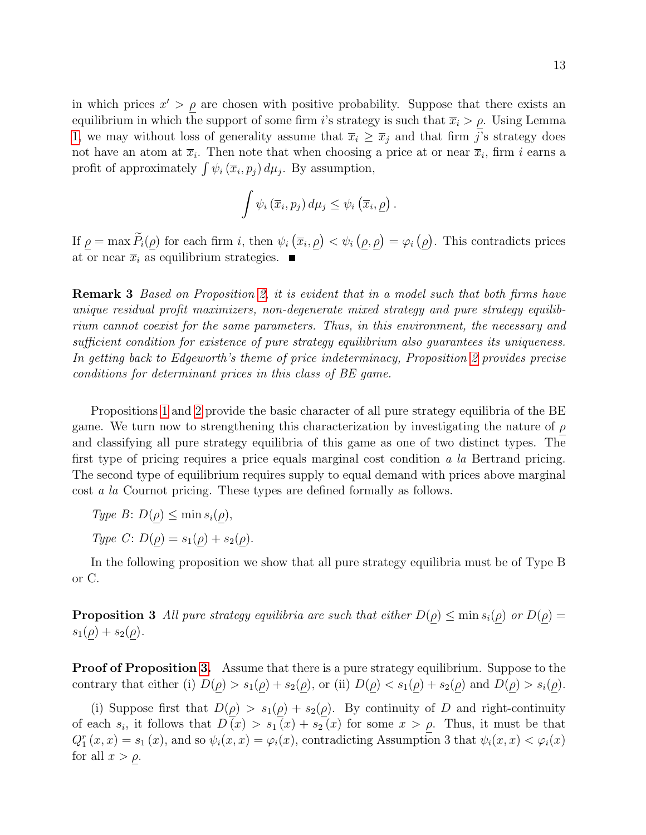in which prices  $x' > \rho$  are chosen with positive probability. Suppose that there exists an equilibrium in which the support of some firm i's strategy is such that  $\overline{x}_i > \rho$ . Using Lemma [1,](#page-9-2) we may without loss of generality assume that  $\overline{x}_i \geq \overline{x}_j$  and that firm j's strategy does not have an atom at  $\bar{x}_i$ . Then note that when choosing a price at or near  $\bar{x}_i$ , firm i earns a profit of approximately  $\int \psi_i (\overline{x}_i, p_j) d\mu_j$ . By assumption,

$$
\int \psi_i\left(\overline{x}_i, p_j\right) d\mu_j \leq \psi_i\left(\overline{x}_i, \underline{\rho}\right)
$$

.

If  $\rho = \max \overline{P_i(\rho)}$  for each firm i, then  $\psi_i(\overline{x}_i, \rho) < \psi_i(\rho, \rho) = \varphi_i(\rho)$ . This contradicts prices at or near  $\overline{x}_i$  as equilibrium strategies.

Remark 3 Based on Proposition [2,](#page-11-0) it is evident that in a model such that both firms have unique residual profit maximizers, non-degenerate mixed strategy and pure strategy equilibrium cannot coexist for the same parameters. Thus, in this environment, the necessary and sufficient condition for existence of pure strategy equilibrium also guarantees its uniqueness. In getting back to Edgeworth's theme of price indeterminacy, Proposition [2](#page-11-0) provides precise conditions for determinant prices in this class of BE game.

Propositions [1](#page-9-0) and [2](#page-11-0) provide the basic character of all pure strategy equilibria of the BE game. We turn now to strengthening this characterization by investigating the nature of  $\rho$ and classifying all pure strategy equilibria of this game as one of two distinct types. The first type of pricing requires a price equals marginal cost condition a la Bertrand pricing. The second type of equilibrium requires supply to equal demand with prices above marginal cost a la Cournot pricing. These types are defined formally as follows.

- Type  $B: D(\rho) \leq \min s_i(\rho)$ ,
- Type C:  $D(\rho) = s_1(\rho) + s_2(\rho)$ .

<span id="page-12-0"></span>In the following proposition we show that all pure strategy equilibria must be of Type B or C.

**Proposition 3** All pure strategy equilibria are such that either  $D(\rho) \leq \min s_i(\rho)$  or  $D(\rho) =$  $s_1(\rho) + s_2(\rho)$ .

**Proof of Proposition [3.](#page-12-0)** Assume that there is a pure strategy equilibrium. Suppose to the contrary that either (i)  $D(\rho) > s_1(\rho) + s_2(\rho)$ , or (ii)  $D(\rho) < s_1(\rho) + s_2(\rho)$  and  $D(\rho) > s_i(\rho)$ .

(i) Suppose first that  $D(\rho) > s_1(\rho) + s_2(\rho)$ . By continuity of D and right-continuity of each  $s_i$ , it follows that  $D(x) > s_1(x) + s_2(x)$  for some  $x > \rho$ . Thus, it must be that  $Q_1^r(x,x) = s_1(x)$ , and so  $\psi_i(x,x) = \varphi_i(x)$ , contradicting Assumption 3 that  $\psi_i(x,x) < \varphi_i(x)$ for all  $x > \rho$ .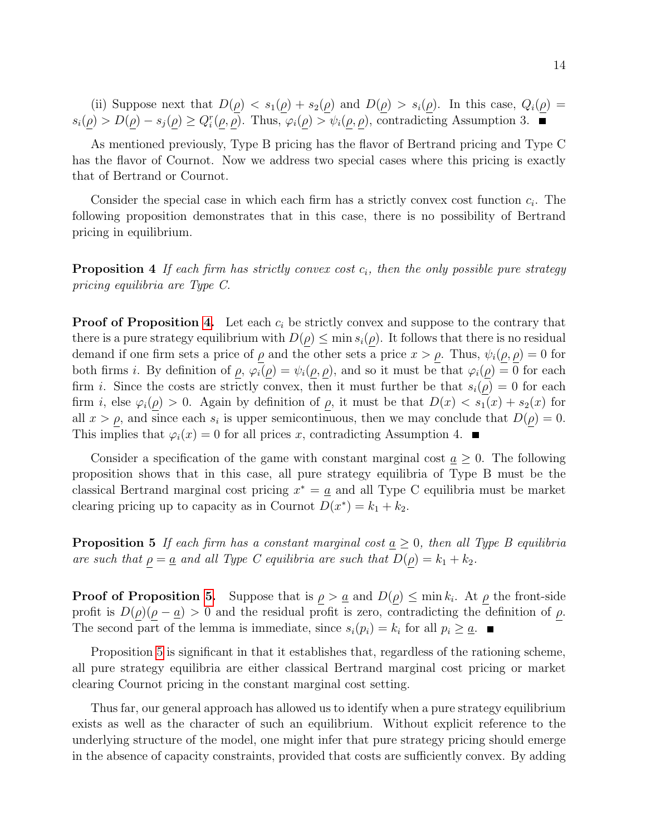(ii) Suppose next that  $D(\underline{\rho}) < s_1(\underline{\rho}) + s_2(\underline{\rho})$  and  $D(\underline{\rho}) > s_i(\underline{\rho})$ . In this case,  $Q_i(\underline{\rho}) =$  $s_i(\underline{\rho}) > D(\underline{\rho}) - s_j(\underline{\rho}) \ge Q_i^r(\underline{\rho}, \underline{\rho})$ . Thus,  $\varphi_i(\underline{\rho}) > \psi_i(\underline{\rho}, \underline{\rho})$ , contradicting Assumption 3.

As mentioned previously, Type B pricing has the flavor of Bertrand pricing and Type C has the flavor of Cournot. Now we address two special cases where this pricing is exactly that of Bertrand or Cournot.

Consider the special case in which each firm has a strictly convex cost function  $c_i$ . The following proposition demonstrates that in this case, there is no possibility of Bertrand pricing in equilibrium.

<span id="page-13-0"></span>**Proposition 4** If each firm has strictly convex cost  $c_i$ , then the only possible pure strategy pricing equilibria are Type C.

**Proof of Proposition [4.](#page-13-0)** Let each  $c_i$  be strictly convex and suppose to the contrary that there is a pure strategy equilibrium with  $D(\rho) \leq \min s_i(\rho)$ . It follows that there is no residual demand if one firm sets a price of  $\rho$  and the other sets a price  $x > \rho$ . Thus,  $\psi_i(\rho, \rho) = 0$  for both firms i. By definition of  $\rho$ ,  $\varphi_i(\rho) = \psi_i(\rho, \rho)$ , and so it must be that  $\varphi_i(\rho) = 0$  for each firm *i*. Since the costs are strictly convex, then it must further be that  $s_i(\rho) = 0$  for each firm i, else  $\varphi_i(\rho) > 0$ . Again by definition of  $\rho$ , it must be that  $D(x) < s_1(x) + s_2(x)$  for all  $x > \rho$ , and since each  $s_i$  is upper semicontinuous, then we may conclude that  $D(\rho) = 0$ . This implies that  $\varphi_i(x) = 0$  for all prices x, contradicting Assumption 4.

Consider a specification of the game with constant marginal cost  $a \geq 0$ . The following proposition shows that in this case, all pure strategy equilibria of Type B must be the classical Bertrand marginal cost pricing  $x^* = \underline{a}$  and all Type C equilibria must be market clearing pricing up to capacity as in Cournot  $D(x^*) = k_1 + k_2$ .

<span id="page-13-1"></span>**Proposition 5** If each firm has a constant marginal cost  $a \geq 0$ , then all Type B equilibria are such that  $\rho = \underline{a}$  and all Type C equilibria are such that  $D(\rho) = k_1 + k_2$ .

**Proof of Proposition [5.](#page-13-1)** Suppose that is  $\rho > a$  and  $D(\rho) \leq \min k_i$ . At  $\rho$  the front-side profit is  $D(\rho)(\rho - \underline{a}) > 0$  and the residual profit is zero, contradicting the definition of  $\rho$ . The second part of the lemma is immediate, since  $s_i(p_i) = k_i$  for all  $p_i \geq \underline{a}$ .

Proposition [5](#page-13-1) is significant in that it establishes that, regardless of the rationing scheme, all pure strategy equilibria are either classical Bertrand marginal cost pricing or market clearing Cournot pricing in the constant marginal cost setting.

Thus far, our general approach has allowed us to identify when a pure strategy equilibrium exists as well as the character of such an equilibrium. Without explicit reference to the underlying structure of the model, one might infer that pure strategy pricing should emerge in the absence of capacity constraints, provided that costs are sufficiently convex. By adding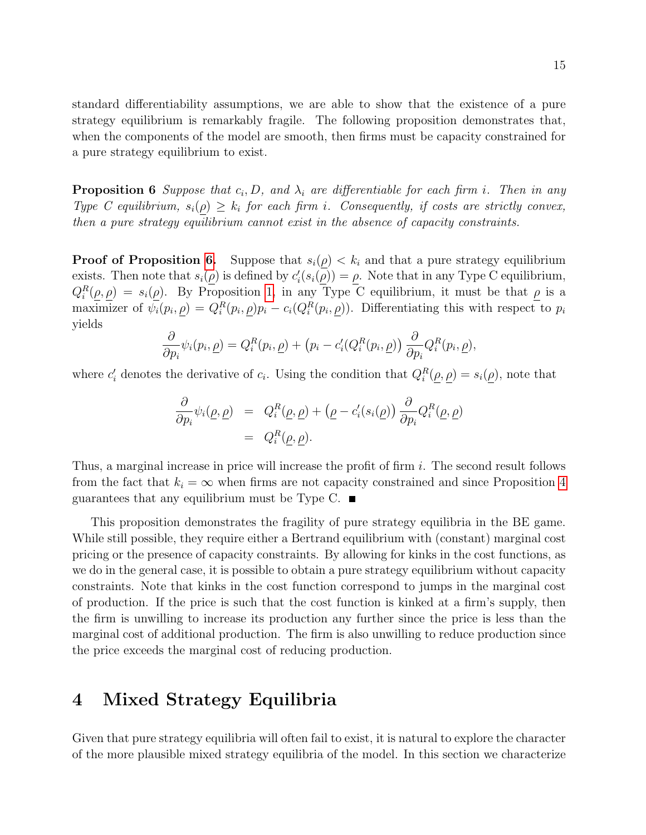standard differentiability assumptions, we are able to show that the existence of a pure strategy equilibrium is remarkably fragile. The following proposition demonstrates that, when the components of the model are smooth, then firms must be capacity constrained for a pure strategy equilibrium to exist.

<span id="page-14-0"></span>**Proposition 6** Suppose that  $c_i$ , D, and  $\lambda_i$  are differentiable for each firm i. Then in any Type C equilibrium,  $s_i(\rho) \geq k_i$  for each firm i. Consequently, if costs are strictly convex, then a pure strategy equilibrium cannot exist in the absence of capacity constraints.

**Proof of Proposition [6.](#page-14-0)** Suppose that  $s_i(\rho) < k_i$  and that a pure strategy equilibrium exists. Then note that  $s_i(\underline{\rho})$  is defined by  $c'_i(s_i(\underline{\rho})) = \underline{\rho}$ . Note that in any Type C equilibrium,  $Q_i^R(\rho, \rho) = s_i(\rho)$ . By Proposition [1,](#page-9-0) in any Type C equilibrium, it must be that  $\rho$  is a maximizer of  $\psi_i(p_i, \underline{\rho}) = Q_i^R(p_i, \underline{\rho}) p_i - c_i(Q_i^R(p_i, \underline{\rho}))$ . Differentiating this with respect to  $p_i$ yields

$$
\frac{\partial}{\partial p_i}\psi_i(p_i,\underline{\rho}) = Q_i^R(p_i,\underline{\rho}) + (p_i - c_i'(Q_i^R(p_i,\underline{\rho})) \frac{\partial}{\partial p_i} Q_i^R(p_i,\underline{\rho}),
$$

where  $c'_i$  denotes the derivative of  $c_i$ . Using the condition that  $Q_i^R(\rho, \rho) = s_i(\rho)$ , note that

$$
\frac{\partial}{\partial p_i} \psi_i(\underline{\rho}, \underline{\rho}) = Q_i^R(\underline{\rho}, \underline{\rho}) + (\underline{\rho} - c_i'(s_i(\underline{\rho})) \frac{\partial}{\partial p_i} Q_i^R(\underline{\rho}, \underline{\rho}) \n= Q_i^R(\underline{\rho}, \underline{\rho}).
$$

Thus, a marginal increase in price will increase the profit of firm i. The second result follows from the fact that  $k_i = \infty$  when firms are not capacity constrained and since Proposition [4](#page-13-0) guarantees that any equilibrium must be Type C.  $\blacksquare$ 

This proposition demonstrates the fragility of pure strategy equilibria in the BE game. While still possible, they require either a Bertrand equilibrium with (constant) marginal cost pricing or the presence of capacity constraints. By allowing for kinks in the cost functions, as we do in the general case, it is possible to obtain a pure strategy equilibrium without capacity constraints. Note that kinks in the cost function correspond to jumps in the marginal cost of production. If the price is such that the cost function is kinked at a firm's supply, then the firm is unwilling to increase its production any further since the price is less than the marginal cost of additional production. The firm is also unwilling to reduce production since the price exceeds the marginal cost of reducing production.

### 4 Mixed Strategy Equilibria

Given that pure strategy equilibria will often fail to exist, it is natural to explore the character of the more plausible mixed strategy equilibria of the model. In this section we characterize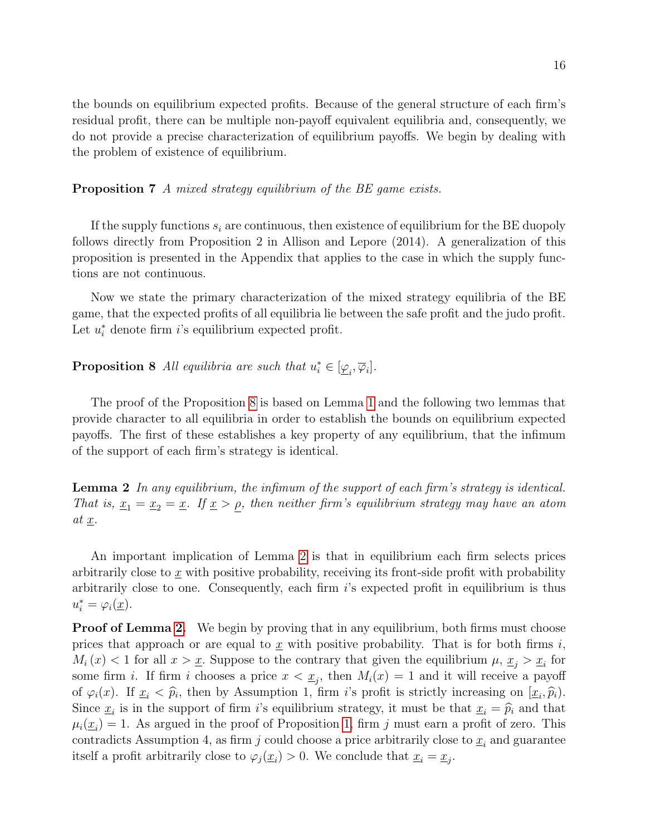the bounds on equilibrium expected profits. Because of the general structure of each firm's residual profit, there can be multiple non-payoff equivalent equilibria and, consequently, we do not provide a precise characterization of equilibrium payoffs. We begin by dealing with the problem of existence of equilibrium.

<span id="page-15-2"></span>Proposition 7 A mixed strategy equilibrium of the BE game exists.

If the supply functions  $s_i$  are continuous, then existence of equilibrium for the BE duopoly follows directly from Proposition 2 in Allison and Lepore (2014). A generalization of this proposition is presented in the Appendix that applies to the case in which the supply functions are not continuous.

Now we state the primary characterization of the mixed strategy equilibria of the BE game, that the expected profits of all equilibria lie between the safe profit and the judo profit. Let  $u_i^*$  denote firm *i*'s equilibrium expected profit.

<span id="page-15-0"></span>**Proposition 8** All equilibria are such that  $u_i^* \in [\underline{\varphi}_i, \overline{\varphi}_i].$ 

The proof of the Proposition [8](#page-15-0) is based on Lemma [1](#page-9-2) and the following two lemmas that provide character to all equilibria in order to establish the bounds on equilibrium expected payoffs. The first of these establishes a key property of any equilibrium, that the infimum of the support of each firm's strategy is identical.

<span id="page-15-1"></span>Lemma 2 In any equilibrium, the infimum of the support of each firm's strategy is identical. That is,  $\underline{x}_1 = \underline{x}_2 = \underline{x}$ . If  $\underline{x} > \rho$ , then neither firm's equilibrium strategy may have an atom at x.

An important implication of Lemma [2](#page-15-1) is that in equilibrium each firm selects prices arbitrarily close to  $\underline{x}$  with positive probability, receiving its front-side profit with probability arbitrarily close to one. Consequently, each firm i's expected profit in equilibrium is thus  $u_i^* = \varphi_i(\underline{x}).$ 

**Proof of Lemma [2.](#page-15-1)** We begin by proving that in any equilibrium, both firms must choose prices that approach or are equal to  $\underline{x}$  with positive probability. That is for both firms i,  $M_i(x) < 1$  for all  $x > \underline{x}$ . Suppose to the contrary that given the equilibrium  $\mu, \underline{x}_j > \underline{x}_i$  for some firm *i*. If firm *i* chooses a price  $x < \underline{x}_j$ , then  $M_i(x) = 1$  and it will receive a payoff of  $\varphi_i(x)$ . If  $\underline{x}_i < \widehat{p}_i$ , then by Assumption 1, firm i's profit is strictly increasing on  $[\underline{x}_i, \widehat{p}_i]$ .<br>Since  $\underline{x}_i$  is in the support of firm i's esuilibrium strategy it must be that  $\underline{x}_i = \widehat{x}_i$  and tha Since  $\underline{x}_i$  is in the support of firm *i*'s equilibrium strategy, it must be that  $\underline{x}_i = \widehat{p}_i$  and that  $\mu(x) = 1$ . As argued in the proof of Proposition 1, firm *i* must some a profit of zero. This  $\mu_i(\underline{x}_i) = 1$ . As argued in the proof of Proposition [1,](#page-9-0) firm j must earn a profit of zero. This contradicts Assumption 4, as firm j could choose a price arbitrarily close to  $\underline{x}_i$  and guarantee itself a profit arbitrarily close to  $\varphi_j(\underline{x}_i) > 0$ . We conclude that  $\underline{x}_i = \underline{x}_j$ .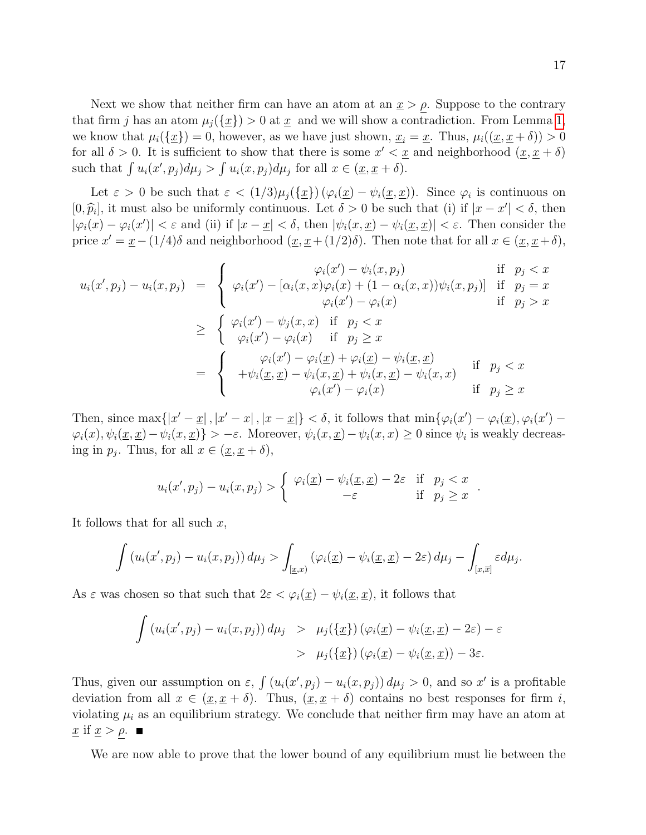Next we show that neither firm can have an atom at an  $\underline{x} > \rho$ . Suppose to the contrary that firm j has an atom  $\mu_j(\{\underline{x}\}) > 0$  at  $\underline{x}$  and we will show a contradiction. From Lemma [1,](#page-9-2) we know that  $\mu_i(\{\underline{x}\}) = 0$ , however, as we have just shown,  $\underline{x}_i = \underline{x}$ . Thus,  $\mu_i((\underline{x}, \underline{x} + \delta)) > 0$ for all  $\delta > 0$ . It is sufficient to show that there is some  $x' < \underline{x}$  and neighborhood  $(\underline{x}, \underline{x} + \delta)$ such that  $\int u_i(x', p_j) d\mu_j > \int u_i(x, p_j) d\mu_j$  for all  $x \in (\underline{x}, \underline{x} + \delta)$ .

Let  $\varepsilon > 0$  be such that  $\varepsilon < (1/3)\mu_j(\{\underline{x}\}) (\varphi_i(\underline{x}) - \psi_i(\underline{x}, \underline{x}))$ . Since  $\varphi_i$  is continuous on  $[0, \hat{p}_i]$ , it must also be uniformly continuous. Let  $\delta > 0$  be such that (i) if  $|x - x'| < \delta$ , then  $|\varphi_i(x) - \varphi_i(x')| < \varepsilon$  and (ii) if  $|x - \underline{x}| < \delta$ , then  $|\psi_i(x, \underline{x}) - \psi_i(\underline{x}, \underline{x})| < \varepsilon$ . Then consider the price  $x' = \underline{x} - (1/4)\delta$  and neighborhood  $(\underline{x}, \underline{x} + (1/2)\delta)$ . Then note that for all  $x \in (\underline{x}, \underline{x} + \delta)$ ,

$$
u_i(x', p_j) - u_i(x, p_j) = \begin{cases} \varphi_i(x') - \psi_i(x, p_j) & \text{if } p_j < x \\ \varphi_i(x') - [\alpha_i(x, x)\varphi_i(x) + (1 - \alpha_i(x, x))\psi_i(x, p_j)] & \text{if } p_j = x \\ \varphi_i(x') - \varphi_i(x) & \text{if } p_j > x \end{cases}
$$
  

$$
\geq \begin{cases} \varphi_i(x') - \psi_j(x, x) & \text{if } p_j < x \\ \varphi_i(x') - \varphi_i(x) & \text{if } p_j \geq x \end{cases}
$$
  

$$
= \begin{cases} \varphi_i(x') - \varphi_i(x) & \text{if } p_j \geq x \\ + \psi_i(\underline{x}, \underline{x}) - \psi_i(x, \underline{x}) + \psi_i(x, \underline{x}) - \psi_i(x, x) & \text{if } p_j < x \\ \varphi_i(x') - \varphi_i(x) & \text{if } p_j \geq x \end{cases}
$$

Then, since  $\max\{|x'-x|, |x-x|, |x-\underline{x}|\} < \delta$ , it follows that  $\min\{\varphi_i(x') - \varphi_i(\underline{x}), \varphi_i(x') - \delta\}$  $\varphi_i(x), \psi_i(\underline{x}, \underline{x}) - \psi_i(x, \underline{x})$ } > −ε. Moreover,  $\psi_i(x, \underline{x}) - \psi_i(x, x) \ge 0$  since  $\psi_i$  is weakly decreasing in  $p_j$ . Thus, for all  $x \in (\underline{x}, \underline{x} + \delta)$ ,

$$
u_i(x', p_j) - u_i(x, p_j) > \begin{cases} \varphi_i(\underline{x}) - \psi_i(\underline{x}, \underline{x}) - 2\varepsilon & \text{if } p_j < x \\ -\varepsilon & \text{if } p_j \ge x \end{cases}
$$

It follows that for all such  $x$ ,

$$
\int \left(u_i(x',p_j) - u_i(x,p_j)\right) d\mu_j > \int_{[\underline{x},x)} \left(\varphi_i(\underline{x}) - \psi_i(\underline{x},\underline{x}) - 2\varepsilon\right) d\mu_j - \int_{[x,\overline{x}]} \varepsilon d\mu_j.
$$

As  $\varepsilon$  was chosen so that such that  $2\varepsilon < \varphi_i(\underline{x}) - \psi_i(\underline{x}, \underline{x})$ , it follows that

$$
\int (u_i(x', p_j) - u_i(x, p_j)) d\mu_j > \mu_j(\{\underline{x}\}) (\varphi_i(\underline{x}) - \psi_i(\underline{x}, \underline{x}) - 2\varepsilon) - \varepsilon
$$
  
> 
$$
\mu_j(\{\underline{x}\}) (\varphi_i(\underline{x}) - \psi_i(\underline{x}, \underline{x})) - 3\varepsilon.
$$

Thus, given our assumption on  $\varepsilon$ ,  $\int (u_i(x', p_j) - u_i(x, p_j)) d\mu_j > 0$ , and so x' is a profitable deviation from all  $x \in (\underline{x}, \underline{x} + \delta)$ . Thus,  $(\underline{x}, \underline{x} + \delta)$  contains no best responses for firm i, violating  $\mu_i$  as an equilibrium strategy. We conclude that neither firm may have an atom at  $\underline{x}$  if  $\underline{x} > \rho$ .

We are now able to prove that the lower bound of any equilibrium must lie between the

.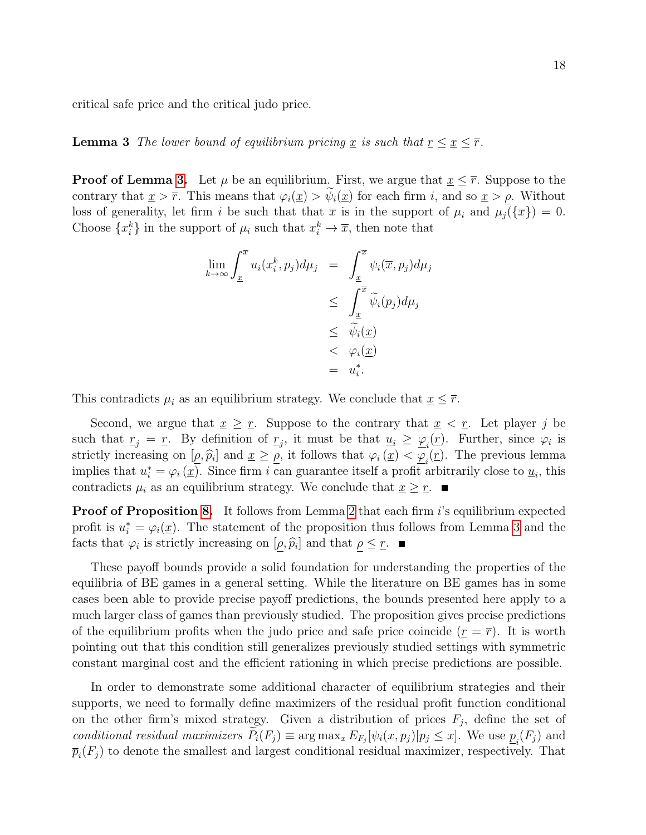<span id="page-17-0"></span>critical safe price and the critical judo price.

**Lemma 3** The lower bound of equilibrium pricing x is such that  $\underline{r} \leq \underline{x} \leq \overline{r}$ .

**Proof of Lemma [3.](#page-17-0)** Let  $\mu$  be an equilibrium. First, we argue that  $x \leq \overline{r}$ . Suppose to the contrary that  $\underline{x} > \overline{r}$ . This means that  $\varphi_i(\underline{x}) > \psi_i(\underline{x})$  for each firm i, and so  $\underline{x} > \rho$ . Without loss of generality, let firm i be such that that  $\bar{x}$  is in the support of  $\mu_i$  and  $\mu_j(\{\bar{x}\}) = 0$ . Choose  $\{x_i^k\}$  in the support of  $\mu_i$  such that  $x_i^k \to \overline{x}$ , then note that

$$
\lim_{k \to \infty} \int_{\underline{x}}^{\overline{x}} u_i(x_i^k, p_j) d\mu_j = \int_{\underline{x}}^{\overline{x}} \psi_i(\overline{x}, p_j) d\mu_j
$$
\n
$$
\leq \int_{\underline{x}}^{\overline{x}} \widetilde{\psi}_i(p_j) d\mu_j
$$
\n
$$
\leq \widetilde{\psi}_i(\underline{x})
$$
\n
$$
< \varphi_i(\underline{x})
$$
\n
$$
= u_i^*.
$$

This contradicts  $\mu_i$  as an equilibrium strategy. We conclude that  $\underline{x} \leq \overline{r}$ .

Second, we argue that  $\underline{x} \geq \underline{r}$ . Suppose to the contrary that  $\underline{x} < \underline{r}$ . Let player j be such that  $r_j = r$ . By definition of  $r_j$ , it must be that  $u_i \ge \varphi_i(r)$ . Further, since  $\varphi_i$  is strictly increasing on  $[\rho, \hat{p}_i]$  and  $\underline{x} \geq \rho$ , it follows that  $\varphi_i(\underline{x}) < \underline{\varphi_i}(\underline{r})$ . The previous lemma<br>implies that  $e^* = \varphi_i(\underline{x})$ . Since firm  $i$  can guarantee itself a profit aphitrarily close to  $\psi_i$ , this implies that  $u_i^* = \varphi_i(\underline{x})$ . Since firm i can guarantee itself a profit arbitrarily close to  $\underline{u}_i$ , this contradicts  $\mu_i$  as an equilibrium strategy. We conclude that  $\underline{x} \geq \underline{r}$ .

**Proof of Proposition [8.](#page-15-0)** It follows from Lemma [2](#page-15-1) that each firm i's equilibrium expected profit is  $u_i^* = \varphi_i(\underline{x})$ . The statement of the proposition thus follows from Lemma [3](#page-17-0) and the facts that  $\varphi_i$  is strictly increasing on  $[\underline{\rho}, \widehat{p}_i]$  and that  $\underline{\rho} \leq \underline{r}$ .

These payoff bounds provide a solid foundation for understanding the properties of the equilibria of BE games in a general setting. While the literature on BE games has in some cases been able to provide precise payoff predictions, the bounds presented here apply to a much larger class of games than previously studied. The proposition gives precise predictions of the equilibrium profits when the judo price and safe price coincide  $(r = \overline{r})$ . It is worth pointing out that this condition still generalizes previously studied settings with symmetric constant marginal cost and the efficient rationing in which precise predictions are possible.

In order to demonstrate some additional character of equilibrium strategies and their supports, we need to formally define maximizers of the residual profit function conditional on the other firm's mixed strategy. Given a distribution of prices  $F_j$ , define the set of conditional residual maximizers  $P_i(F_j) \equiv \arg \max_x E_{F_j}[\psi_i(x, p_j)|p_j \leq x]$ . We use  $\underline{p}_i(F_j)$  and  $\overline{p}_i(F_j)$  to denote the smallest and largest conditional residual maximizer, respectively. That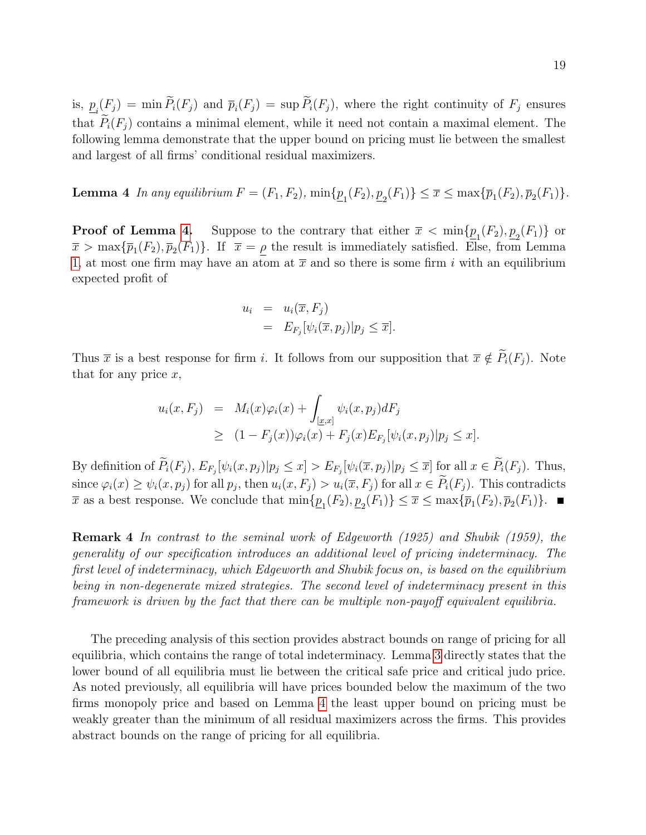is,  $\underline{p}_i(F_j) = \min P_i(F_j)$  and  $\overline{p}_i(F_j) = \sup P_i(F_j)$ , where the right continuity of  $F_j$  ensures that  $P_i(F_i)$  contains a minimal element, while it need not contain a maximal element. The following lemma demonstrate that the upper bound on pricing must lie between the smallest and largest of all firms' conditional residual maximizers.

<span id="page-18-0"></span>**Lemma 4** In any equilibrium  $F = (F_1, F_2)$ ,  $\min\{\underline{p}_1(F_2), \underline{p}_2(F_1)\} \leq \overline{x} \leq \max\{\overline{p}_1(F_2), \overline{p}_2(F_1)\}.$ 

**Proof of Lemma [4.](#page-18-0)** Suppose to the contrary that either  $\bar{x} < \min\{\underline{p}_1(F_2), \underline{p}_2(F_1)\}\$  or  $\overline{x} > \max{\{\overline{p}_1(F_2), \overline{p}_2(F_1)\}}$ . If  $\overline{x} = \rho$  the result is immediately satisfied. Else, from Lemma [1,](#page-9-2) at most one firm may have an atom at  $\bar{x}$  and so there is some firm i with an equilibrium expected profit of

$$
u_i = u_i(\overline{x}, F_j)
$$
  
=  $E_{F_j}[\psi_i(\overline{x}, p_j)|p_j \le \overline{x}].$ 

Thus  $\bar{x}$  is a best response for firm i. It follows from our supposition that  $\bar{x} \notin \tilde{P}_i(F_j)$ . Note that for any price  $x$ ,

$$
u_i(x, F_j) = M_i(x)\varphi_i(x) + \int_{[\underline{x},x]} \psi_i(x, p_j) dF_j
$$
  
\n
$$
\geq (1 - F_j(x))\varphi_i(x) + F_j(x)E_{F_j}[\psi_i(x, p_j)|p_j \leq x].
$$

By definition of  $P_i(F_j)$ ,  $E_{F_j}[\psi_i(x, p_j)|p_j \leq x] > E_{F_j}[\psi_i(\overline{x}, p_j)|p_j \leq \overline{x}]$  for all  $x \in P_i(F_j)$ . Thus, since  $\varphi_i(x) \ge \psi_i(x, p_j)$  for all  $p_j$ , then  $u_i(x, F_j) > u_i(\overline{x}, F_j)$  for all  $x \in P_i(F_j)$ . This contradicts  $\overline{x}$  as a best response. We conclude that  $\min\{\underline{p}_1(F_2), \underline{p}_2(F_1)\} \le \overline{x} \le \max\{\overline{p}_1(F_2), \overline{p}_2(F_1)\}.$ 

Remark 4 In contrast to the seminal work of Edgeworth (1925) and Shubik (1959), the generality of our specification introduces an additional level of pricing indeterminacy. The first level of indeterminacy, which Edgeworth and Shubik focus on, is based on the equilibrium being in non-degenerate mixed strategies. The second level of indeterminacy present in this framework is driven by the fact that there can be multiple non-payoff equivalent equilibria.

The preceding analysis of this section provides abstract bounds on range of pricing for all equilibria, which contains the range of total indeterminacy. Lemma [3](#page-17-0) directly states that the lower bound of all equilibria must lie between the critical safe price and critical judo price. As noted previously, all equilibria will have prices bounded below the maximum of the two firms monopoly price and based on Lemma [4](#page-18-0) the least upper bound on pricing must be weakly greater than the minimum of all residual maximizers across the firms. This provides abstract bounds on the range of pricing for all equilibria.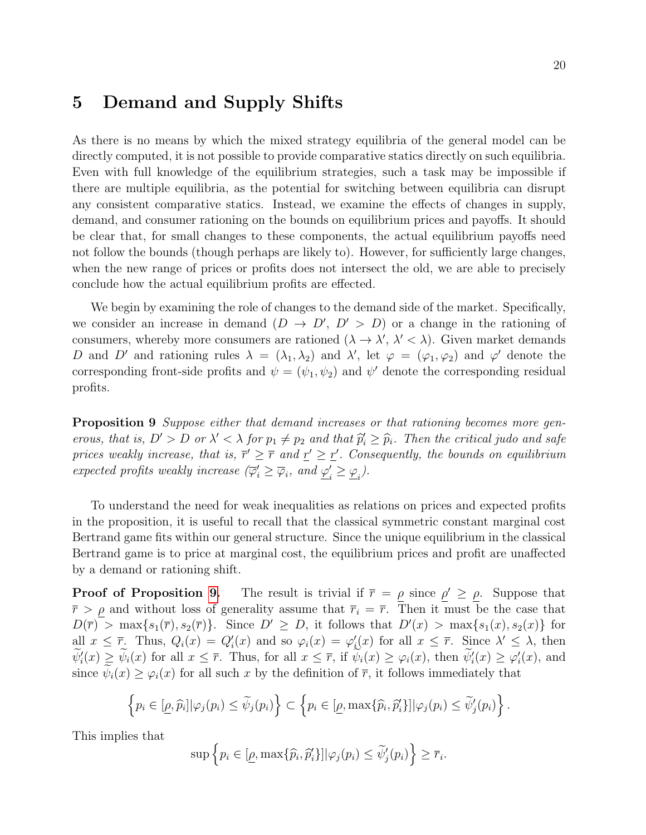### 5 Demand and Supply Shifts

As there is no means by which the mixed strategy equilibria of the general model can be directly computed, it is not possible to provide comparative statics directly on such equilibria. Even with full knowledge of the equilibrium strategies, such a task may be impossible if there are multiple equilibria, as the potential for switching between equilibria can disrupt any consistent comparative statics. Instead, we examine the effects of changes in supply, demand, and consumer rationing on the bounds on equilibrium prices and payoffs. It should be clear that, for small changes to these components, the actual equilibrium payoffs need not follow the bounds (though perhaps are likely to). However, for sufficiently large changes, when the new range of prices or profits does not intersect the old, we are able to precisely conclude how the actual equilibrium profits are effected.

We begin by examining the role of changes to the demand side of the market. Specifically, we consider an increase in demand  $(D \to D', D' > D)$  or a change in the rationing of consumers, whereby more consumers are rationed  $(\lambda \to \lambda', \lambda' < \lambda)$ . Given market demands D and D' and rationing rules  $\lambda = (\lambda_1, \lambda_2)$  and  $\lambda'$ , let  $\varphi = (\varphi_1, \varphi_2)$  and  $\varphi'$  denote the corresponding front-side profits and  $\psi = (\psi_1, \psi_2)$  and  $\psi'$  denote the corresponding residual profits.

<span id="page-19-0"></span>**Proposition 9** Suppose either that demand increases or that rationing becomes more generous, that is,  $D' > D$  or  $\lambda' < \lambda$  for  $p_1 \neq p_2$  and that  $\hat{p}'_i \geq \hat{p}_i$ . Then the critical judo and safe<br>prices weakly increase, that is  $\overline{p}' > \overline{p}$  and  $p' > p'$ . Consequently, the heurds on equilibrium prices weakly increase, that is,  $\bar{r}' \geq \bar{r}$  and  $r' \geq \bar{r}'$ . Consequently, the bounds on equilibrium expected profits weakly increase  $(\overline{\varphi}_i' \geq \overline{\varphi}_i)$ , and  $\underline{\varphi}_i'$  $\zeta_i' \geq \underline{\varphi}_i$ .

To understand the need for weak inequalities as relations on prices and expected profits in the proposition, it is useful to recall that the classical symmetric constant marginal cost Bertrand game fits within our general structure. Since the unique equilibrium in the classical Bertrand game is to price at marginal cost, the equilibrium prices and profit are unaffected by a demand or rationing shift.

**Proof of Proposition [9.](#page-19-0)** The result is trivial if  $\bar{r} = \rho$  since  $\rho' \geq \rho$ . Suppose that  $\overline{r} > \rho$  and without loss of generality assume that  $\overline{r}_i = \overline{r}$ . Then it must be the case that  $D(\overline{r}) > \max\{s_1(\overline{r}), s_2(\overline{r})\}.$  Since  $D' \geq D$ , it follows that  $D'(x) > \max\{s_1(x), s_2(x)\}\$  for all  $x \leq \overline{r}$ . Thus,  $Q_i(x) = Q'_i(x)$  and so  $\varphi_i(x) = \varphi'_i(x)$  for all  $x \leq \overline{r}$ . Since  $\lambda' \leq \lambda$ , then  $\psi'_i(x) \geq \psi_i(x)$  for all  $x \leq \overline{r}$ . Thus, for all  $x \leq \overline{r}$ , if  $\psi_i(x) \geq \varphi_i(x)$ , then  $\psi'_i(x) \geq \varphi'_i(x)$ , and since  $\psi_i(x) \geq \varphi_i(x)$  for all such x by the definition of  $\overline{r}$ , it follows immediately that

$$
\left\{p_i\in[\underline{\rho},\widehat{p}_i]|\varphi_j(p_i)\leq\widetilde{\psi}_j(p_i)\right\}\subset\left\{p_i\in[\underline{\rho},\max\{\widehat{p}_i,\widehat{p}_i'\}]\big|\varphi_j(p_i)\leq\widetilde{\psi}_j'(p_i)\right\}.
$$

This implies that

$$
\sup \left\{ p_i \in [\underline{\rho}, \max\{\widehat{p}_i, \widehat{p}_i'\}] | \varphi_j(p_i) \le \widetilde{\psi}'_j(p_i) \right\} \ge \overline{r}_i.
$$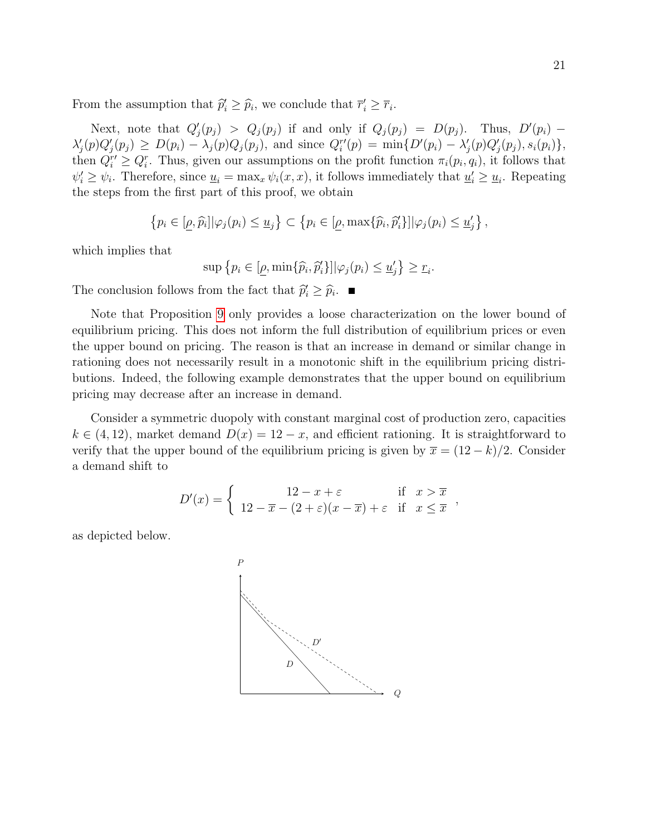From the assumption that  $\hat{p}'_i \geq \hat{p}_i$ , we conclude that  $\overline{r}'_i \geq \overline{r}_i$ .

Next, note that  $Q'_j(p_j) > Q_j(p_j)$  if and only if  $Q_j(p_j) = D(p_j)$ . Thus,  $D'(p_i)$  $\lambda'_{j}(p)Q'_{j}(p_{j}) \geq D(p_{i}) - \lambda_{j}(p)Q_{j}(p_{j}),$  and since  $Q_{i}^{r'}(p) = \min\{D'(p_{i}) - \lambda'_{j}(p)Q'_{j}(p_{j}), s_{i}(p_{i})\},$ then  $Q_i^{r'} \geq Q_i^r$ . Thus, given our assumptions on the profit function  $\pi_i(p_i, q_i)$ , it follows that  $\psi'_i \geq \psi_i$ . Therefore, since  $\underline{u}_i = \max_x \psi_i(x, x)$ , it follows immediately that  $\underline{u}'_i \geq \underline{u}_i$ . Repeating the steps from the first part of this proof, we obtain

$$
\left\{p_i \in [\underline{\rho}, \widehat{p}_i] | \varphi_j(p_i) \leq \underline{u}_j\right\} \subset \left\{p_i \in [\underline{\rho}, \max\{\widehat{p}_i, \widehat{p}_i'\}] | \varphi_j(p_i) \leq \underline{u}_j'\right\},\
$$

which implies that

$$
\sup \{ p_i \in [\underline{\rho}, \min\{\widehat{p}_i, \widehat{p}'_i\}] | \varphi_j(p_i) \le \underline{u}'_j \} \ge \underline{r}_i.
$$

The conclusion follows from the fact that  $\hat{p}'_i \geq \hat{p}_i$ .

Note that Proposition [9](#page-19-0) only provides a loose characterization on the lower bound of equilibrium pricing. This does not inform the full distribution of equilibrium prices or even the upper bound on pricing. The reason is that an increase in demand or similar change in rationing does not necessarily result in a monotonic shift in the equilibrium pricing distributions. Indeed, the following example demonstrates that the upper bound on equilibrium pricing may decrease after an increase in demand.

Consider a symmetric duopoly with constant marginal cost of production zero, capacities  $k \in (4, 12)$ , market demand  $D(x) = 12 - x$ , and efficient rationing. It is straightforward to verify that the upper bound of the equilibrium pricing is given by  $\bar{x} = (12 - k)/2$ . Consider a demand shift to

$$
D'(x) = \begin{cases} 12 - x + \varepsilon & \text{if } x > \overline{x} \\ 12 - \overline{x} - (2 + \varepsilon)(x - \overline{x}) + \varepsilon & \text{if } x \leq \overline{x} \end{cases}
$$

as depicted below.

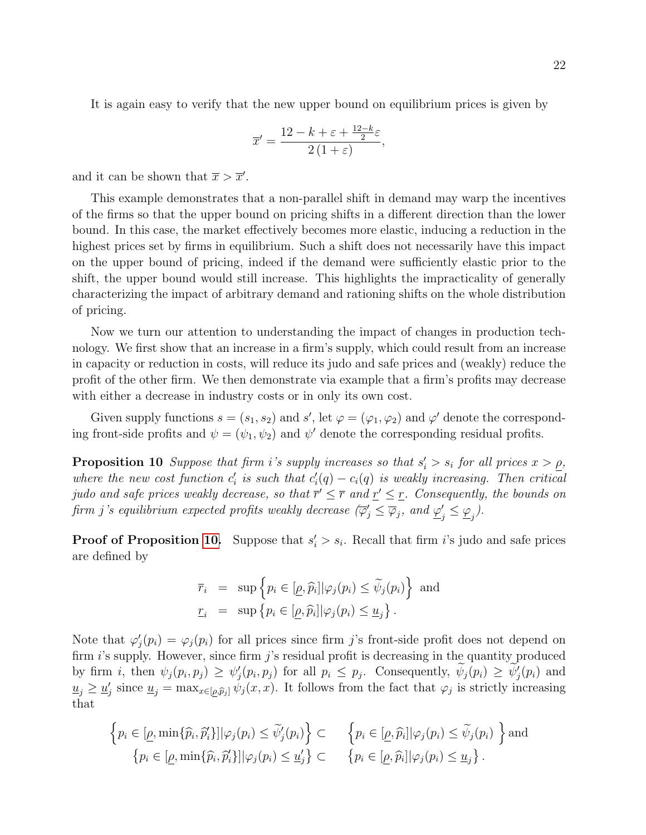It is again easy to verify that the new upper bound on equilibrium prices is given by

$$
\overline{x}' = \frac{12 - k + \varepsilon + \frac{12 - k}{2}\varepsilon}{2(1 + \varepsilon)},
$$

and it can be shown that  $\bar{x} > \bar{x}'$ .

This example demonstrates that a non-parallel shift in demand may warp the incentives of the firms so that the upper bound on pricing shifts in a different direction than the lower bound. In this case, the market effectively becomes more elastic, inducing a reduction in the highest prices set by firms in equilibrium. Such a shift does not necessarily have this impact on the upper bound of pricing, indeed if the demand were sufficiently elastic prior to the shift, the upper bound would still increase. This highlights the impracticality of generally characterizing the impact of arbitrary demand and rationing shifts on the whole distribution of pricing.

Now we turn our attention to understanding the impact of changes in production technology. We first show that an increase in a firm's supply, which could result from an increase in capacity or reduction in costs, will reduce its judo and safe prices and (weakly) reduce the profit of the other firm. We then demonstrate via example that a firm's profits may decrease with either a decrease in industry costs or in only its own cost.

Given supply functions  $s = (s_1, s_2)$  and  $s'$ , let  $\varphi = (\varphi_1, \varphi_2)$  and  $\varphi'$  denote the corresponding front-side profits and  $\psi = (\psi_1, \psi_2)$  and  $\psi'$  denote the corresponding residual profits.

<span id="page-21-0"></span>**Proposition 10** Suppose that firm i's supply increases so that  $s_i' > s_i$  for all prices  $x > \rho$ , where the new cost function  $c'_i$  is such that  $c'_i(q) - c_i(q)$  is weakly increasing. Then critical judo and safe prices weakly decrease, so that  $\overline{r}' \leq \overline{r}$  and  $\underline{r}' \leq \underline{r}$ . Consequently, the bounds on firm j's equilibrium expected profits weakly decrease  $(\overline{\varphi}_j' \le \overline{\varphi}_j)$ , and  $\underline{\varphi}_j'$  $'_{j} \leq \underline{\varphi}_{j}$ ).

**Proof of Proposition [10.](#page-21-0)** Suppose that  $s_i' > s_i$ . Recall that firm i's judo and safe prices are defined by

$$
\overline{r}_i = \sup \{ p_i \in [\underline{\rho}, \widehat{p}_i] | \varphi_j(p_i) \le \widetilde{\psi}_j(p_i) \} \text{ and}
$$
  

$$
\underline{r}_i = \sup \{ p_i \in [\underline{\rho}, \widehat{p}_i] | \varphi_j(p_i) \le \underline{u}_j \}.
$$

Note that  $\varphi'_j(p_i) = \varphi_j(p_i)$  for all prices since firm j's front-side profit does not depend on firm  $i$ 's supply. However, since firm  $j$ 's residual profit is decreasing in the quantity produced by firm *i*, then  $\psi_j(p_i, p_j) \geq \psi'_j(p_i, p_j)$  for all  $p_i \leq p_j$ . Consequently,  $\psi_j(p_i) \geq \psi'_j(p_i)$  and  $\underline{u}_j \ge \underline{u}'_j$  since  $\underline{u}_j = \max_{x \in [\underline{\rho}, \widehat{p}_j]} \psi_j(x, x)$ . It follows from the fact that  $\varphi_j$  is strictly increasing that

$$
\left\{ p_i \in [\underline{\rho}, \min\{\widehat{p}_i, \widehat{p}_i'\}] | \varphi_j(p_i) \le \widetilde{\psi}_j'(p_i) \right\} \subset \left\{ p_i \in [\underline{\rho}, \widehat{p}_i] | \varphi_j(p_i) \le \widetilde{\psi}_j(p_i) \right\} \text{ and}
$$
  

$$
\left\{ p_i \in [\underline{\rho}, \min\{\widehat{p}_i, \widehat{p}_i'\}] | \varphi_j(p_i) \le \underline{u}_j' \right\} \subset \left\{ p_i \in [\underline{\rho}, \widehat{p}_i] | \varphi_j(p_i) \le \underline{u}_j \right\}.
$$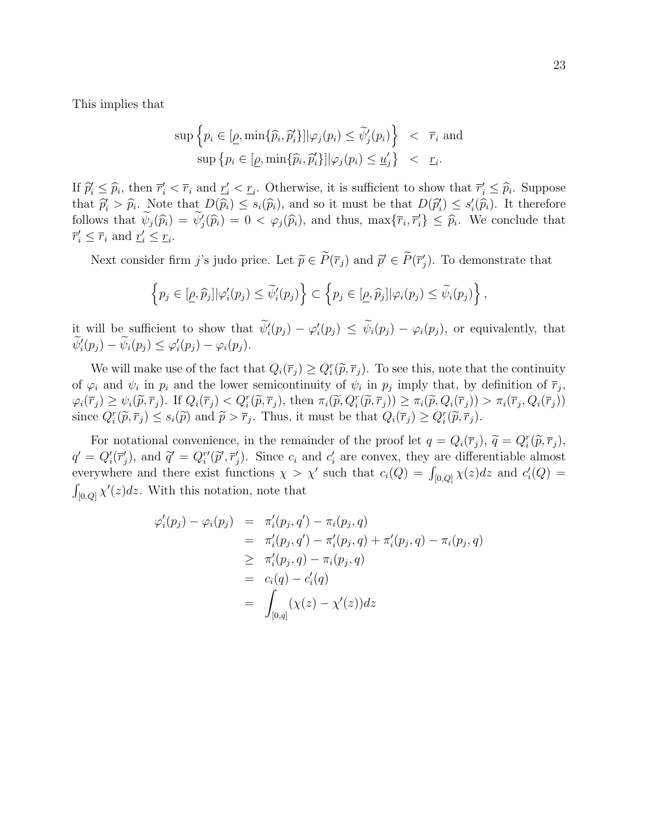This implies that

$$
\sup \left\{ p_i \in [\underline{\rho}, \min\{\widehat{p}_i, \widehat{p}_i'\}] | \varphi_j(p_i) \le \widetilde{\psi}_j'(p_i) \right\} < \overline{r}_i \text{ and}
$$

$$
\sup \left\{ p_i \in [\underline{\rho}, \min\{\widehat{p}_i, \widehat{p}_i'\}] | \varphi_j(p_i) \le \underline{u}_j' \right\} < \underline{r}_i.
$$

If  $\hat{p}_i' \leq \hat{p}_i$ , then  $\overline{r}_i' < \overline{r}_i$  and  $\underline{r}_i' < \underline{r}_i$ . Otherwise, it is sufficient to show that  $\overline{r}_i' \leq \hat{p}_i$ . Suppose<br>that  $\hat{z}_i' > \hat{z}_i$ . Note that  $D(\hat{z}_i) < \hat{z}_i(\hat{z}_i)$  and so it must be that that  $\hat{p}'_i > \hat{p}_i$ . Note that  $D(\hat{p}_i) \leq s_i(\hat{p}_i)$ , and so it must be that  $D(\hat{p}'_i) \leq s'_i(\hat{p}_i)$ . It therefore follows that  $\widetilde{\psi}_j(\widehat{p}_i) = \widetilde{\psi}'_j(\widehat{p}_i) = 0 < \varphi_j(\widehat{p}_i)$ , and thus,  $\max{\lbrace \overline{r}_i, \overline{r}'_i \rbrace} \leq \widehat{p}_i$ . We conclude that  $\overline{\psi}'_j(\overline{r}_i) = \overline{\psi}'_j(\widehat{r}_i) = 0$  $\overline{r}'_i \leq \overline{r}_i$  and  $\underline{r}'_i \leq \underline{r}_i$ .

Next consider firm *j*'s judo price. Let  $\tilde{p} \in \tilde{P}(\bar{r}_j)$  and  $\tilde{p}' \in \tilde{P}(\bar{r}'_j)$ . To demonstrate that

$$
\left\{p_j\in[\underline{\rho},\widehat{p}_j]|\varphi'_i(p_j)\leq\widetilde{\psi}'_i(p_j)\right\}\subset\left\{p_j\in[\underline{\rho},\widehat{p}_j]|\varphi_i(p_j)\leq\widetilde{\psi}_i(p_j)\right\},\,
$$

it will be sufficient to show that  $\psi'_i(p_j) - \varphi'_i(p_j) \leq \psi_i(p_j) - \varphi_i(p_j)$ , or equivalently, that  $\psi'_i(p_j) - \psi_i(p_j) \leq \varphi'_i(p_j) - \varphi_i(p_j).$ 

We will make use of the fact that  $Q_i(\overline{r}_j) \geq Q_i^r(\widetilde{p}, \overline{r}_j)$ . To see this, note that the continuity<br>condition of  $\overline{r}_j$ of  $\varphi_i$  and  $\psi_i$  in  $p_i$  and the lower semicontinuity of  $\psi_i$  in  $p_j$  imply that, by definition of  $\overline{r}_j$ ,  $\varphi_i(\overline{r}_j) \ge \psi_i(\widetilde{p}, \overline{r}_j)$ . If  $Q_i(\overline{r}_j) < Q_i^r(\widetilde{p}, \overline{r}_j)$ , then  $\pi_i(\widetilde{p}, Q_i^r(\widetilde{p}, \overline{r}_j)) \ge \pi_i(\widetilde{p}, Q_i(\overline{r}_j)) > \pi_i(\overline{r}_j, Q_i(\overline{r}_j))$ <br>since  $Q_i^r(\widetilde{z}, \overline{z}) < q_i(\widetilde{z})$  and  $\widetilde{z} > \overline{z}$ . Thus, it since  $Q_i^r(\tilde{p}, \overline{r}_j) \leq s_i(\tilde{p})$  and  $\tilde{p} > \overline{r}_j$ . Thus, it must be that  $Q_i(\overline{r}_j) \geq Q_i^r(\tilde{p}, \overline{r}_j)$ .

For notational convenience, in the remainder of the proof let  $q = Q_i(\bar{r}_j)$ ,  $\tilde{q} = Q_i^r(\tilde{p}, \bar{r}_j)$ ,<br> $Q'(\bar{r}')$ , and  $\tilde{q}' = Q_i^r(\tilde{r} - q_i)^r$ . Since a and  $q'$  are convert they are differentiable almost  $q' = Q'_i(\overline{r}'_j)$ , and  $\tilde{q}' = Q''_i(\tilde{p}', \overline{r}'_j)$ . Since  $c_i$  and  $c'_i$  are convex, they are differentiable almost everywhere and there exist functions  $\chi > \chi'$  such that  $c_i(Q) = \int_{[0,Q]} \chi(z) dz$  and  $c'_i(Q) =$  $\int_{[0,Q]} \chi'(z) dz$ . With this notation, note that

$$
\varphi'_{i}(p_{j}) - \varphi_{i}(p_{j}) = \pi'_{i}(p_{j}, q') - \pi_{i}(p_{j}, q)
$$
  
\n
$$
= \pi'_{i}(p_{j}, q') - \pi'_{i}(p_{j}, q) + \pi'_{i}(p_{j}, q) - \pi_{i}(p_{j}, q)
$$
  
\n
$$
\geq \pi'_{i}(p_{j}, q) - \pi_{i}(p_{j}, q)
$$
  
\n
$$
= c_{i}(q) - c'_{i}(q)
$$
  
\n
$$
= \int_{[0,q]} (\chi(z) - \chi'(z)) dz
$$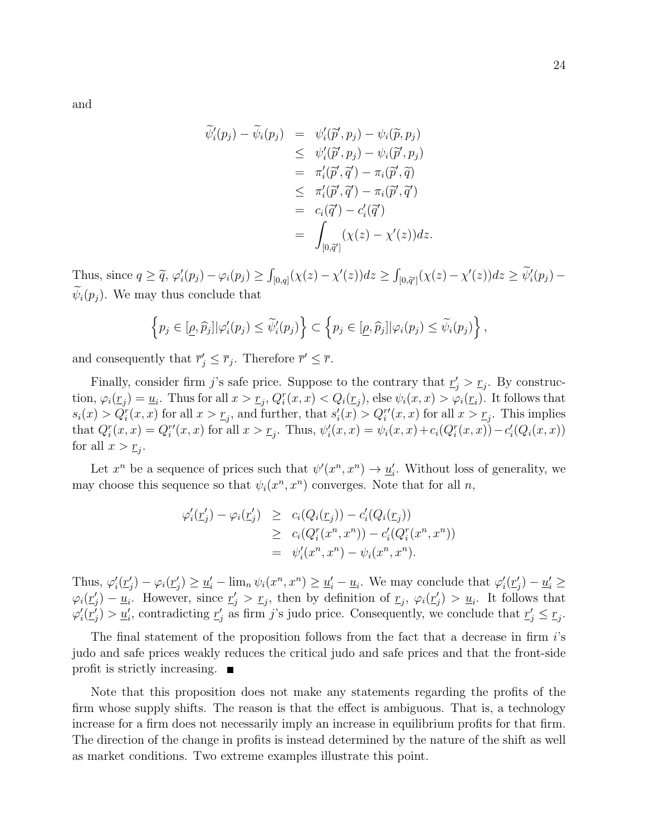$$
\begin{array}{rcl}\n\widetilde{\psi}'_i(p_j) - \widetilde{\psi}_i(p_j) & = & \psi'_i(\widetilde{p}', p_j) - \psi_i(\widetilde{p}, p_j) \\
& \leq & \psi'_i(\widetilde{p}', p_j) - \psi_i(\widetilde{p}', p_j) \\
& = & \pi'_i(\widetilde{p}', \widetilde{q}') - \pi_i(\widetilde{p}', \widetilde{q}) \\
& \leq & \pi'_i(\widetilde{p}', \widetilde{q}') - \pi_i(\widetilde{p}', \widetilde{q}') \\
& = & c_i(\widetilde{q}') - c'_i(\widetilde{q}') \\
& = & \int_{[0, \widetilde{q}']}\n\end{array}
$$

Thus, since  $q \geq \tilde{q}$ ,  $\varphi'_i(p_j) - \varphi_i(p_j) \geq \int_{[0,q]} (\chi(z) - \chi'(z)) dz \geq \int_{[0,\tilde{q}']} (\chi(z) - \chi'(z)) dz \geq \tilde{\psi}'_i(p_j) - \tilde{\chi}'(z)$  $\psi_i(p_i)$ . We may thus conclude that

$$
\left\{p_j\in[\underline{\rho},\widehat{p}_j]|\varphi'_i(p_j)\leq\widetilde{\psi}'_i(p_j)\right\}\subset\left\{p_j\in[\underline{\rho},\widehat{p}_j]|\varphi_i(p_j)\leq\widetilde{\psi}_i(p_j)\right\},\,
$$

and consequently that  $\overline{r}'_j \leq \overline{r}_j$ . Therefore  $\overline{r}' \leq \overline{r}$ .

Finally, consider firm j's safe price. Suppose to the contrary that  $r'_j > r_j$ . By construction,  $\varphi_i(\underline{r}_j) = \underline{u}_i$ . Thus for all  $x > \underline{r}_j$ ,  $Q_i^r(x, x) < Q_i(\underline{r}_j)$ , else  $\psi_i(x, x) > \varphi_i(\underline{r}_i)$ . It follows that  $s_i(x) > Q_i^r(x, x)$  for all  $x > r_j$ , and further, that  $s'_i(x) > Q_i^{r'}(x, x)$  for all  $x > r_j$ . This implies that  $Q_i^r(x, x) = Q_i^{r'}(x, x)$  for all  $x > r_j$ . Thus,  $\psi_i'(x, x) = \psi_i(x, x) + c_i(Q_i^r(x, x)) - c_i^r(Q_i(x, x))$ for all  $x > r_j$ .

Let  $x^n$  be a sequence of prices such that  $\psi'(x^n, x^n) \to \underline{u}'_i$ . Without loss of generality, we may choose this sequence so that  $\psi_i(x^n, x^n)$  converges. Note that for all n,

$$
\varphi'_i(\underline{r}'_j) - \varphi_i(\underline{r}'_j) \geq c_i(Q_i(\underline{r}_j)) - c'_i(Q_i(\underline{r}_j))
$$
  
\n
$$
\geq c_i(Q_i^r(x^n, x^n)) - c'_i(Q_i^r(x^n, x^n))
$$
  
\n
$$
= \psi'_i(x^n, x^n) - \psi_i(x^n, x^n).
$$

Thus,  $\varphi'_i(\underline{r}'_j) - \varphi_i(\underline{r}'_j) \geq \underline{u}'_i - \lim_n \psi_i(x^n, x^n) \geq \underline{u}'_i - \underline{u}_i$ . We may conclude that  $\varphi'_i(\underline{r}'_j) - \underline{u}'_i \geq$  $\varphi_i(\underline{r}_j') - \underline{u}_i$ . However, since  $\underline{r}_j' > \underline{r}_j$ , then by definition of  $\underline{r}_j$ ,  $\varphi_i(\underline{r}_j') > \underline{u}_i$ . It follows that  $\varphi'_i(\underline{r}'_j) > \underline{u}'_i$ , contradicting  $\underline{r}'_j$  as firm j's judo price. Consequently, we conclude that  $\underline{r}'_j \leq \underline{r}_j$ .

The final statement of the proposition follows from the fact that a decrease in firm i's judo and safe prices weakly reduces the critical judo and safe prices and that the front-side profit is strictly increasing.

Note that this proposition does not make any statements regarding the profits of the firm whose supply shifts. The reason is that the effect is ambiguous. That is, a technology increase for a firm does not necessarily imply an increase in equilibrium profits for that firm. The direction of the change in profits is instead determined by the nature of the shift as well as market conditions. Two extreme examples illustrate this point.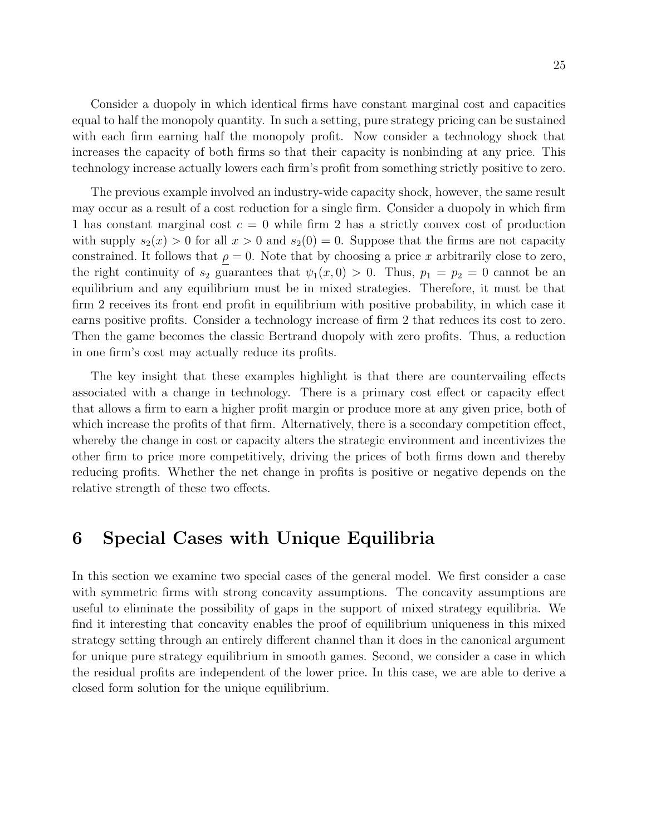Consider a duopoly in which identical firms have constant marginal cost and capacities equal to half the monopoly quantity. In such a setting, pure strategy pricing can be sustained with each firm earning half the monopoly profit. Now consider a technology shock that increases the capacity of both firms so that their capacity is nonbinding at any price. This technology increase actually lowers each firm's profit from something strictly positive to zero.

The previous example involved an industry-wide capacity shock, however, the same result may occur as a result of a cost reduction for a single firm. Consider a duopoly in which firm 1 has constant marginal cost  $c = 0$  while firm 2 has a strictly convex cost of production with supply  $s_2(x) > 0$  for all  $x > 0$  and  $s_2(0) = 0$ . Suppose that the firms are not capacity constrained. It follows that  $\rho = 0$ . Note that by choosing a price x arbitrarily close to zero, the right continuity of  $s_2$  guarantees that  $\psi_1(x, 0) > 0$ . Thus,  $p_1 = p_2 = 0$  cannot be an equilibrium and any equilibrium must be in mixed strategies. Therefore, it must be that firm 2 receives its front end profit in equilibrium with positive probability, in which case it earns positive profits. Consider a technology increase of firm 2 that reduces its cost to zero. Then the game becomes the classic Bertrand duopoly with zero profits. Thus, a reduction in one firm's cost may actually reduce its profits.

The key insight that these examples highlight is that there are countervailing effects associated with a change in technology. There is a primary cost effect or capacity effect that allows a firm to earn a higher profit margin or produce more at any given price, both of which increase the profits of that firm. Alternatively, there is a secondary competition effect, whereby the change in cost or capacity alters the strategic environment and incentivizes the other firm to price more competitively, driving the prices of both firms down and thereby reducing profits. Whether the net change in profits is positive or negative depends on the relative strength of these two effects.

### 6 Special Cases with Unique Equilibria

In this section we examine two special cases of the general model. We first consider a case with symmetric firms with strong concavity assumptions. The concavity assumptions are useful to eliminate the possibility of gaps in the support of mixed strategy equilibria. We find it interesting that concavity enables the proof of equilibrium uniqueness in this mixed strategy setting through an entirely different channel than it does in the canonical argument for unique pure strategy equilibrium in smooth games. Second, we consider a case in which the residual profits are independent of the lower price. In this case, we are able to derive a closed form solution for the unique equilibrium.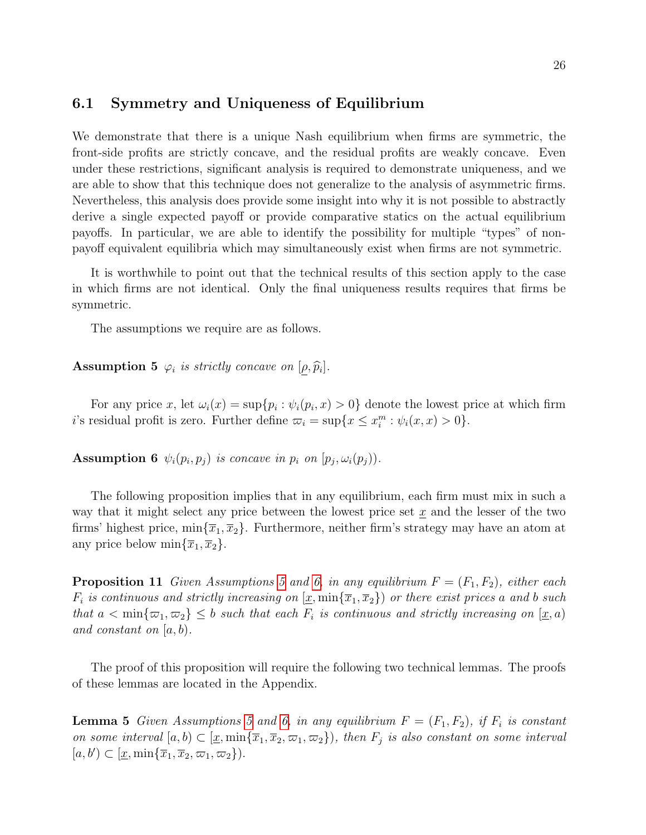#### 6.1 Symmetry and Uniqueness of Equilibrium

We demonstrate that there is a unique Nash equilibrium when firms are symmetric, the front-side profits are strictly concave, and the residual profits are weakly concave. Even under these restrictions, significant analysis is required to demonstrate uniqueness, and we are able to show that this technique does not generalize to the analysis of asymmetric firms. Nevertheless, this analysis does provide some insight into why it is not possible to abstractly derive a single expected payoff or provide comparative statics on the actual equilibrium payoffs. In particular, we are able to identify the possibility for multiple "types" of nonpayoff equivalent equilibria which may simultaneously exist when firms are not symmetric.

It is worthwhile to point out that the technical results of this section apply to the case in which firms are not identical. Only the final uniqueness results requires that firms be symmetric.

<span id="page-25-0"></span>The assumptions we require are as follows.

## **Assumption 5**  $\varphi_i$  is strictly concave on  $[\underline{\rho}, \widehat{p}_i].$

For any price x, let  $\omega_i(x) = \sup\{p_i : \psi_i(p_i, x) > 0\}$  denote the lowest price at which firm *i*'s residual profit is zero. Further define  $\overline{\omega}_i = \sup\{x \le x_i^m : \psi_i(x, x) > 0\}.$ 

<span id="page-25-1"></span>**Assumption 6**  $\psi_i(p_i, p_j)$  is concave in  $p_i$  on  $[p_j, \omega_i(p_j))$ .

The following proposition implies that in any equilibrium, each firm must mix in such a way that it might select any price between the lowest price set  $\underline{x}$  and the lesser of the two firms' highest price,  $\min{\{\overline{x}_1,\overline{x}_2\}}$ . Furthermore, neither firm's strategy may have an atom at any price below  $\min\{\overline{x}_1,\overline{x}_2\}.$ 

<span id="page-25-2"></span>**Proposition 11** Given Assumptions [5](#page-25-0) and [6,](#page-25-1) in any equilibrium  $F = (F_1, F_2)$ , either each  $F_i$  is continuous and strictly increasing on  $[\underline{x}, \min{\{\overline{x}_1, \overline{x}_2\}}]$  or there exist prices a and b such that  $a < \min\{\varpi_1, \varpi_2\} \leq b$  such that each  $F_i$  is continuous and strictly increasing on  $[\underline{x}, a)$ and constant on  $[a, b)$ .

The proof of this proposition will require the following two technical lemmas. The proofs of these lemmas are located in the Appendix.

<span id="page-25-4"></span><span id="page-25-3"></span>**Lemma [5](#page-25-0)** Given Assumptions 5 and [6,](#page-25-1) in any equilibrium  $F = (F_1, F_2)$ , if  $F_i$  is constant on some interval  $[a, b) \subset [\underline{x}, \min{\{\overline{x}_1, \overline{x}_2, \varpi_1, \varpi_2\}}),$  then  $F_j$  is also constant on some interval  $[a, b'] \subset [\underline{x}, \min\{\overline{x}_1, \overline{x}_2, \varpi_1, \varpi_2\}).$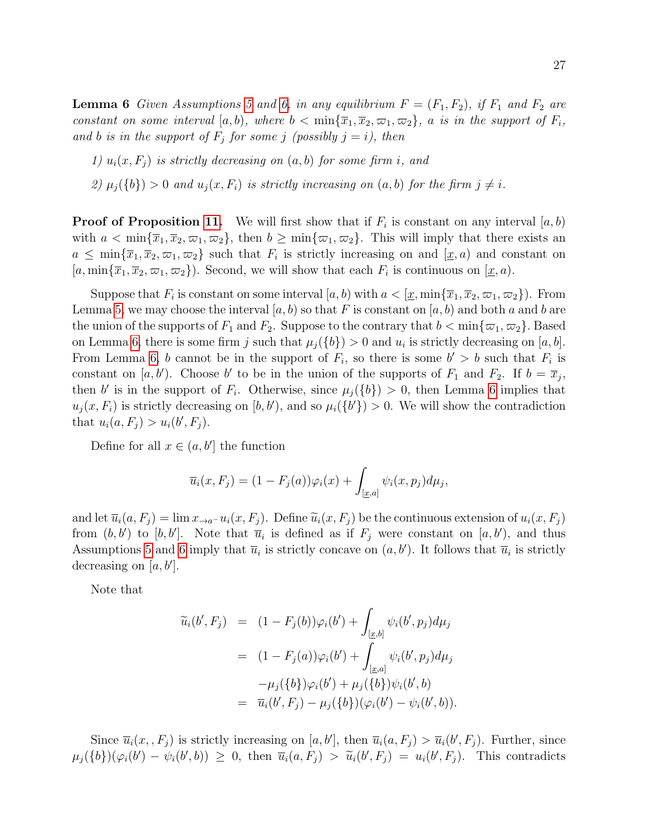**Lemma 6** Given Assumptions [5](#page-25-0) and [6,](#page-25-1) in any equilibrium  $F = (F_1, F_2)$ , if  $F_1$  and  $F_2$  are constant on some interval  $[a, b)$ , where  $b < \min{\{\overline{x}_1, \overline{x}_2, \overline{\omega}_1, \overline{\omega}_2\}}$ , a is in the support of  $F_i$ , and b is in the support of  $F_j$  for some j (possibly  $j = i$ ), then

1)  $u_i(x, F_i)$  is strictly decreasing on  $(a, b)$  for some firm i, and

2)  $\mu_i({b}) > 0$  and  $u_i(x, F_i)$  is strictly increasing on  $(a, b)$  for the firm  $j \neq i$ .

**Proof of Proposition [11.](#page-25-2)** We will first show that if  $F_i$  is constant on any interval  $[a, b)$ with  $a < \min{\{\overline{x}_1, \overline{x}_2, \varpi_1, \varpi_2\}}$ , then  $b \ge \min{\{\varpi_1, \varpi_2\}}$ . This will imply that there exists an  $a \leq \min\{\overline{x}_1,\overline{x}_2,\varpi_1,\varpi_2\}$  such that  $F_i$  is strictly increasing on and  $[\underline{x},a)$  and constant on  $[a, \min\{\overline{x}_1, \overline{x}_2, \varpi_1, \varpi_2\})$ . Second, we will show that each  $F_i$  is continuous on  $[\underline{x}, a)$ .

Suppose that  $F_i$  is constant on some interval  $[a, b)$  with  $a < [ \underline{x}, \min\{\overline{x}_1, \overline{x}_2, \varpi_1, \varpi_2\})$ . From Lemma [5,](#page-25-3) we may choose the interval  $[a, b)$  so that F is constant on  $[a, b)$  and both a and b are the union of the supports of  $F_1$  and  $F_2$ . Suppose to the contrary that  $b < \min\{\varpi_1, \varpi_2\}$ . Based on Lemma [6,](#page-25-4) there is some firm j such that  $\mu_j({b}) > 0$  and  $u_i$  is strictly decreasing on [a, b]. From Lemma [6,](#page-25-4) b cannot be in the support of  $F_i$ , so there is some  $b' > b$  such that  $F_i$  is constant on [a, b'). Choose b' to be in the union of the supports of  $F_1$  and  $F_2$ . If  $b = \overline{x}_j$ , then b' is in the support of  $F_i$ . Otherwise, since  $\mu_j({b}) > 0$ , then Lemma [6](#page-25-4) implies that  $u_j(x, F_i)$  is strictly decreasing on  $[b, b')$ , and so  $\mu_i({b'}\) > 0$ . We will show the contradiction that  $u_i(a, F_j) > u_i(b', F_j)$ .

Define for all  $x \in (a, b']$  the function

$$
\overline{u}_i(x, F_j) = (1 - F_j(a))\varphi_i(x) + \int_{[\underline{x},a]} \psi_i(x, p_j)d\mu_j,
$$

and let  $\overline{u}_i(a, F_i) = \lim_{x \to a^-} u_i(x, F_i)$ . Define  $\widetilde{u}_i(x, F_i)$  be the continuous extension of  $u_i(x, F_i)$ from  $(b, b')$  to  $[b, b']$ . Note that  $\overline{u}_i$  is defined as if  $F_j$  were constant on  $[a, b')$ , and thus Assumptions [5](#page-25-0) and [6](#page-25-1) imply that  $\overline{u}_i$  is strictly concave on  $(a, b')$ . It follows that  $\overline{u}_i$  is strictly decreasing on  $[a, b']$ .

Note that

$$
\widetilde{u}_{i}(b', F_{j}) = (1 - F_{j}(b))\varphi_{i}(b') + \int_{[\underline{x}, b]} \psi_{i}(b', p_{j}) d\mu_{j}
$$
\n
$$
= (1 - F_{j}(a))\varphi_{i}(b') + \int_{[\underline{x}, a]} \psi_{i}(b', p_{j}) d\mu_{j}
$$
\n
$$
- \mu_{j}(\{b\})\varphi_{i}(b') + \mu_{j}(\{b\})\psi_{i}(b', b)
$$
\n
$$
= \overline{u}_{i}(b', F_{j}) - \mu_{j}(\{b\}) (\varphi_{i}(b') - \psi_{i}(b', b)).
$$

Since  $\overline{u}_i(x, F_j)$  is strictly increasing on  $[a, b']$ , then  $\overline{u}_i(a, F_j) > \overline{u}_i(b', F_j)$ . Further, since  $\mu_j(\{b\})(\varphi_i(b') - \psi_i(b', b)) \geq 0$ , then  $\overline{u}_i(a, F_j) > \widetilde{u}_i(b', F_j) = u_i(b', F_j)$ . This contradicts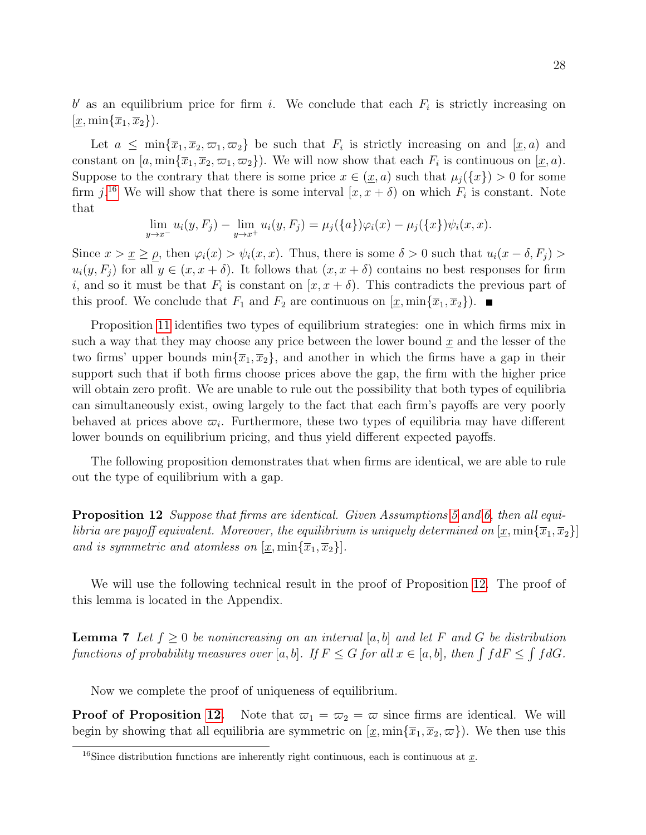$b'$  as an equilibrium price for firm i. We conclude that each  $F_i$  is strictly increasing on  $[\underline{x}, \min\{\overline{x}_1, \overline{x}_2\}].$ 

Let  $a \leq \min\{\overline{x}_1, \overline{x}_2, \overline{\omega}_1, \overline{\omega}_2\}$  be such that  $F_i$  is strictly increasing on and  $[\underline{x}, a)$  and constant on  $[a, \min\{\overline{x}_1, \overline{x}_2, \varpi_1, \varpi_2\})$ . We will now show that each  $F_i$  is continuous on  $[\underline{x}, a)$ . Suppose to the contrary that there is some price  $x \in (\underline{x}, a)$  such that  $\mu_i({x}) > 0$  for some firm  $j^{16}$  $j^{16}$  $j^{16}$  We will show that there is some interval  $[x, x + \delta)$  on which  $F_i$  is constant. Note that

$$
\lim_{y \to x^{-}} u_i(y, F_j) - \lim_{y \to x^{+}} u_i(y, F_j) = \mu_j(\{a\}) \varphi_i(x) - \mu_j(\{x\}) \psi_i(x, x).
$$

Since  $x > \underline{x} \ge \rho$ , then  $\varphi_i(x) > \psi_i(x, x)$ . Thus, there is some  $\delta > 0$  such that  $u_i(x - \delta, F_j) >$  $u_i(y, F_j)$  for all  $y \in (x, x + \delta)$ . It follows that  $(x, x + \delta)$  contains no best responses for firm i, and so it must be that  $F_i$  is constant on  $[x, x + \delta)$ . This contradicts the previous part of this proof. We conclude that  $F_1$  and  $F_2$  are continuous on  $[\underline{x}, \min{\{\overline{x}_1, \overline{x}_2\}}]$ .

Proposition [11](#page-25-2) identifies two types of equilibrium strategies: one in which firms mix in such a way that they may choose any price between the lower bound  $\underline{x}$  and the lesser of the two firms' upper bounds  $\min\{\overline{x}_1,\overline{x}_2\}$ , and another in which the firms have a gap in their support such that if both firms choose prices above the gap, the firm with the higher price will obtain zero profit. We are unable to rule out the possibility that both types of equilibria can simultaneously exist, owing largely to the fact that each firm's payoffs are very poorly behaved at prices above  $\overline{\omega}_i$ . Furthermore, these two types of equilibria may have different lower bounds on equilibrium pricing, and thus yield different expected payoffs.

The following proposition demonstrates that when firms are identical, we are able to rule out the type of equilibrium with a gap.

<span id="page-27-1"></span>Proposition 12 Suppose that firms are identical. Given Assumptions [5](#page-25-0) and [6,](#page-25-1) then all equilibria are payoff equivalent. Moreover, the equilibrium is uniquely determined on  $[\underline{x}, \min\{\overline{x}_1, \overline{x}_2\}]$ and is symmetric and atomless on  $[\underline{x}, \min\{\overline{x}_1, \overline{x}_2\}].$ 

We will use the following technical result in the proof of Proposition [12.](#page-27-1) The proof of this lemma is located in the Appendix.

<span id="page-27-2"></span>**Lemma 7** Let  $f \geq 0$  be nonincreasing on an interval [a, b] and let F and G be distribution functions of probability measures over [a, b]. If  $F \leq G$  for all  $x \in [a, b]$ , then  $\int f dF \leq \int f dG$ .

Now we complete the proof of uniqueness of equilibrium.

**Proof of Proposition [12.](#page-27-1)** Note that  $\varpi_1 = \varpi_2 = \varpi$  since firms are identical. We will begin by showing that all equilibria are symmetric on  $[\underline{x}, \min{\{\overline{x}_1, \overline{x}_2, \varpi\}}]$ . We then use this

<span id="page-27-0"></span><sup>&</sup>lt;sup>16</sup>Since distribution functions are inherently right continuous, each is continuous at  $\underline{x}$ .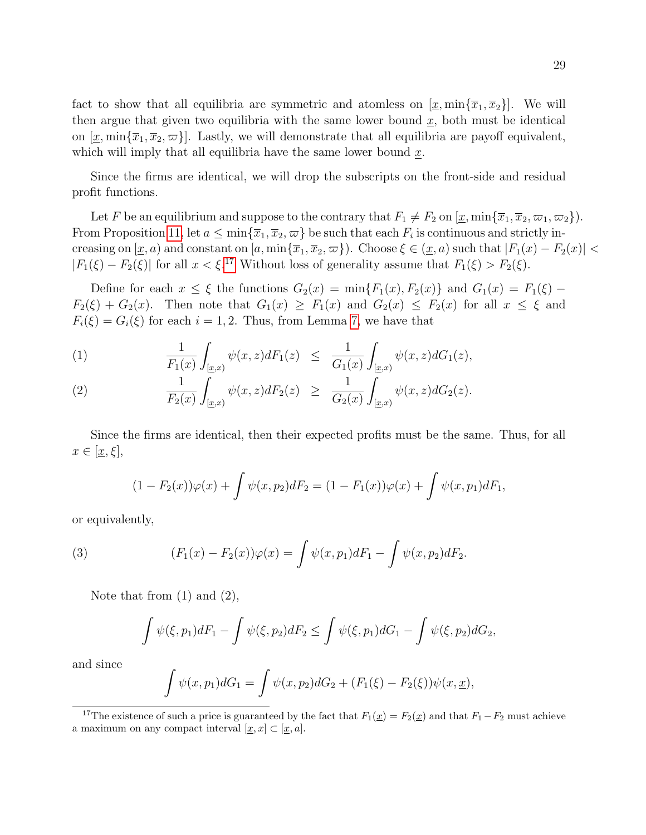fact to show that all equilibria are symmetric and atomless on  $[\underline{x}, \min{\{\overline{x}_1, \overline{x}_2\}}]$ . We will then argue that given two equilibria with the same lower bound  $\underline{x}$ , both must be identical on  $[\underline{x}, \min\{\overline{x}_1, \overline{x}_2, \varpi\}]$ . Lastly, we will demonstrate that all equilibria are payoff equivalent, which will imply that all equilibria have the same lower bound  $\underline{x}$ .

Since the firms are identical, we will drop the subscripts on the front-side and residual profit functions.

Let F be an equilibrium and suppose to the contrary that  $F_1 \neq F_2$  on  $[\underline{x}, \min{\{\overline{x}_1, \overline{x}_2, \varpi_1, \varpi_2\}}]$ . From Proposition [11,](#page-25-2) let  $a \le \min\{\overline{x}_1,\overline{x}_2,\varpi\}$  be such that each  $F_i$  is continuous and strictly increasing on  $[\underline{x}, a)$  and constant on  $[a, \min{\lbrace \overline{x}_1, \overline{x}_2, \overline{\omega} \rbrace})$ . Choose  $\xi \in (\underline{x}, a)$  such that  $|F_1(x) - F_2(x)|$  $|F_1(\xi) - F_2(\xi)|$  for all  $x < \xi$ .<sup>[17](#page-28-0)</sup> Without loss of generality assume that  $F_1(\xi) > F_2(\xi)$ .

Define for each  $x \leq \xi$  the functions  $G_2(x) = \min\{F_1(x), F_2(x)\}\$  and  $G_1(x) = F_1(\xi)$  $F_2(\xi) + G_2(x)$ . Then note that  $G_1(x) \geq F_1(x)$  and  $G_2(x) \leq F_2(x)$  for all  $x \leq \xi$  and  $F_i(\xi) = G_i(\xi)$  for each  $i = 1, 2$ . Thus, from Lemma [7,](#page-27-2) we have that

(1) 
$$
\frac{1}{F_1(x)} \int_{[\underline{x},x)} \psi(x,z) dF_1(z) \leq \frac{1}{G_1(x)} \int_{[\underline{x},x)} \psi(x,z) dG_1(z),
$$

(2) 
$$
\frac{1}{F_2(x)} \int_{[\underline{x},x)} \psi(x,z) dF_2(z) \geq \frac{1}{G_2(x)} \int_{[\underline{x},x)} \psi(x,z) dG_2(z).
$$

Since the firms are identical, then their expected profits must be the same. Thus, for all  $x \in [\underline{x}, \xi],$ 

$$
(1 - F_2(x))\varphi(x) + \int \psi(x, p_2)dF_2 = (1 - F_1(x))\varphi(x) + \int \psi(x, p_1)dF_1,
$$

or equivalently,

(3) 
$$
(F_1(x) - F_2(x))\varphi(x) = \int \psi(x, p_1)dF_1 - \int \psi(x, p_2)dF_2.
$$

Note that from (1) and (2),

$$
\int \psi(\xi, p_1) dF_1 - \int \psi(\xi, p_2) dF_2 \le \int \psi(\xi, p_1) dG_1 - \int \psi(\xi, p_2) dG_2,
$$

and since

$$
\int \psi(x, p_1) dG_1 = \int \psi(x, p_2) dG_2 + (F_1(\xi) - F_2(\xi)) \psi(x, \underline{x}),
$$

<span id="page-28-0"></span><sup>&</sup>lt;sup>17</sup>The existence of such a price is guaranteed by the fact that  $F_1(\underline{x}) = F_2(\underline{x})$  and that  $F_1 - F_2$  must achieve a maximum on any compact interval  $[\underline{x}, x] \subset [\underline{x}, a]$ .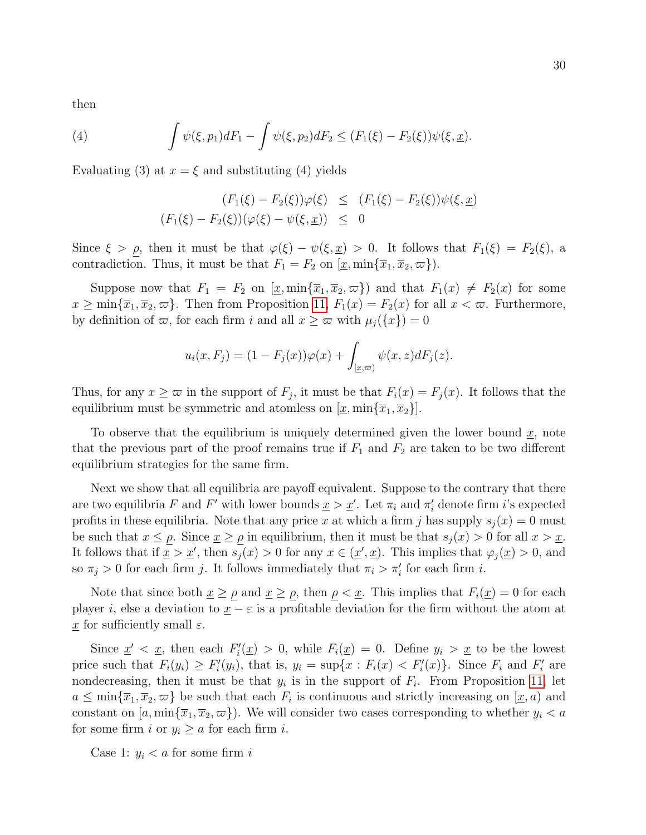then

(4) 
$$
\int \psi(\xi, p_1) dF_1 - \int \psi(\xi, p_2) dF_2 \leq (F_1(\xi) - F_2(\xi)) \psi(\xi, \underline{x}).
$$

Evaluating (3) at  $x = \xi$  and substituting (4) yields

$$
(F_1(\xi) - F_2(\xi))\varphi(\xi) \le (F_1(\xi) - F_2(\xi))\psi(\xi, \underline{x})
$$
  

$$
(F_1(\xi) - F_2(\xi))(\varphi(\xi) - \psi(\xi, \underline{x})) \le 0
$$

Since  $\xi > \rho$ , then it must be that  $\varphi(\xi) - \psi(\xi, \underline{x}) > 0$ . It follows that  $F_1(\xi) = F_2(\xi)$ , a contradiction. Thus, it must be that  $F_1 = F_2$  on  $[\underline{x}, \min\{\overline{x}_1, \overline{x}_2, \overline{\omega}\})$ .

Suppose now that  $F_1 = F_2$  on  $[\underline{x}, \min{\{\overline{x}_1, \overline{x}_2, \varpi\}}\]$  and that  $F_1(x) \neq F_2(x)$  for some  $x \ge \min\{\overline{x}_1,\overline{x}_2,\varpi\}.$  Then from Proposition [11,](#page-25-2)  $F_1(x) = F_2(x)$  for all  $x < \varpi$ . Furthermore, by definition of  $\varpi$ , for each firm i and all  $x \geq \varpi$  with  $\mu_j({x}) = 0$ 

$$
u_i(x, F_j) = (1 - F_j(x))\varphi(x) + \int_{[\underline{x}, \overline{\infty})} \psi(x, z) dF_j(z).
$$

Thus, for any  $x \geq \infty$  in the support of  $F_j$ , it must be that  $F_i(x) = F_j(x)$ . It follows that the equilibrium must be symmetric and atomless on  $[\underline{x}, \min\{\overline{x}_1, \overline{x}_2\}].$ 

To observe that the equilibrium is uniquely determined given the lower bound  $\underline{x}$ , note that the previous part of the proof remains true if  $F_1$  and  $F_2$  are taken to be two different equilibrium strategies for the same firm.

Next we show that all equilibria are payoff equivalent. Suppose to the contrary that there are two equilibria F and F' with lower bounds  $\underline{x} > \underline{x}'$ . Let  $\pi_i$  and  $\pi'_i$  denote firm *i*'s expected profits in these equilibria. Note that any price x at which a firm j has supply  $s_i(x) = 0$  must be such that  $x \le \rho$ . Since  $\underline{x} \ge \rho$  in equilibrium, then it must be that  $s_j(x) > 0$  for all  $x > \underline{x}$ . It follows that if  $\underline{x} > \underline{x}'$ , then  $s_j(x) > 0$  for any  $x \in (\underline{x}', \underline{x})$ . This implies that  $\varphi_j(\underline{x}) > 0$ , and so  $\pi_j > 0$  for each firm j. It follows immediately that  $\pi_i > \pi'_i$  for each firm i.

Note that since both  $\underline{x} \ge \underline{\rho}$  and  $\underline{x} \ge \underline{\rho}$ , then  $\underline{\rho} < \underline{x}$ . This implies that  $F_i(\underline{x}) = 0$  for each player i, else a deviation to  $\underline{x} - \varepsilon$  is a profitable deviation for the firm without the atom at  $\underline{x}$  for sufficiently small  $\varepsilon$ .

Since  $\underline{x}' < \underline{x}$ , then each  $F_i'(\underline{x}) > 0$ , while  $F_i(\underline{x}) = 0$ . Define  $y_i > \underline{x}$  to be the lowest price such that  $F_i(y_i) \geq F'_i(y_i)$ , that is,  $y_i = \sup\{x : F_i(x) < F'_i(x)\}$ . Since  $F_i$  and  $F'_i$  are nondecreasing, then it must be that  $y_i$  is in the support of  $F_i$ . From Proposition [11,](#page-25-2) let  $a \leq \min\{\overline{x}_1,\overline{x}_2,\varpi\}$  be such that each  $F_i$  is continuous and strictly increasing on  $[\underline{x},a)$  and constant on  $[a, \min\{\overline{x}_1, \overline{x}_2, \varpi\})$ . We will consider two cases corresponding to whether  $y_i < a$ for some firm i or  $y_i \ge a$  for each firm i.

Case 1:  $y_i < a$  for some firm i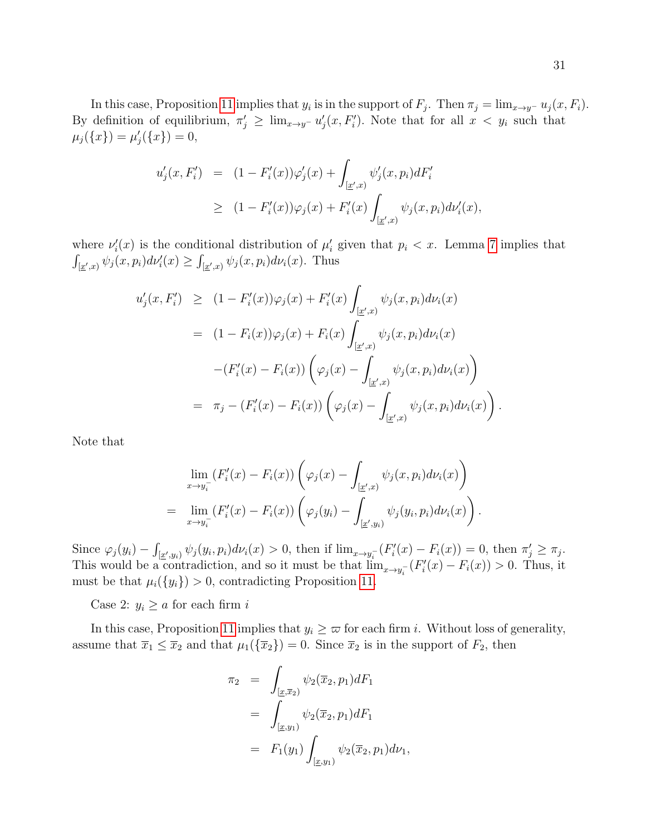In this case, Proposition [11](#page-25-2) implies that  $y_i$  is in the support of  $F_j$ . Then  $\pi_j = \lim_{x \to y^-} u_j(x, F_i)$ . By definition of equilibrium,  $\pi'_j \geq \lim_{x\to y^-} u'_j(x, F'_i)$ . Note that for all  $x < y_i$  such that  $\mu_j(\{x\}) = \mu'_j(\{x\}) = 0,$ 

$$
u'_{j}(x, F'_{i}) = (1 - F'_{i}(x))\varphi'_{j}(x) + \int_{[\underline{x}',x)} \psi'_{j}(x, p_{i})dF'_{i}
$$
  
\n
$$
\geq (1 - F'_{i}(x))\varphi_{j}(x) + F'_{i}(x)\int_{[\underline{x}',x)} \psi_{j}(x, p_{i})d\nu'_{i}(x),
$$

where  $\nu_i'(x)$  is the conditional distribution of  $\mu_i'$  given that  $p_i < x$ . Lemma [7](#page-27-2) implies that  $\int_{\left[\underline{x}',x\right]} \psi_j(x,p_i) d\nu'_i(x) \geq \int_{\left[\underline{x}',x\right]} \psi_j(x,p_i) d\nu_i(x)$ . Thus

$$
u'_{j}(x, F'_{i}) \geq (1 - F'_{i}(x))\varphi_{j}(x) + F'_{i}(x) \int_{[\underline{x}',x)} \psi_{j}(x, p_{i}) d\nu_{i}(x)
$$
  
\n
$$
= (1 - F_{i}(x))\varphi_{j}(x) + F_{i}(x) \int_{[\underline{x}',x)} \psi_{j}(x, p_{i}) d\nu_{i}(x)
$$
  
\n
$$
- (F'_{i}(x) - F_{i}(x)) \left( \varphi_{j}(x) - \int_{[\underline{x}',x)} \psi_{j}(x, p_{i}) d\nu_{i}(x) \right)
$$
  
\n
$$
= \pi_{j} - (F'_{i}(x) - F_{i}(x)) \left( \varphi_{j}(x) - \int_{[\underline{x}',x)} \psi_{j}(x, p_{i}) d\nu_{i}(x) \right).
$$

Note that

$$
\lim_{x \to y_i^-} (F_i'(x) - F_i(x)) \left( \varphi_j(x) - \int_{[\underline{x}',x)} \psi_j(x, p_i) d\nu_i(x) \right)
$$
\n
$$
= \lim_{x \to y_i^-} (F_i'(x) - F_i(x)) \left( \varphi_j(y_i) - \int_{[\underline{x}',y_i)} \psi_j(y_i, p_i) d\nu_i(x) \right).
$$

Since  $\varphi_j(y_i) - \int_{[\underline{x}', y_i]} \psi_j(y_i, p_i) d\nu_i(x) > 0$ , then if  $\lim_{x \to y_i^-} (F_i'(x) - F_i(x)) = 0$ , then  $\pi'_j \ge \pi_j$ . This would be a contradiction, and so it must be that  $\lim_{x\to y_i^-} (F_i'(x) - F_i(x)) > 0$ . Thus, it must be that  $\mu_i({y_i}) > 0$ , contradicting Proposition [11.](#page-25-2)

Case 2:  $y_i \ge a$  for each firm i

In this case, Proposition [11](#page-25-2) implies that  $y_i \geq \infty$  for each firm i. Without loss of generality, assume that  $\overline{x}_1 \leq \overline{x}_2$  and that  $\mu_1(\{\overline{x}_2\}) = 0$ . Since  $\overline{x}_2$  is in the support of  $F_2$ , then

$$
\pi_2 = \int_{[\underline{x}, \overline{x}_2)} \psi_2(\overline{x}_2, p_1) dF_1
$$
  
= 
$$
\int_{[\underline{x}, y_1)} \psi_2(\overline{x}_2, p_1) dF_1
$$
  
= 
$$
F_1(y_1) \int_{[\underline{x}, y_1)} \psi_2(\overline{x}_2, p_1) d\nu_1
$$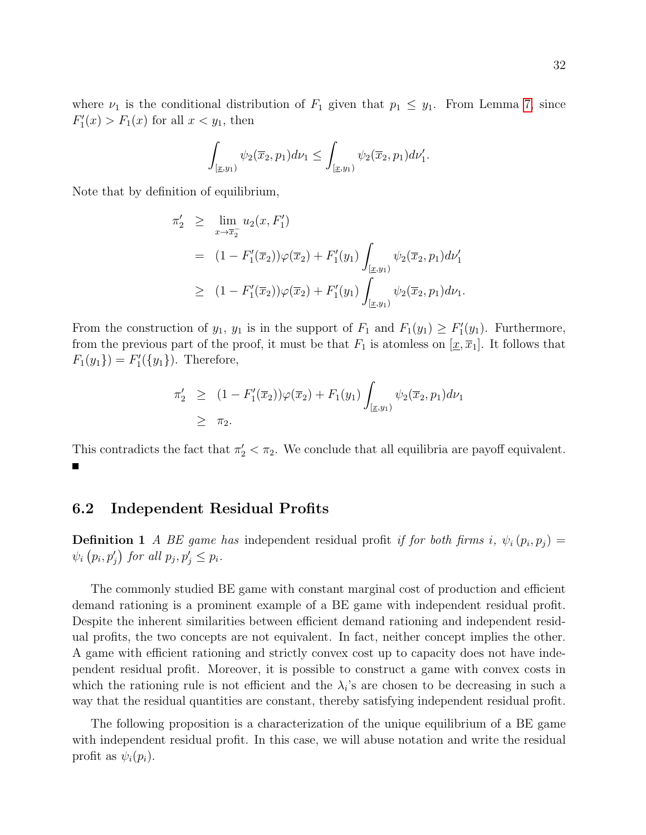where  $\nu_1$  is the conditional distribution of  $F_1$  given that  $p_1 \leq y_1$ . From Lemma [7,](#page-27-2) since  $F_1'(x) > F_1(x)$  for all  $x < y_1$ , then

$$
\int_{[\underline{x},y_1)} \psi_2(\overline{x}_2, p_1) d\nu_1 \leq \int_{[\underline{x},y_1)} \psi_2(\overline{x}_2, p_1) d\nu'_1.
$$

Note that by definition of equilibrium,

$$
\pi'_2 \geq \lim_{x \to \overline{x}_2} u_2(x, F'_1)
$$
  
=  $(1 - F'_1(\overline{x}_2))\varphi(\overline{x}_2) + F'_1(y_1) \int_{[\underline{x}, y_1)} \psi_2(\overline{x}_2, p_1) d\nu'_1$   

$$
\geq (1 - F'_1(\overline{x}_2))\varphi(\overline{x}_2) + F'_1(y_1) \int_{[\underline{x}, y_1)} \psi_2(\overline{x}_2, p_1) d\nu_1.
$$

From the construction of  $y_1$ ,  $y_1$  is in the support of  $F_1$  and  $F_1(y_1) \geq F_1'(y_1)$ . Furthermore, from the previous part of the proof, it must be that  $F_1$  is atomless on  $[\underline{x}, \overline{x}_1]$ . It follows that  $F_1(y_1) = F'_1(\{y_1\})$ . Therefore,

$$
\pi_2' \ge (1 - F_1'(\overline{x}_2))\varphi(\overline{x}_2) + F_1(y_1) \int_{[\underline{x}, y_1)} \psi_2(\overline{x}_2, p_1) d\nu_1
$$
  
 
$$
\ge \pi_2.
$$

This contradicts the fact that  $\pi'_2 < \pi_2$ . We conclude that all equilibria are payoff equivalent.  $\blacksquare$ 

#### 6.2 Independent Residual Profits

**Definition 1** A BE game has independent residual profit if for both firms i,  $\psi_i(p_i, p_j) =$  $\psi_i(p_i, p'_j)$  for all  $p_j, p'_j \leq p_i$ .

The commonly studied BE game with constant marginal cost of production and efficient demand rationing is a prominent example of a BE game with independent residual profit. Despite the inherent similarities between efficient demand rationing and independent residual profits, the two concepts are not equivalent. In fact, neither concept implies the other. A game with efficient rationing and strictly convex cost up to capacity does not have independent residual profit. Moreover, it is possible to construct a game with convex costs in which the rationing rule is not efficient and the  $\lambda_i$ 's are chosen to be decreasing in such a way that the residual quantities are constant, thereby satisfying independent residual profit.

<span id="page-31-0"></span>The following proposition is a characterization of the unique equilibrium of a BE game with independent residual profit. In this case, we will abuse notation and write the residual profit as  $\psi_i(p_i)$ .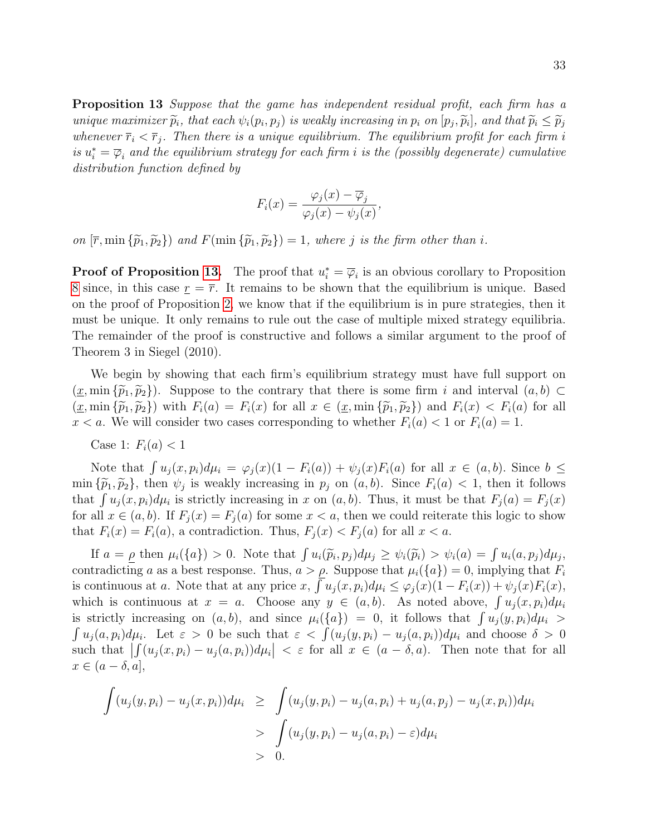**Proposition 13** Suppose that the game has independent residual profit, each firm has a unique maximizer  $\tilde{p}_i$ , that each  $\psi_i(p_i, p_j)$  is weakly increasing in  $p_i$  on  $[p_j, \tilde{p}_i]$ , and that  $\tilde{p}_i \leq \tilde{p}_j$ <br>whenever  $\overline{p}_i \leq \overline{p}_j$ . Then there is a unique equilibrium. The equilibrium number for ea whenever  $\bar{r}_i < \bar{r}_j$ . Then there is a unique equilibrium. The equilibrium profit for each firm i is  $u_i^* = \overline{\varphi}_i$  and the equilibrium strategy for each firm i is the (possibly degenerate) cumulative distribution function defined by

$$
F_i(x) = \frac{\varphi_j(x) - \overline{\varphi}_j}{\varphi_j(x) - \psi_j(x)},
$$

on  $[\bar{r}, \min{\{\tilde{p}_1, \tilde{p}_2\}}\}$  and  $F(\min{\{\tilde{p}_1, \tilde{p}_2\}}) = 1$ , where j is the firm other than i.

**Proof of Proposition [13.](#page-31-0)** The proof that  $u_i^* = \overline{\varphi}_i$  is an obvious corollary to Proposition [8](#page-15-0) since, in this case  $\underline{r} = \overline{r}$ . It remains to be shown that the equilibrium is unique. Based on the proof of Proposition [2,](#page-11-0) we know that if the equilibrium is in pure strategies, then it must be unique. It only remains to rule out the case of multiple mixed strategy equilibria. The remainder of the proof is constructive and follows a similar argument to the proof of Theorem 3 in Siegel (2010).

We begin by showing that each firm's equilibrium strategy must have full support on  $(x, \min{\{\widetilde{p}_1, \widetilde{p}_2\}})$ . Suppose to the contrary that there is some firm i and interval  $(a, b)$  $(\underline{x}, \min{\{\widetilde{p}_1, \widetilde{p}_2\}})$  with  $F_i(a) = F_i(x)$  for all  $x \in (\underline{x}, \min{\{\widetilde{p}_1, \widetilde{p}_2\}})$  and  $F_i(x) < F_i(a)$  for all  $x < a$ . We will consider two cases corresponding to whether  $F_i(a) < 1$  or  $F_i(a) = 1$ .

Case 1:  $F_i(a) < 1$ 

Note that  $\int u_j(x, p_i)d\mu_i = \varphi_j(x)(1 - F_i(a)) + \psi_j(x)F_i(a)$  for all  $x \in (a, b)$ . Since  $b \leq$ min  ${\tilde{p}_1, \tilde{p}_2}$ , then  $\psi_j$  is weakly increasing in  $p_j$  on  $(a, b)$ . Since  $F_i(a) < 1$ , then it follows that  $\int u_j(x, p_i) d\mu_i$  is strictly increasing in x on  $(a, b)$ . Thus, it must be that  $F_j(a) = F_j(x)$ for all  $x \in (a, b)$ . If  $F_i(x) = F_i(a)$  for some  $x < a$ , then we could reiterate this logic to show that  $F_i(x) = F_i(a)$ , a contradiction. Thus,  $F_i(x) < F_i(a)$  for all  $x < a$ .

If  $a = \underline{\rho}$  then  $\mu_i(\{a\}) > 0$ . Note that  $\int u_i(\tilde{p}_i, p_j) d\mu_j \geq \psi_i(\tilde{p}_i) > \psi_i(a) = \int u_i(a, p_j) d\mu_j$ ,<br>tradictions a so a best response. Thus,  $a > a$ . Suppose that  $\mu_i(\{a\}) = 0$  implying that E. contradicting a as a best response. Thus,  $a > \rho$ . Suppose that  $\mu_i({a}) = 0$ , implying that  $F_i$ is continuous at a. Note that at any price x,  $\int u_j(x, p_i) d\mu_i \leq \varphi_j(x) (1 - F_i(x)) + \psi_j(x) F_i(x)$ , which is continuous at  $x = a$ . Choose any  $y \in (a, b)$ . As noted above,  $\int u_j(x, p_i) d\mu_i$ is strictly increasing on  $(a, b)$ , and since  $\mu_i({a}) = 0$ , it follows that  $\int u_j(y, p_i) d\mu_i >$  $\int u_j(a, p_i) d\mu_i$ . Let  $\varepsilon > 0$  be such that  $\varepsilon < \int (u_j(y, p_i) - u_j(a, p_i)) d\mu_i$  and choose  $\delta > 0$ such that  $\left| \int_{\Omega} (u_j(x, p_i) - u_j(a, p_i)) d\mu_i \right| < \varepsilon$  for all  $x \in (a - \delta, a)$ . Then note that for all  $x \in (a - \delta, a],$ 

$$
\int (u_j(y, p_i) - u_j(x, p_i))d\mu_i \ge \int (u_j(y, p_i) - u_j(a, p_i) + u_j(a, p_j) - u_j(x, p_i))d\mu_i
$$
  
> 
$$
\int (u_j(y, p_i) - u_j(a, p_i) - \varepsilon)d\mu_i
$$
  
> 0.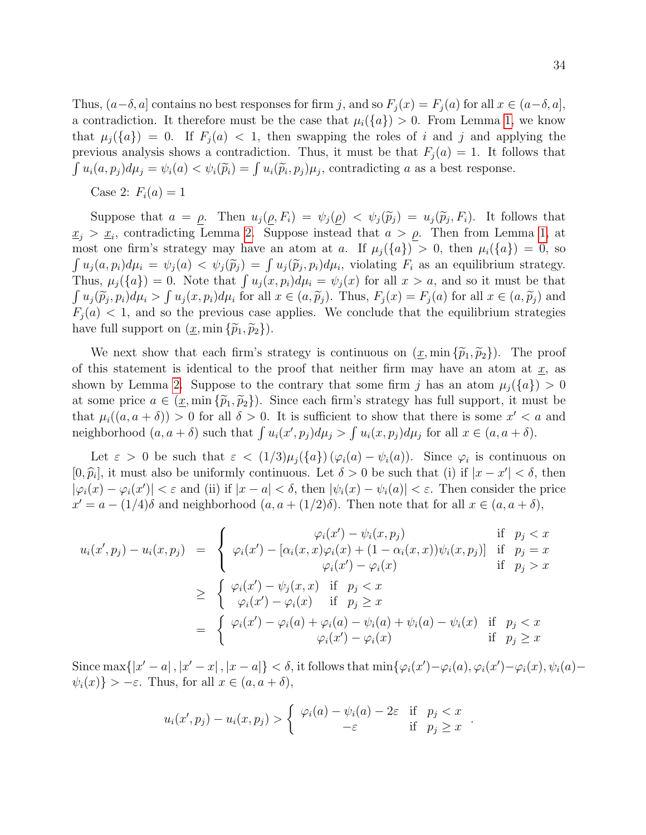Thus,  $(a-\delta, a]$  contains no best responses for firm j, and so  $F_j(x) = F_j(a)$  for all  $x \in (a-\delta, a]$ , a contradiction. It therefore must be the case that  $\mu_i({a}) > 0$ . From Lemma [1,](#page-9-2) we know that  $\mu_i(\{a\}) = 0$ . If  $F_i(a) < 1$ , then swapping the roles of i and j and applying the previous analysis shows a contradiction. Thus, it must be that  $F_j(a) = 1$ . It follows that  $\int u_i(a, p_j) d\mu_j = \psi_i(a) < \psi_i(\tilde{p}_i) = \int u_i(\tilde{p}_i, p_j) \mu_j$ , contradicting a as a best response.

Case 2:  $F_i(a) = 1$ 

Suppose that  $a = \rho$ . Then  $u_j(\rho, F_i) = \psi_j(\rho) < \psi_j(\tilde{p}_j) = u_j(\tilde{p}_j, F_i)$ . It follows that  $\underline{x}_j > \underline{x}_i$ , contradicting Lemma [2.](#page-15-1) Suppose instead that  $a > \rho$ . Then from Lemma [1,](#page-9-2) at most one firm's strategy may have an atom at a. If  $\mu_i({a}) > 0$ , then  $\mu_i({a}) = 0$ , so  $\int u_j(a, p_i) d\mu_i = \psi_j(a) < \psi_j(\tilde{p}_j) = \int u_j(\tilde{p}_j, p_i) d\mu_i$ , violating  $F_i$  as an equilibrium strategy.<br>Thus,  $\mu_i(f_a) = 0$ , Note that  $\int u_j(a, p_i) d\mu_i = \psi_i(a)$  for all  $x > a$ , and so it must be that Thus,  $\mu_j(\{a\}) = 0$ . Note that  $\int u_j(x, p_i) d\mu_i = \psi_j(x)$  for all  $x > a$ , and so it must be that  $\int u_j(\tilde{p}_j, p_i) d\mu_i > \int u_j(x, p_i) d\mu_i$  for all  $x \in (a, \tilde{p}_j)$ . Thus,  $F_j(x) = F_j(a)$  for all  $x \in (a, \tilde{p}_j)$  and  $F_j(a) \leq 1$ , and so the provisive aggs applies. We conclude that the equilibrium strategies  $F_i(a)$  < 1, and so the previous case applies. We conclude that the equilibrium strategies have full support on  $(\underline{x}, \min{\{\widetilde{p}_1, \widetilde{p}_2\}})$ .

We next show that each firm's strategy is continuous on  $(\underline{x}, \min{\{\widetilde{p}_1, \widetilde{p}_2\}})$ . The proof of this statement is identical to the proof that neither firm may have an atom at  $\underline{x}$ , as shown by Lemma [2.](#page-15-1) Suppose to the contrary that some firm j has an atom  $\mu_j({a}) > 0$ at some price  $a \in (\underline{x}, \min{\{\tilde{p}_1, \tilde{p}_2\}})$ . Since each firm's strategy has full support, it must be that  $\mu_i((a, a + \delta)) > 0$  for all  $\delta > 0$ . It is sufficient to show that there is some  $x' < a$  and neighborhood  $(a, a + \delta)$  such that  $\int u_i(x', p_j) d\mu_j > \int u_i(x, p_j) d\mu_j$  for all  $x \in (a, a + \delta)$ .

Let  $\varepsilon > 0$  be such that  $\varepsilon < (1/3)\mu_j(\lbrace a \rbrace)(\varphi_i(a) - \psi_i(a))$ . Since  $\varphi_i$  is continuous on  $[0, \hat{p}_i]$ , it must also be uniformly continuous. Let  $\delta > 0$  be such that (i) if  $|x - x'| < \delta$ , then  $|\varphi_i(x) - \varphi_i(x')| < \varepsilon$  and (ii) if  $|x - a| < \delta$ , then  $|\psi_i(x) - \psi_i(a)| < \varepsilon$ . Then consider the price  $x' = a - (1/4)\delta$  and neighborhood  $(a, a + (1/2)\delta)$ . Then note that for all  $x \in (a, a + \delta)$ ,

$$
u_i(x', p_j) - u_i(x, p_j) = \begin{cases} \varphi_i(x') - \psi_i(x, p_j) & \text{if } p_j < x \\ \varphi_i(x') - [\alpha_i(x, x)\varphi_i(x) + (1 - \alpha_i(x, x))\psi_i(x, p_j)] & \text{if } p_j = x \\ \varphi_i(x') - \varphi_i(x) & \text{if } p_j > x \end{cases}
$$
  

$$
\geq \begin{cases} \varphi_i(x') - \psi_j(x, x) & \text{if } p_j < x \\ \varphi_i(x') - \varphi_i(x) & \text{if } p_j \geq x \end{cases}
$$
  

$$
= \begin{cases} \varphi_i(x') - \varphi_i(a) + \varphi_i(a) - \psi_i(a) + \psi_i(a) - \psi_i(x) & \text{if } p_j < x \\ \varphi_i(x') - \varphi_i(x) & \text{if } p_j \geq x \end{cases}
$$

Since  $\max\{|x'-a|, |x'-x|, |x-a|\} < \delta$ , it follows that  $\min\{\varphi_i(x')-\varphi_i(a), \varphi_i(x')-\varphi_i(x), \psi_i(a)-\varphi_i(x')\}$  $\psi_i(x) \} > -\varepsilon$ . Thus, for all  $x \in (a, a + \delta)$ ,

$$
u_i(x', p_j) - u_i(x, p_j) > \begin{cases} \varphi_i(a) - \psi_i(a) - 2\varepsilon & \text{if } p_j < x \\ -\varepsilon & \text{if } p_j \ge x \end{cases}.
$$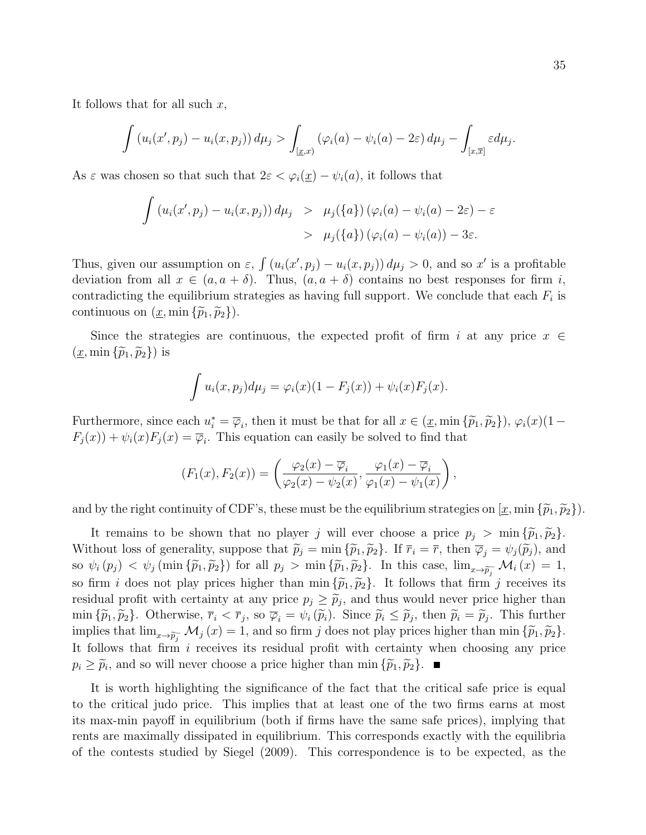It follows that for all such  $x$ ,

$$
\int \left(u_i(x',p_j) - u_i(x,p_j)\right) d\mu_j > \int_{\left[\underline{x},x\right)} \left(\varphi_i(a) - \psi_i(a) - 2\varepsilon\right) d\mu_j - \int_{\left[x,\overline{x}\right]} \varepsilon d\mu_j.
$$

As  $\varepsilon$  was chosen so that such that  $2\varepsilon < \varphi_i(\underline{x}) - \psi_i(a)$ , it follows that

$$
\int (u_i(x', p_j) - u_i(x, p_j)) d\mu_j > \mu_j(\lbrace a \rbrace) (\varphi_i(a) - \psi_i(a) - 2\varepsilon) - \varepsilon
$$
  
>  $\mu_j(\lbrace a \rbrace) (\varphi_i(a) - \psi_i(a)) - 3\varepsilon.$ 

Thus, given our assumption on  $\varepsilon$ ,  $\int (u_i(x', p_j) - u_i(x, p_j)) d\mu_j > 0$ , and so x' is a profitable deviation from all  $x \in (a, a + \delta)$ . Thus,  $(a, a + \delta)$  contains no best responses for firm i, contradicting the equilibrium strategies as having full support. We conclude that each  $F_i$  is continuous on  $(\underline{x}, \min{\{\widetilde{p}_1, \widetilde{p}_2\}})$ .

Since the strategies are continuous, the expected profit of firm i at any price  $x \in$  $(\underline{x}, \min{\{\widetilde{p}_1, \widetilde{p}_2\}})$  is

$$
\int u_i(x, p_j) d\mu_j = \varphi_i(x) (1 - F_j(x)) + \psi_i(x) F_j(x).
$$

Furthermore, since each  $u_i^* = \overline{\varphi}_i$ , then it must be that for all  $x \in (\underline{x}, \min{\{\widetilde{p}_1, \widetilde{p}_2\}}), \varphi_i(x)(1 - E(x))) + \varphi_i(x)E(x) - \overline{E}$ . This equation can easily be solved to find that  $F_j(x) + \psi_i(x) F_j(x) = \overline{\varphi}_i$ . This equation can easily be solved to find that

$$
(F_1(x), F_2(x)) = \left(\frac{\varphi_2(x) - \overline{\varphi}_i}{\varphi_2(x) - \psi_2(x)}, \frac{\varphi_1(x) - \overline{\varphi}_i}{\varphi_1(x) - \psi_1(x)}\right),
$$

and by the right continuity of CDF's, these must be the equilibrium strategies on  $[\underline{x}, \min \{\widetilde{p}_1, \widetilde{p}_2\}]$ .

It remains to be shown that no player j will ever choose a price  $p_j > \min \{ \tilde{p}_1, \tilde{p}_2 \}.$ Without loss of generality, suppose that  $\widetilde{p}_j = \min \{\widetilde{p}_1, \widetilde{p}_2\}$ . If  $\overline{r}_i = \overline{r}$ , then  $\overline{\varphi}_j = \psi_j(\widetilde{p}_j)$ , and so  $\psi_i(p_j) < \psi_j(\min\{\tilde{p}_1,\tilde{p}_2\})$  for all  $p_j > \min\{\tilde{p}_1,\tilde{p}_2\}$ . In this case,  $\lim_{x\to\tilde{p}_j} \mathcal{M}_i(x) = 1$ , so firm i does not play prices higher than min  $\{\tilde{p}_1, \tilde{p}_2\}$ . It follows that firm j receives its residual profit with certainty at any price  $p_j \geq \tilde{p}_j$ , and thus would never price higher than  $\tilde{p}_j \leq \tilde{p}_j$ .  $\tilde{p}_j \geq \tilde{p}_j$ ,  $\tilde{p}_j \geq \tilde{p}_j$ ,  $\tilde{p}_j \geq \tilde{p}_j$ ,  $\tilde{p}_j \geq \tilde{p}_j$ ,  $\tilde{p}_j \geq \tilde{p}_$  $\min \{\widetilde{p}_1, \widetilde{p}_2\}.$  Otherwise,  $\overline{r}_i < \overline{r}_j$ , so  $\overline{\varphi}_i = \psi_i(\widetilde{p}_i)$ . Since  $\widetilde{p}_i \leq \widetilde{p}_j$ , then  $\widetilde{p}_i = \widetilde{p}_j$ . This further implies that  $\lim_{x\to \tilde{p}_j^-} \mathcal{M}_j(x) = 1$ , and so firm j does not play prices higher than min  $\{\tilde{p}_1, \tilde{p}_2\}$ . It follows that firm  $i$  receives its residual profit with certainty when choosing any price  $p_i \geq \tilde{p}_i$ , and so will never choose a price higher than min  $\{\tilde{p}_1, \tilde{p}_2\}$ .

It is worth highlighting the significance of the fact that the critical safe price is equal to the critical judo price. This implies that at least one of the two firms earns at most its max-min payoff in equilibrium (both if firms have the same safe prices), implying that rents are maximally dissipated in equilibrium. This corresponds exactly with the equilibria of the contests studied by Siegel (2009). This correspondence is to be expected, as the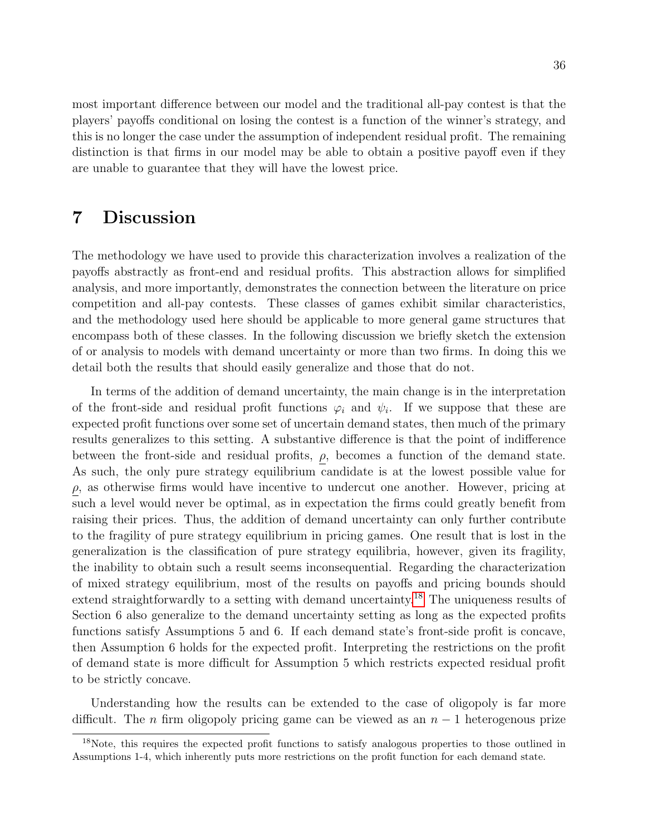most important difference between our model and the traditional all-pay contest is that the players' payoffs conditional on losing the contest is a function of the winner's strategy, and this is no longer the case under the assumption of independent residual profit. The remaining distinction is that firms in our model may be able to obtain a positive payoff even if they are unable to guarantee that they will have the lowest price.

### 7 Discussion

The methodology we have used to provide this characterization involves a realization of the payoffs abstractly as front-end and residual profits. This abstraction allows for simplified analysis, and more importantly, demonstrates the connection between the literature on price competition and all-pay contests. These classes of games exhibit similar characteristics, and the methodology used here should be applicable to more general game structures that encompass both of these classes. In the following discussion we briefly sketch the extension of or analysis to models with demand uncertainty or more than two firms. In doing this we detail both the results that should easily generalize and those that do not.

In terms of the addition of demand uncertainty, the main change is in the interpretation of the front-side and residual profit functions  $\varphi_i$  and  $\psi_i$ . If we suppose that these are expected profit functions over some set of uncertain demand states, then much of the primary results generalizes to this setting. A substantive difference is that the point of indifference between the front-side and residual profits,  $\rho$ , becomes a function of the demand state. As such, the only pure strategy equilibrium candidate is at the lowest possible value for  $\rho$ , as otherwise firms would have incentive to undercut one another. However, pricing at such a level would never be optimal, as in expectation the firms could greatly benefit from raising their prices. Thus, the addition of demand uncertainty can only further contribute to the fragility of pure strategy equilibrium in pricing games. One result that is lost in the generalization is the classification of pure strategy equilibria, however, given its fragility, the inability to obtain such a result seems inconsequential. Regarding the characterization of mixed strategy equilibrium, most of the results on payoffs and pricing bounds should extend straightforwardly to a setting with demand uncertainty.[18](#page-35-0) The uniqueness results of Section 6 also generalize to the demand uncertainty setting as long as the expected profits functions satisfy Assumptions 5 and 6. If each demand state's front-side profit is concave, then Assumption 6 holds for the expected profit. Interpreting the restrictions on the profit of demand state is more difficult for Assumption 5 which restricts expected residual profit to be strictly concave.

Understanding how the results can be extended to the case of oligopoly is far more difficult. The n firm oligopoly pricing game can be viewed as an  $n-1$  heterogenous prize

<span id="page-35-0"></span><sup>&</sup>lt;sup>18</sup>Note, this requires the expected profit functions to satisfy analogous properties to those outlined in Assumptions 1-4, which inherently puts more restrictions on the profit function for each demand state.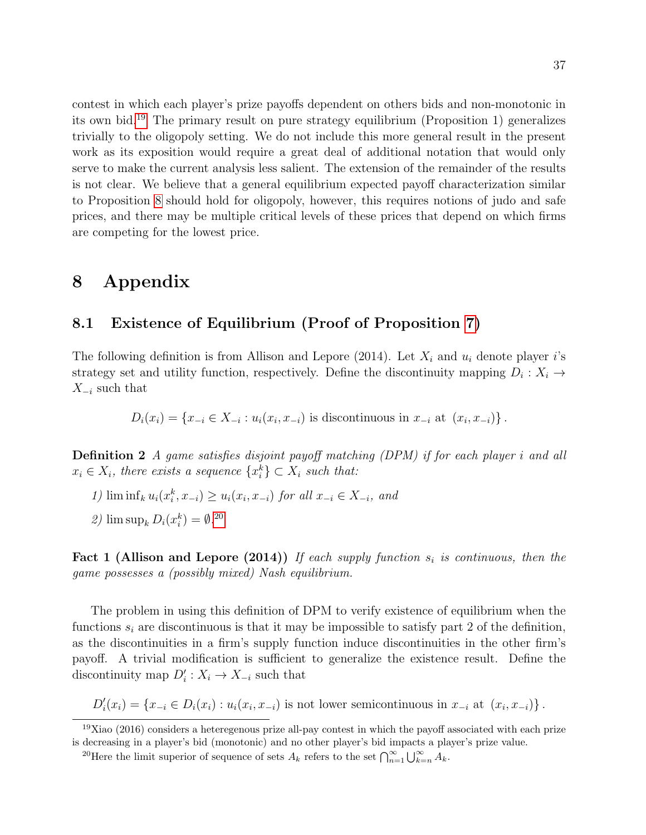contest in which each player's prize payoffs dependent on others bids and non-monotonic in its own bid.[19](#page-36-0) The primary result on pure strategy equilibrium (Proposition 1) generalizes trivially to the oligopoly setting. We do not include this more general result in the present work as its exposition would require a great deal of additional notation that would only serve to make the current analysis less salient. The extension of the remainder of the results is not clear. We believe that a general equilibrium expected payoff characterization similar to Proposition [8](#page-15-0) should hold for oligopoly, however, this requires notions of judo and safe prices, and there may be multiple critical levels of these prices that depend on which firms are competing for the lowest price.

### 8 Appendix

### 8.1 Existence of Equilibrium (Proof of Proposition [7\)](#page-15-2)

The following definition is from Allison and Lepore (2014). Let  $X_i$  and  $u_i$  denote player i's strategy set and utility function, respectively. Define the discontinuity mapping  $D_i: X_i \to$  $X_{-i}$  such that

 $D_i(x_i) = \{x_{-i} \in X_{-i} : u_i(x_i, x_{-i})$  is discontinuous in  $x_{-i}$  at  $(x_i, x_{-i})\}$ .

Definition 2 A game satisfies disjoint payoff matching (DPM) if for each player i and all  $x_i \in X_i$ , there exists a sequence  $\{x_i^k\} \subset X_i$  such that:

- 1) lim inf<sub>k</sub>  $u_i(x_i^k, x_{-i}) \ge u_i(x_i, x_{-i})$  for all  $x_{-i} \in X_{-i}$ , and
- 2)  $\limsup_k D_i(x_i^k) = \emptyset$ .<sup>[20](#page-36-1)</sup>

Fact 1 (Allison and Lepore (2014)) If each supply function  $s_i$  is continuous, then the game possesses a (possibly mixed) Nash equilibrium.

The problem in using this definition of DPM to verify existence of equilibrium when the functions  $s_i$  are discontinuous is that it may be impossible to satisfy part 2 of the definition, as the discontinuities in a firm's supply function induce discontinuities in the other firm's payoff. A trivial modification is sufficient to generalize the existence result. Define the discontinuity map  $D_i' : X_i \to X_{-i}$  such that

 $D'_i(x_i) = \{x_{-i} \in D_i(x_i) : u_i(x_i, x_{-i})$  is not lower semicontinuous in  $x_{-i}$  at  $(x_i, x_{-i})\}$ .

<span id="page-36-0"></span><sup>19</sup>Xiao (2016) considers a heteregenous prize all-pay contest in which the payoff associated with each prize is decreasing in a player's bid (monotonic) and no other player's bid impacts a player's prize value.

<span id="page-36-1"></span><sup>&</sup>lt;sup>20</sup>Here the limit superior of sequence of sets  $A_k$  refers to the set  $\bigcap_{n=1}^{\infty}\bigcup_{k=n}^{\infty}A_k$ .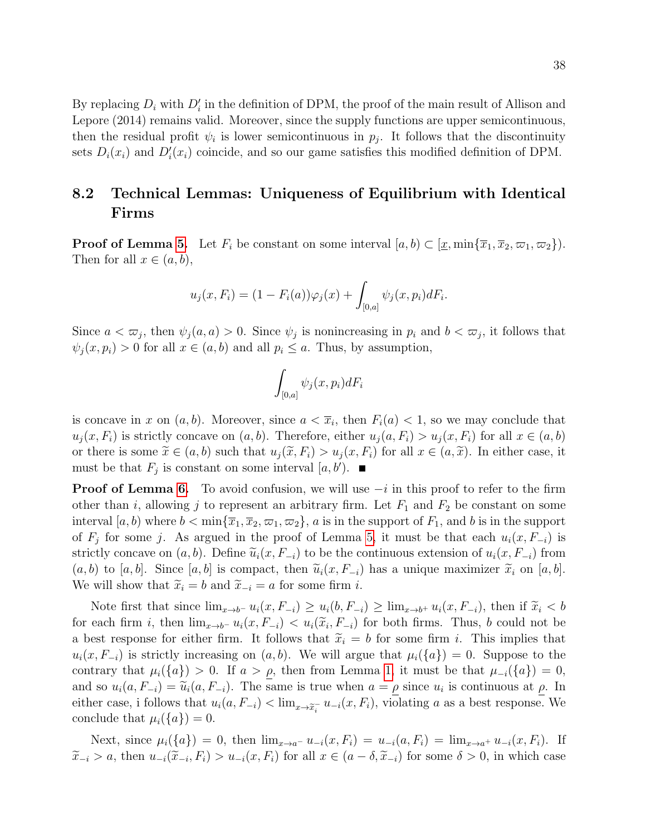By replacing  $D_i$  with  $D'_i$  in the definition of DPM, the proof of the main result of Allison and Lepore (2014) remains valid. Moreover, since the supply functions are upper semicontinuous, then the residual profit  $\psi_i$  is lower semicontinuous in  $p_j$ . It follows that the discontinuity sets  $D_i(x_i)$  and  $D'_i(x_i)$  coincide, and so our game satisfies this modified definition of DPM.

### 8.2 Technical Lemmas: Uniqueness of Equilibrium with Identical Firms

**Proof of Lemma [5.](#page-25-3)** Let  $F_i$  be constant on some interval  $[a, b) \subset [\underline{x}, \min{\{\overline{x}_1, \overline{x}_2, \varpi_1, \varpi_2\}}]$ . Then for all  $x \in (a, b)$ ,

$$
u_j(x, F_i) = (1 - F_i(a))\varphi_j(x) + \int_{[0,a]} \psi_j(x, p_i)dF_i.
$$

Since  $a < \overline{\omega}_j$ , then  $\psi_j(a, a) > 0$ . Since  $\psi_j$  is nonincreasing in  $p_i$  and  $b < \overline{\omega}_j$ , it follows that  $\psi_i(x, p_i) > 0$  for all  $x \in (a, b)$  and all  $p_i \leq a$ . Thus, by assumption,

$$
\int_{[0,a]} \psi_j(x,p_i) dF_i
$$

is concave in x on  $(a, b)$ . Moreover, since  $a < \overline{x}_i$ , then  $F_i(a) < 1$ , so we may conclude that  $u_i(x, F_i)$  is strictly concave on  $(a, b)$ . Therefore, either  $u_i(a, F_i) > u_i(x, F_i)$  for all  $x \in (a, b)$ or there is some  $\tilde{x} \in (a, b)$  such that  $u_i(\tilde{x}, F_i) > u_i(x, F_i)$  for all  $x \in (a, \tilde{x})$ . In either case, it must be that  $F_j$  is constant on some interval  $[a, b')$ .

**Proof of Lemma [6.](#page-25-4)** To avoid confusion, we will use  $-i$  in this proof to refer to the firm other than i, allowing j to represent an arbitrary firm. Let  $F_1$  and  $F_2$  be constant on some interval  $[a, b)$  where  $b < \min{\{\overline{x}_1, \overline{x}_2, \overline{\omega}_1, \overline{\omega}_2\}}$ , a is in the support of  $F_1$ , and b is in the support of  $F_j$  for some j. As argued in the proof of Lemma [5,](#page-25-3) it must be that each  $u_i(x, F_{-i})$  is strictly concave on  $(a, b)$ . Define  $\tilde{u}_i(x, F_{-i})$  to be the continuous extension of  $u_i(x, F_{-i})$  from  $(a, b)$  to  $[a, b]$ . Since  $[a, b]$  is compact, then  $\widetilde{u}_i(x, F_{-i})$  has a unique maximizer  $\widetilde{x}_i$  on  $[a, b]$ . We will show that  $\widetilde{x}_i = b$  and  $\widetilde{x}_{-i} = a$  for some firm *i*.

Note first that since  $\lim_{x\to b^-} u_i(x, F_{-i}) \geq u_i(b, F_{-i}) \geq \lim_{x\to b^+} u_i(x, F_{-i})$ , then if  $\tilde{x}_i < b$ for each firm i, then  $\lim_{x\to b^-} u_i(x, F_{-i}) < u_i(\tilde{x}_i, F_{-i})$  for both firms. Thus, b could not be a best response for either firm it follows that  $\tilde{x} = b$  for some firm i. This implies that a best response for either firm. It follows that  $\tilde{x}_i = b$  for some firm i. This implies that  $u_i(x, F_{-i})$  is strictly increasing on  $(a, b)$ . We will argue that  $\mu_i({a}) = 0$ . Suppose to the contrary that  $\mu_i({a}) > 0$ . If  $a > \rho$ , then from Lemma [1,](#page-9-2) it must be that  $\mu_{-i}({a}) = 0$ , and so  $u_i(a, F_{-i}) = \tilde{u}_i(a, F_{-i})$ . The same is true when  $a = \rho$  since  $u_i$  is continuous at  $\rho$ . In sitting some is follows that  $u_i(a, F_{-i}) \leq \lim_{n \to \infty} u_i(a, F_n)$  vialating s as a heat represented We either case, i follows that  $u_i(a, F_{-i}) < \lim_{x \to \tilde{x}_i^-} u_{-i}(x, F_i)$ , violating a as a best response. We conclude that  $\mu_i({a}) = 0$ .

Next, since  $\mu_i({a}) = 0$ , then  $\lim_{x\to a^-} u_{-i}(x, F_i) = u_{-i}(a, F_i) = \lim_{x\to a^+} u_{-i}(x, F_i)$ . If  $\widetilde{x}_{-i} > a$ , then  $u_{-i}(\widetilde{x}_{-i}, F_i) > u_{-i}(x, F_i)$  for all  $x \in (a - \delta, \widetilde{x}_{-i})$  for some  $\delta > 0$ , in which case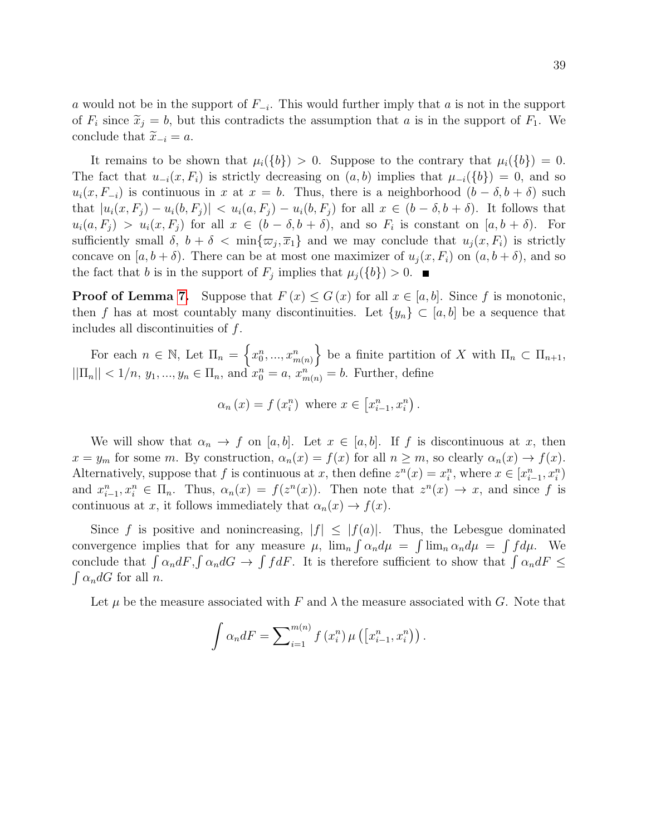a would not be in the support of  $F_{-i}$ . This would further imply that a is not in the support of  $F_i$  since  $\tilde{x}_j = b$ , but this contradicts the assumption that a is in the support of  $F_1$ . We conclude that  $\tilde{x}_{-i} = a$ .

It remains to be shown that  $\mu_i({b}) > 0$ . Suppose to the contrary that  $\mu_i({b}) = 0$ . The fact that  $u_{-i}(x, F_i)$  is strictly decreasing on  $(a, b)$  implies that  $\mu_{-i}(\{b\}) = 0$ , and so  $u_i(x, F_{-i})$  is continuous in x at  $x = b$ . Thus, there is a neighborhood  $(b - \delta, b + \delta)$  such that  $|u_i(x, F_j) - u_i(b, F_j)| < u_i(a, F_j) - u_i(b, F_j)$  for all  $x \in (b - \delta, b + \delta)$ . It follows that  $u_i(a, F_j) > u_i(x, F_j)$  for all  $x \in (b - \delta, b + \delta)$ , and so  $F_i$  is constant on  $[a, b + \delta)$ . For sufficiently small  $\delta$ ,  $b + \delta < \min\{\varpi_j, \overline{x}_1\}$  and we may conclude that  $u_j(x, F_i)$  is strictly concave on  $[a, b + \delta)$ . There can be at most one maximizer of  $u_i(x, F_i)$  on  $(a, b + \delta)$ , and so the fact that b is in the support of  $F_j$  implies that  $\mu_j({b}) > 0$ .

**Proof of Lemma [7.](#page-27-2)** Suppose that  $F(x) \leq G(x)$  for all  $x \in [a, b]$ . Since f is monotonic, then f has at most countably many discontinuities. Let  $\{y_n\} \subset [a, b]$  be a sequence that includes all discontinuities of f.

For each  $n \in \mathbb{N}$ , Let  $\Pi_n = \left\{x_0^n, ..., x_{m(n)}^n\right\}$  be a finite partition of X with  $\Pi_n \subset \Pi_{n+1}$ ,  $||\Pi_n|| < 1/n, y_1, ..., y_n \in \Pi_n$ , and  $x_0^n = a, x_{m(n)}^n = b$ . Further, define

$$
\alpha_n(x) = f(x_i^n)
$$
 where  $x \in [x_{i-1}^n, x_i^n)$ .

We will show that  $\alpha_n \to f$  on [a, b]. Let  $x \in [a, b]$ . If f is discontinuous at x, then  $x = y_m$  for some m. By construction,  $\alpha_n(x) = f(x)$  for all  $n \geq m$ , so clearly  $\alpha_n(x) \to f(x)$ . Alternatively, suppose that f is continuous at x, then define  $z^n(x) = x_i^n$ , where  $x \in [x_{i-1}^n, x_i^n]$ and  $x_{i-1}^n, x_i^n \in \Pi_n$ . Thus,  $\alpha_n(x) = f(z^n(x))$ . Then note that  $z^n(x) \to x$ , and since f is continuous at x, it follows immediately that  $\alpha_n(x) \to f(x)$ .

Since f is positive and nonincreasing,  $|f| \leq |f(a)|$ . Thus, the Lebesgue dominated convergence implies that for any measure  $\mu$ ,  $\lim_{n} \int \alpha_n d\mu = \int \lim_{n} \alpha_n d\mu = \int f d\mu$ . We conclude that  $\int \alpha_n dF$ ,  $\int \alpha_n dG \to \int f dF$ . It is therefore sufficient to show that  $\int \alpha_n dF \leq$  $\int \alpha_n dG$  for all *n*.

Let  $\mu$  be the measure associated with F and  $\lambda$  the measure associated with G. Note that

$$
\int \alpha_n dF = \sum_{i=1}^{m(n)} f(x_i^n) \mu\left(\left[x_{i-1}^n, x_i^n\right)\right).
$$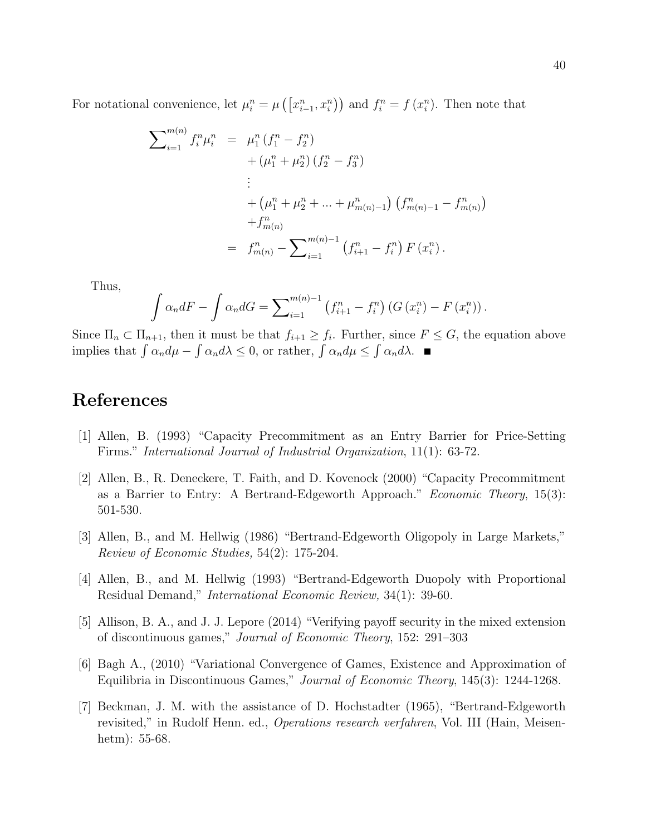For notational convenience, let  $\mu_i^n = \mu\left(\left[x_{i-1}^n, x_i^n\right)\right)$  and  $f_i^n = f\left(x_i^n\right)$ . Then note that

$$
\sum_{i=1}^{m(n)} f_i^n \mu_i^n = \mu_1^n (f_1^n - f_2^n)
$$
  
+  $(\mu_1^n + \mu_2^n) (f_2^n - f_3^n)$   
:  
+  $(\mu_1^n + \mu_2^n + ... + \mu_{m(n)-1}^n) (f_{m(n)-1}^n - f_{m(n)}^n)$   
+  $f_{m(n)}^n$   
=  $f_{m(n)}^n - \sum_{i=1}^{m(n)-1} (f_{i+1}^n - f_i^n) F(x_i^n)$ .

Thus,

$$
\int \alpha_n dF - \int \alpha_n dG = \sum_{i=1}^{m(n)-1} (f_{i+1}^n - f_i^n) (G(x_i^n) - F(x_i^n)).
$$

Since  $\Pi_n \subset \Pi_{n+1}$ , then it must be that  $f_{i+1} \geq f_i$ . Further, since  $F \leq G$ , the equation above implies that  $\int \alpha_n d\mu - \int \alpha_n d\lambda \leq 0$ , or rather,  $\int \alpha_n d\mu \leq \int \alpha_n d\lambda$ .

### References

- [1] Allen, B. (1993) "Capacity Precommitment as an Entry Barrier for Price-Setting Firms." International Journal of Industrial Organization, 11(1): 63-72.
- [2] Allen, B., R. Deneckere, T. Faith, and D. Kovenock (2000) "Capacity Precommitment as a Barrier to Entry: A Bertrand-Edgeworth Approach." Economic Theory, 15(3): 501-530.
- [3] Allen, B., and M. Hellwig (1986) "Bertrand-Edgeworth Oligopoly in Large Markets," Review of Economic Studies, 54(2): 175-204.
- [4] Allen, B., and M. Hellwig (1993) "Bertrand-Edgeworth Duopoly with Proportional Residual Demand," International Economic Review, 34(1): 39-60.
- [5] Allison, B. A., and J. J. Lepore (2014) "Verifying payoff security in the mixed extension of discontinuous games," Journal of Economic Theory, 152: 291–303
- [6] Bagh A., (2010) "Variational Convergence of Games, Existence and Approximation of Equilibria in Discontinuous Games," Journal of Economic Theory, 145(3): 1244-1268.
- [7] Beckman, J. M. with the assistance of D. Hochstadter (1965), "Bertrand-Edgeworth revisited," in Rudolf Henn. ed., Operations research verfahren, Vol. III (Hain, Meisenhetm): 55-68.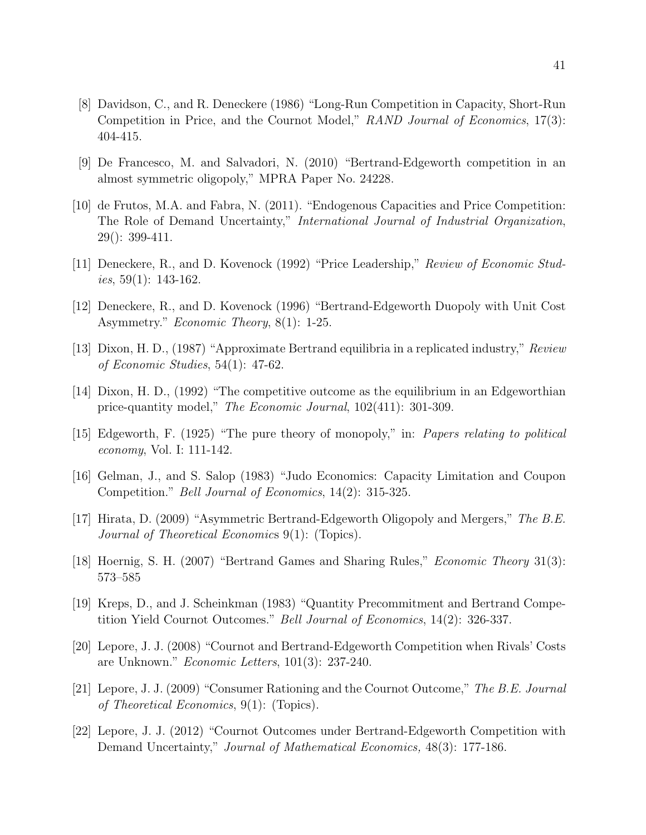- [8] Davidson, C., and R. Deneckere (1986) "Long-Run Competition in Capacity, Short-Run Competition in Price, and the Cournot Model," RAND Journal of Economics, 17(3): 404-415.
- [9] De Francesco, M. and Salvadori, N. (2010) "Bertrand-Edgeworth competition in an almost symmetric oligopoly," MPRA Paper No. 24228.
- [10] de Frutos, M.A. and Fabra, N. (2011). "Endogenous Capacities and Price Competition: The Role of Demand Uncertainty," International Journal of Industrial Organization, 29(): 399-411.
- [11] Deneckere, R., and D. Kovenock (1992) "Price Leadership," Review of Economic Stud*ies*,  $59(1)$ : 143-162.
- [12] Deneckere, R., and D. Kovenock (1996) "Bertrand-Edgeworth Duopoly with Unit Cost Asymmetry." Economic Theory, 8(1): 1-25.
- [13] Dixon, H. D., (1987) "Approximate Bertrand equilibria in a replicated industry," Review of Economic Studies, 54(1): 47-62.
- [14] Dixon, H. D., (1992) "The competitive outcome as the equilibrium in an Edgeworthian price-quantity model," The Economic Journal, 102(411): 301-309.
- [15] Edgeworth, F. (1925) "The pure theory of monopoly," in: Papers relating to political economy, Vol. I: 111-142.
- [16] Gelman, J., and S. Salop (1983) "Judo Economics: Capacity Limitation and Coupon Competition." Bell Journal of Economics, 14(2): 315-325.
- [17] Hirata, D. (2009) "Asymmetric Bertrand-Edgeworth Oligopoly and Mergers," The B.E. Journal of Theoretical Economics 9(1): (Topics).
- [18] Hoernig, S. H. (2007) "Bertrand Games and Sharing Rules," Economic Theory 31(3): 573–585
- [19] Kreps, D., and J. Scheinkman (1983) "Quantity Precommitment and Bertrand Competition Yield Cournot Outcomes." Bell Journal of Economics, 14(2): 326-337.
- [20] Lepore, J. J. (2008) "Cournot and Bertrand-Edgeworth Competition when Rivals' Costs are Unknown." Economic Letters, 101(3): 237-240.
- [21] Lepore, J. J. (2009) "Consumer Rationing and the Cournot Outcome," The B.E. Journal of Theoretical Economics, 9(1): (Topics).
- [22] Lepore, J. J. (2012) "Cournot Outcomes under Bertrand-Edgeworth Competition with Demand Uncertainty," Journal of Mathematical Economics, 48(3): 177-186.